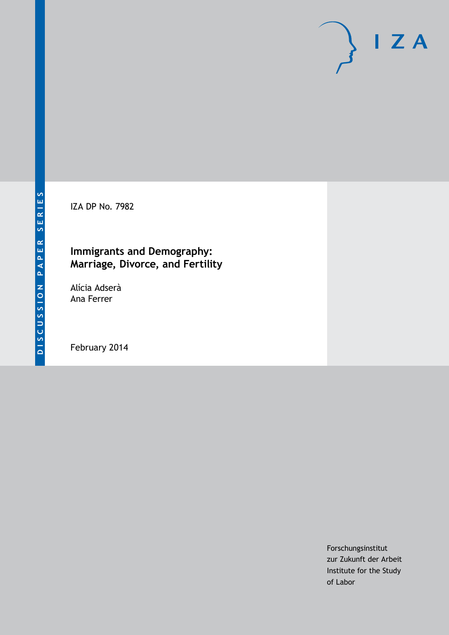IZA DP No. 7982

# **Immigrants and Demography: Marriage, Divorce, and Fertility**

Alícia Adserà Ana Ferrer

February 2014

Forschungsinstitut zur Zukunft der Arbeit Institute for the Study of Labor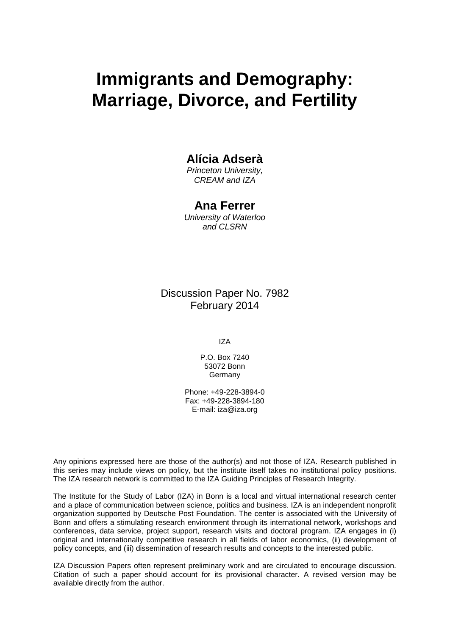# **Immigrants and Demography: Marriage, Divorce, and Fertility**

## **Alícia Adserà**

*Princeton University, CREAM and IZA*

### **Ana Ferrer**

*University of Waterloo and CLSRN*

Discussion Paper No. 7982 February 2014

IZA

P.O. Box 7240 53072 Bonn Germany

Phone: +49-228-3894-0 Fax: +49-228-3894-180 E-mail: [iza@iza.org](mailto:iza@iza.org)

Any opinions expressed here are those of the author(s) and not those of IZA. Research published in this series may include views on policy, but the institute itself takes no institutional policy positions. The IZA research network is committed to the IZA Guiding Principles of Research Integrity.

The Institute for the Study of Labor (IZA) in Bonn is a local and virtual international research center and a place of communication between science, politics and business. IZA is an independent nonprofit organization supported by Deutsche Post Foundation. The center is associated with the University of Bonn and offers a stimulating research environment through its international network, workshops and conferences, data service, project support, research visits and doctoral program. IZA engages in (i) original and internationally competitive research in all fields of labor economics, (ii) development of policy concepts, and (iii) dissemination of research results and concepts to the interested public.

IZA Discussion Papers often represent preliminary work and are circulated to encourage discussion. Citation of such a paper should account for its provisional character. A revised version may be available directly from the author.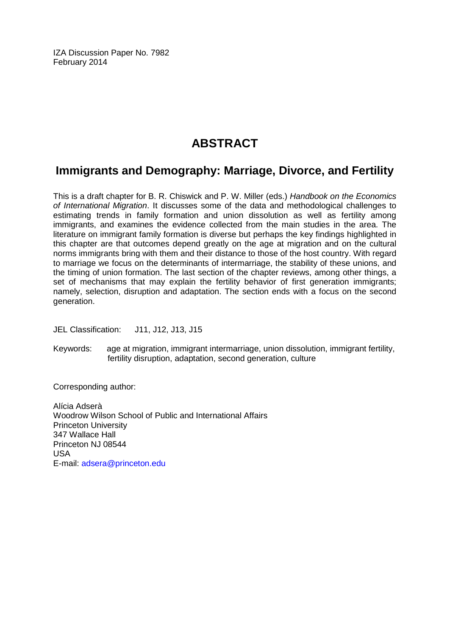IZA Discussion Paper No. 7982 February 2014

# **ABSTRACT**

# **Immigrants and Demography: Marriage, Divorce, and Fertility**

This is a draft chapter for B. R. Chiswick and P. W. Miller (eds.) *Handbook on the Economics of International Migration*. It discusses some of the data and methodological challenges to estimating trends in family formation and union dissolution as well as fertility among immigrants, and examines the evidence collected from the main studies in the area. The literature on immigrant family formation is diverse but perhaps the key findings highlighted in this chapter are that outcomes depend greatly on the age at migration and on the cultural norms immigrants bring with them and their distance to those of the host country. With regard to marriage we focus on the determinants of intermarriage, the stability of these unions, and the timing of union formation. The last section of the chapter reviews, among other things, a set of mechanisms that may explain the fertility behavior of first generation immigrants; namely, selection, disruption and adaptation. The section ends with a focus on the second generation.

JEL Classification: J11, J12, J13, J15

Keywords: age at migration, immigrant intermarriage, union dissolution, immigrant fertility, fertility disruption, adaptation, second generation, culture

Corresponding author:

Alícia Adserà Woodrow Wilson School of Public and International Affairs Princeton University 347 Wallace Hall Princeton NJ 08544 USA E-mail: [adsera@princeton.edu](mailto:adsera@princeton.edu)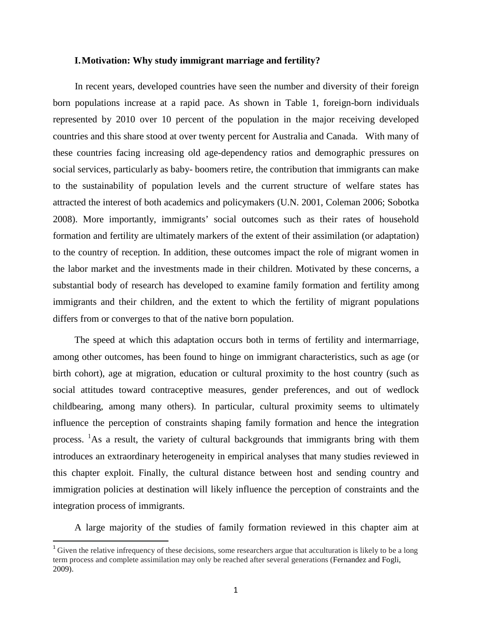#### **I.Motivation: Why study immigrant marriage and fertility?**

In recent years, developed countries have seen the number and diversity of their foreign born populations increase at a rapid pace. As shown in Table 1, foreign-born individuals represented by 2010 over 10 percent of the population in the major receiving developed countries and this share stood at over twenty percent for Australia and Canada. With many of these countries facing increasing old age-dependency ratios and demographic pressures on social services, particularly as baby- boomers retire, the contribution that immigrants can make to the sustainability of population levels and the current structure of welfare states has attracted the interest of both academics and policymakers (U.N. 2001, Coleman 2006; Sobotka 2008). More importantly, immigrants' social outcomes such as their rates of household formation and fertility are ultimately markers of the extent of their assimilation (or adaptation) to the country of reception. In addition, these outcomes impact the role of migrant women in the labor market and the investments made in their children. Motivated by these concerns, a substantial body of research has developed to examine family formation and fertility among immigrants and their children, and the extent to which the fertility of migrant populations differs from or converges to that of the native born population.

The speed at which this adaptation occurs both in terms of fertility and intermarriage, among other outcomes, has been found to hinge on immigrant characteristics, such as age (or birth cohort), age at migration, education or cultural proximity to the host country (such as social attitudes toward contraceptive measures, gender preferences, and out of wedlock childbearing, among many others). In particular, cultural proximity seems to ultimately influence the perception of constraints shaping family formation and hence the integration process. <sup>[1](#page-60-0)</sup>As a result, the variety of cultural backgrounds that immigrants bring with them introduces an extraordinary heterogeneity in empirical analyses that many studies reviewed in this chapter exploit. Finally, the cultural distance between host and sending country and immigration policies at destination will likely influence the perception of constraints and the integration process of immigrants.

A large majority of the studies of family formation reviewed in this chapter aim at

<span id="page-3-0"></span> $<sup>1</sup>$  Given the relative infrequency of these decisions, some researchers argue that acculturation is likely to be a long</sup> term process and complete assimilation may only be reached after several generations (Fernandez and Fogli, 2009).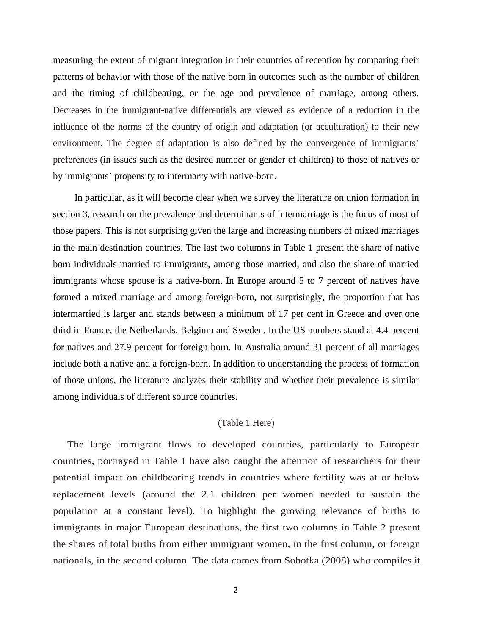measuring the extent of migrant integration in their countries of reception by comparing their patterns of behavior with those of the native born in outcomes such as the number of children and the timing of childbearing, or the age and prevalence of marriage, among others. Decreases in the immigrant-native differentials are viewed as evidence of a reduction in the influence of the norms of the country of origin and adaptation (or acculturation) to their new environment. The degree of adaptation is also defined by the convergence of immigrants' preferences (in issues such as the desired number or gender of children) to those of natives or by immigrants' propensity to intermarry with native-born.

In particular, as it will become clear when we survey the literature on union formation in section 3, research on the prevalence and determinants of intermarriage is the focus of most of those papers. This is not surprising given the large and increasing numbers of mixed marriages in the main destination countries. The last two columns in Table 1 present the share of native born individuals married to immigrants, among those married, and also the share of married immigrants whose spouse is a native-born. In Europe around 5 to 7 percent of natives have formed a mixed marriage and among foreign-born, not surprisingly, the proportion that has intermarried is larger and stands between a minimum of 17 per cent in Greece and over one third in France, the Netherlands, Belgium and Sweden. In the US numbers stand at 4.4 percent for natives and 27.9 percent for foreign born. In Australia around 31 percent of all marriages include both a native and a foreign-born. In addition to understanding the process of formation of those unions, the literature analyzes their stability and whether their prevalence is similar among individuals of different source countries.

#### (Table 1 Here)

The large immigrant flows to developed countries, particularly to European countries, portrayed in Table 1 have also caught the attention of researchers for their potential impact on childbearing trends in countries where fertility was at or below replacement levels (around the 2.1 children per women needed to sustain the population at a constant level). To highlight the growing relevance of births to immigrants in major European destinations, the first two columns in Table 2 present the shares of total births from either immigrant women, in the first column, or foreign nationals, in the second column. The data comes from Sobotka (2008) who compiles it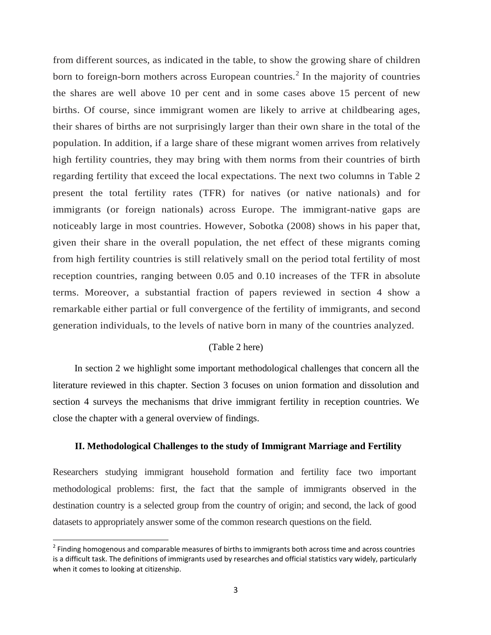from different sources, as indicated in the table, to show the growing share of children born to foreign-born mothers across European countries.<sup>[2](#page-3-0)</sup> In the majority of countries the shares are well above 10 per cent and in some cases above 15 percent of new births. Of course, since immigrant women are likely to arrive at childbearing ages, their shares of births are not surprisingly larger than their own share in the total of the population. In addition, if a large share of these migrant women arrives from relatively high fertility countries, they may bring with them norms from their countries of birth regarding fertility that exceed the local expectations. The next two columns in Table 2 present the total fertility rates (TFR) for natives (or native nationals) and for immigrants (or foreign nationals) across Europe. The immigrant-native gaps are noticeably large in most countries. However, Sobotka (2008) shows in his paper that, given their share in the overall population, the net effect of these migrants coming from high fertility countries is still relatively small on the period total fertility of most reception countries, ranging between 0.05 and 0.10 increases of the TFR in absolute terms. Moreover, a substantial fraction of papers reviewed in section 4 show a remarkable either partial or full convergence of the fertility of immigrants, and second generation individuals, to the levels of native born in many of the countries analyzed.

#### (Table 2 here)

In section 2 we highlight some important methodological challenges that concern all the literature reviewed in this chapter. Section 3 focuses on union formation and dissolution and section 4 surveys the mechanisms that drive immigrant fertility in reception countries. We close the chapter with a general overview of findings.

#### **II. Methodological Challenges to the study of Immigrant Marriage and Fertility**

Researchers studying immigrant household formation and fertility face two important methodological problems: first, the fact that the sample of immigrants observed in the destination country is a selected group from the country of origin; and second, the lack of good datasets to appropriately answer some of the common research questions on the field.

<span id="page-5-0"></span> $<sup>2</sup>$  Finding homogenous and comparable measures of births to immigrants both across time and across countries</sup> is a difficult task. The definitions of immigrants used by researches and official statistics vary widely, particularly when it comes to looking at citizenship.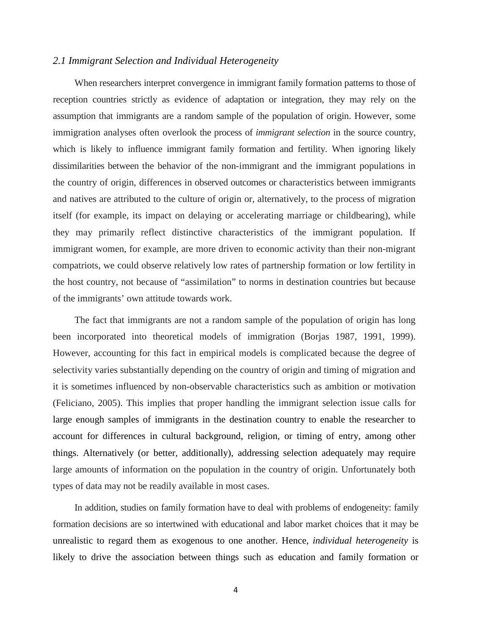#### *2.1 Immigrant Selection and Individual Heterogeneity*

When researchers interpret convergence in immigrant family formation patterns to those of reception countries strictly as evidence of adaptation or integration, they may rely on the assumption that immigrants are a random sample of the population of origin. However, some immigration analyses often overlook the process of *immigrant selection* in the source country, which is likely to influence immigrant family formation and fertility. When ignoring likely dissimilarities between the behavior of the non-immigrant and the immigrant populations in the country of origin, differences in observed outcomes or characteristics between immigrants and natives are attributed to the culture of origin or, alternatively, to the process of migration itself (for example, its impact on delaying or accelerating marriage or childbearing), while they may primarily reflect distinctive characteristics of the immigrant population. If immigrant women, for example, are more driven to economic activity than their non-migrant compatriots, we could observe relatively low rates of partnership formation or low fertility in the host country, not because of "assimilation" to norms in destination countries but because of the immigrants' own attitude towards work.

The fact that immigrants are not a random sample of the population of origin has long been incorporated into theoretical models of immigration (Borjas 1987, 1991, 1999). However, accounting for this fact in empirical models is complicated because the degree of selectivity varies substantially depending on the country of origin and timing of migration and it is sometimes influenced by non-observable characteristics such as ambition or motivation (Feliciano, 2005). This implies that proper handling the immigrant selection issue calls for large enough samples of immigrants in the destination country to enable the researcher to account for differences in cultural background, religion, or timing of entry, among other things. Alternatively (or better, additionally), addressing selection adequately may require large amounts of information on the population in the country of origin. Unfortunately both types of data may not be readily available in most cases.

In addition, studies on family formation have to deal with problems of endogeneity: family formation decisions are so intertwined with educational and labor market choices that it may be unrealistic to regard them as exogenous to one another. Hence, *individual heterogeneity* is likely to drive the association between things such as education and family formation or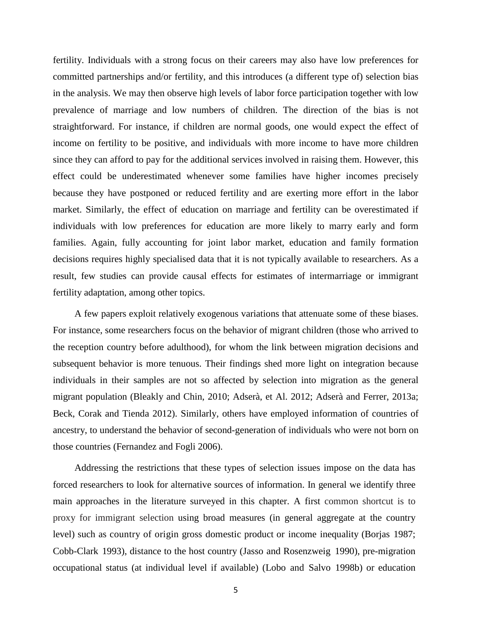fertility. Individuals with a strong focus on their careers may also have low preferences for committed partnerships and/or fertility, and this introduces (a different type of) selection bias in the analysis. We may then observe high levels of labor force participation together with low prevalence of marriage and low numbers of children. The direction of the bias is not straightforward. For instance, if children are normal goods, one would expect the effect of income on fertility to be positive, and individuals with more income to have more children since they can afford to pay for the additional services involved in raising them. However, this effect could be underestimated whenever some families have higher incomes precisely because they have postponed or reduced fertility and are exerting more effort in the labor market. Similarly, the effect of education on marriage and fertility can be overestimated if individuals with low preferences for education are more likely to marry early and form families. Again, fully accounting for joint labor market, education and family formation decisions requires highly specialised data that it is not typically available to researchers. As a result, few studies can provide causal effects for estimates of intermarriage or immigrant fertility adaptation, among other topics.

A few papers exploit relatively exogenous variations that attenuate some of these biases. For instance, some researchers focus on the behavior of migrant children (those who arrived to the reception country before adulthood), for whom the link between migration decisions and subsequent behavior is more tenuous. Their findings shed more light on integration because individuals in their samples are not so affected by selection into migration as the general migrant population (Bleakly and Chin, 2010; Adserà, et Al. 2012; Adserà and Ferrer, 2013a; Beck, Corak and Tienda 2012). Similarly, others have employed information of countries of ancestry, to understand the behavior of second-generation of individuals who were not born on those countries (Fernandez and Fogli 2006).

Addressing the restrictions that these types of selection issues impose on the data has forced researchers to look for alternative sources of information. In general we identify three main approaches in the literature surveyed in this chapter. A first common shortcut is to proxy for immigrant selection using broad measures (in general aggregate at the country level) such as country of origin gross domestic product or income inequality (Borjas 1987; Cobb-Clark 1993), distance to the host country (Jasso and Rosenzweig 1990), pre-migration occupational status (at individual level if available) (Lobo and Salvo 1998b) or education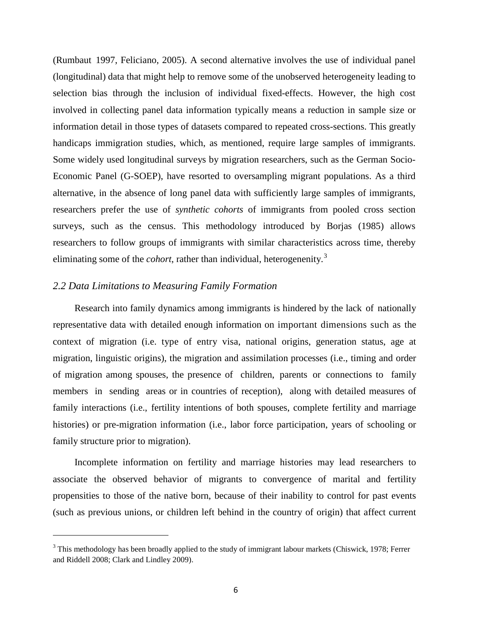(Rumbaut 1997, Feliciano, 2005). A second alternative involves the use of individual panel (longitudinal) data that might help to remove some of the unobserved heterogeneity leading to selection bias through the inclusion of individual fixed-effects. However, the high cost involved in collecting panel data information typically means a reduction in sample size or information detail in those types of datasets compared to repeated cross-sections. This greatly handicaps immigration studies, which, as mentioned, require large samples of immigrants. Some widely used longitudinal surveys by migration researchers, such as the German Socio-Economic Panel (G-SOEP), have resorted to oversampling migrant populations. As a third alternative, in the absence of long panel data with sufficiently large samples of immigrants, researchers prefer the use of *synthetic cohorts* of immigrants from pooled cross section surveys, such as the census. This methodology introduced by Borjas (1985) allows researchers to follow groups of immigrants with similar characteristics across time, thereby eliminating some of the *cohort*, rather than individual, heterogenenity. [3](#page-5-0)

#### *2.2 Data Limitations to Measuring Family Formation*

<span id="page-8-0"></span> $\overline{\phantom{a}}$ 

Research into family dynamics among immigrants is hindered by the lack of nationally representative data with detailed enough information on important dimensions such as the context of migration (i.e. type of entry visa, national origins, generation status, age at migration, linguistic origins), the migration and assimilation processes (i.e., timing and order of migration among spouses, the presence of children, parents or connections to family members in sending areas or in countries of reception), along with detailed measures of family interactions (i.e., fertility intentions of both spouses, complete fertility and marriage histories) or pre-migration information (i.e., labor force participation, years of schooling or family structure prior to migration).

Incomplete information on fertility and marriage histories may lead researchers to associate the observed behavior of migrants to convergence of marital and fertility propensities to those of the native born, because of their inability to control for past events (such as previous unions, or children left behind in the country of origin) that affect current

 $3$  This methodology has been broadly applied to the study of immigrant labour markets (Chiswick, 1978; Ferrer and Riddell 2008; Clark and Lindley 2009).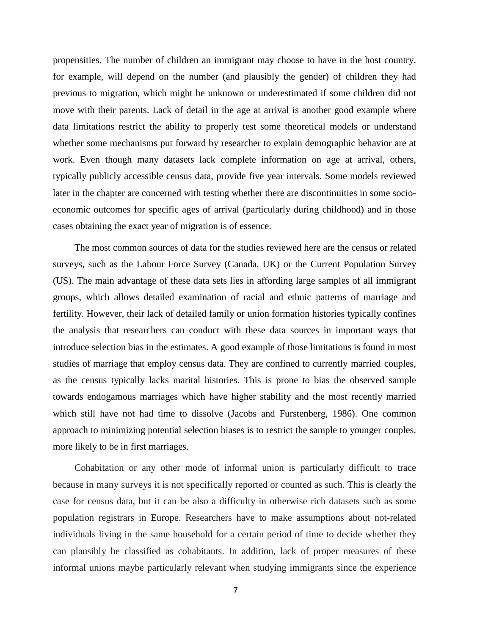propensities. The number of children an immigrant may choose to have in the host country, for example, will depend on the number (and plausibly the gender) of children they had previous to migration, which might be unknown or underestimated if some children did not move with their parents. Lack of detail in the age at arrival is another good example where data limitations restrict the ability to properly test some theoretical models or understand whether some mechanisms put forward by researcher to explain demographic behavior are at work. Even though many datasets lack complete information on age at arrival, others, typically publicly accessible census data, provide five year intervals. Some models reviewed later in the chapter are concerned with testing whether there are discontinuities in some socioeconomic outcomes for specific ages of arrival (particularly during childhood) and in those cases obtaining the exact year of migration is of essence.

The most common sources of data for the studies reviewed here are the census or related surveys, such as the Labour Force Survey (Canada, UK) or the Current Population Survey (US). The main advantage of these data sets lies in affording large samples of all immigrant groups, which allows detailed examination of racial and ethnic patterns of marriage and fertility. However, their lack of detailed family or union formation histories typically confines the analysis that researchers can conduct with these data sources in important ways that introduce selection bias in the estimates. A good example of those limitations is found in most studies of marriage that employ census data. They are confined to currently married couples, as the census typically lacks marital histories. This is prone to bias the observed sample towards endogamous marriages which have higher stability and the most recently married which still have not had time to dissolve (Jacobs and Furstenberg, 1986). One common approach to minimizing potential selection biases is to restrict the sample to younger couples, more likely to be in first marriages.

Cohabitation or any other mode of informal union is particularly difficult to trace because in many surveys it is not specifically reported or counted as such. This is clearly the case for census data, but it can be also a difficulty in otherwise rich datasets such as some population registrars in Europe. Researchers have to make assumptions about not-related individuals living in the same household for a certain period of time to decide whether they can plausibly be classified as cohabitants. In addition, lack of proper measures of these informal unions maybe particularly relevant when studying immigrants since the experience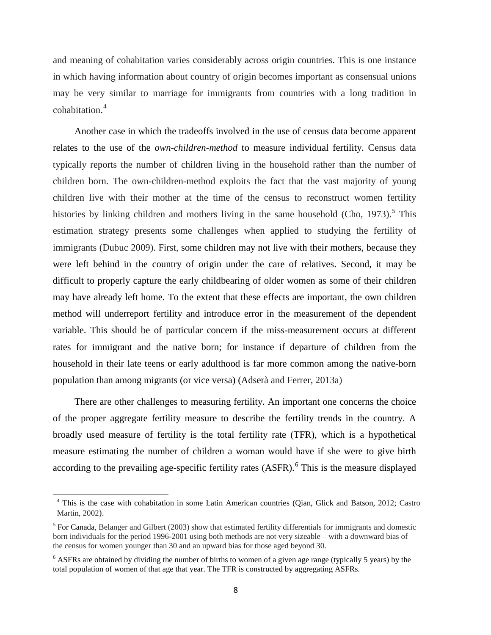and meaning of cohabitation varies considerably across origin countries. This is one instance in which having information about country of origin becomes important as consensual unions may be very similar to marriage for immigrants from countries with a long tradition in cohabitation.[4](#page-8-0)

Another case in which the tradeoffs involved in the use of census data become apparent relates to the use of the *own-children-method* to measure individual fertility. Census data typically reports the number of children living in the household rather than the number of children born. The own-children-method exploits the fact that the vast majority of young children live with their mother at the time of the census to reconstruct women fertility histories by linking children and mothers living in the same household (Cho,  $1973$ ).<sup>[5](#page-10-0)</sup> This estimation strategy presents some challenges when applied to studying the fertility of immigrants (Dubuc 2009). First, some children may not live with their mothers, because they were left behind in the country of origin under the care of relatives. Second, it may be difficult to properly capture the early childbearing of older women as some of their children may have already left home. To the extent that these effects are important, the own children method will underreport fertility and introduce error in the measurement of the dependent variable. This should be of particular concern if the miss-measurement occurs at different rates for immigrant and the native born; for instance if departure of children from the household in their late teens or early adulthood is far more common among the native-born population than among migrants (or vice versa) (Adserà and Ferrer, 2013a)

There are other challenges to measuring fertility. An important one concerns the choice of the proper aggregate fertility measure to describe the fertility trends in the country. A broadly used measure of fertility is the total fertility rate (TFR), which is a hypothetical measure estimating the number of children a woman would have if she were to give birth according to the prevailing age-specific fertility rates  $(ASFR)$ .<sup>[6](#page-10-1)</sup> This is the measure displayed

<sup>&</sup>lt;sup>4</sup> This is the case with cohabitation in some Latin American countries (Qian, Glick and Batson, 2012; Castro Martin, 2002).

<span id="page-10-0"></span> $<sup>5</sup>$  For Canada, Belanger and Gilbert (2003) show that estimated fertility differentials for immigrants and domestic</sup> born individuals for the period 1996-2001 using both methods are not very sizeable – with a downward bias of the census for women younger than 30 and an upward bias for those aged beyond 30.

<span id="page-10-2"></span><span id="page-10-1"></span><sup>&</sup>lt;sup>6</sup> ASFRs are obtained by dividing the number of births to women of a given age range (typically 5 years) by the total population of women of that age that year. The TFR is constructed by aggregating ASFRs.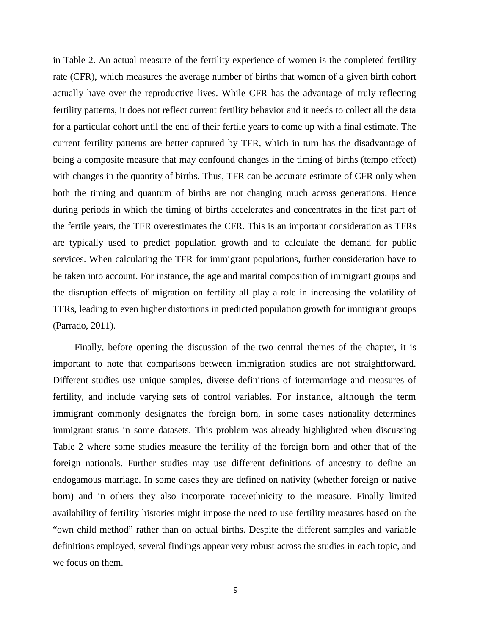in Table 2. An actual measure of the fertility experience of women is the completed fertility rate (CFR), which measures the average number of births that women of a given birth cohort actually have over the reproductive lives. While CFR has the advantage of truly reflecting fertility patterns, it does not reflect current fertility behavior and it needs to collect all the data for a particular cohort until the end of their fertile years to come up with a final estimate. The current fertility patterns are better captured by TFR, which in turn has the disadvantage of being a composite measure that may confound changes in the timing of births (tempo effect) with changes in the quantity of births. Thus, TFR can be accurate estimate of CFR only when both the timing and quantum of births are not changing much across generations. Hence during periods in which the timing of births accelerates and concentrates in the first part of the fertile years, the TFR overestimates the CFR. This is an important consideration as TFRs are typically used to predict population growth and to calculate the demand for public services. When calculating the TFR for immigrant populations, further consideration have to be taken into account. For instance, the age and marital composition of immigrant groups and the disruption effects of migration on fertility all play a role in increasing the volatility of TFRs, leading to even higher distortions in predicted population growth for immigrant groups (Parrado, 2011).

Finally, before opening the discussion of the two central themes of the chapter, it is important to note that comparisons between immigration studies are not straightforward. Different studies use unique samples, diverse definitions of intermarriage and measures of fertility, and include varying sets of control variables. For instance, although the term immigrant commonly designates the foreign born, in some cases nationality determines immigrant status in some datasets. This problem was already highlighted when discussing Table 2 where some studies measure the fertility of the foreign born and other that of the foreign nationals. Further studies may use different definitions of ancestry to define an endogamous marriage. In some cases they are defined on nativity (whether foreign or native born) and in others they also incorporate race/ethnicity to the measure. Finally limited availability of fertility histories might impose the need to use fertility measures based on the "own child method" rather than on actual births. Despite the different samples and variable definitions employed, several findings appear very robust across the studies in each topic, and we focus on them.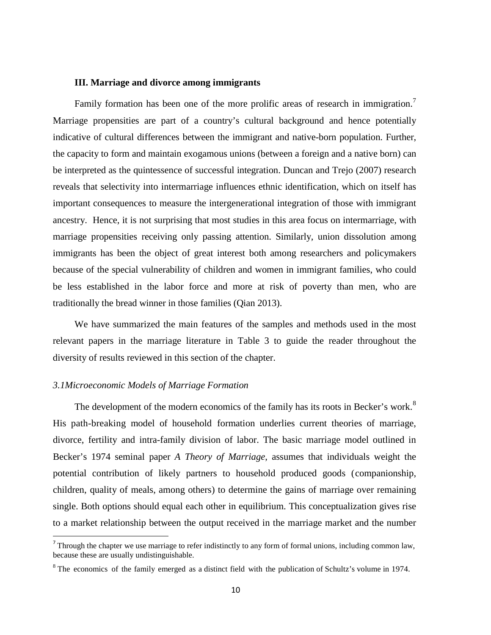#### **III. Marriage and divorce among immigrants**

Family formation has been one of the more prolific areas of research in immigration.<sup>[7](#page-10-2)</sup> Marriage propensities are part of a country's cultural background and hence potentially indicative of cultural differences between the immigrant and native-born population. Further, the capacity to form and maintain exogamous unions (between a foreign and a native born) can be interpreted as the quintessence of successful integration. Duncan and Trejo (2007) research reveals that selectivity into intermarriage influences ethnic identification, which on itself has important consequences to measure the intergenerational integration of those with immigrant ancestry. Hence, it is not surprising that most studies in this area focus on intermarriage, with marriage propensities receiving only passing attention. Similarly, union dissolution among immigrants has been the object of great interest both among researchers and policymakers because of the special vulnerability of children and women in immigrant families, who could be less established in the labor force and more at risk of poverty than men, who are traditionally the bread winner in those families (Qian 2013).

We have summarized the main features of the samples and methods used in the most relevant papers in the marriage literature in Table 3 to guide the reader throughout the diversity of results reviewed in this section of the chapter.

#### *3.1Microeconomic Models of Marriage Formation*

The development of the modern economics of the family has its roots in Becker's work.<sup>[8](#page-12-0)</sup> His path-breaking model of household formation underlies current theories of marriage, divorce, fertility and intra-family division of labor. The basic marriage model outlined in Becker's 1974 seminal paper *A Theory of Marriage*, assumes that individuals weight the potential contribution of likely partners to household produced goods (companionship, children, quality of meals, among others) to determine the gains of marriage over remaining single. Both options should equal each other in equilibrium. This conceptualization gives rise to a market relationship between the output received in the marriage market and the number

 $<sup>7</sup>$  Through the chapter we use marriage to refer indistinctly to any form of formal unions, including common law,</sup> because these are usually undistinguishable.

<span id="page-12-1"></span><span id="page-12-0"></span><sup>&</sup>lt;sup>8</sup> The economics of the family emerged as a distinct field with the publication of Schultz's volume in 1974.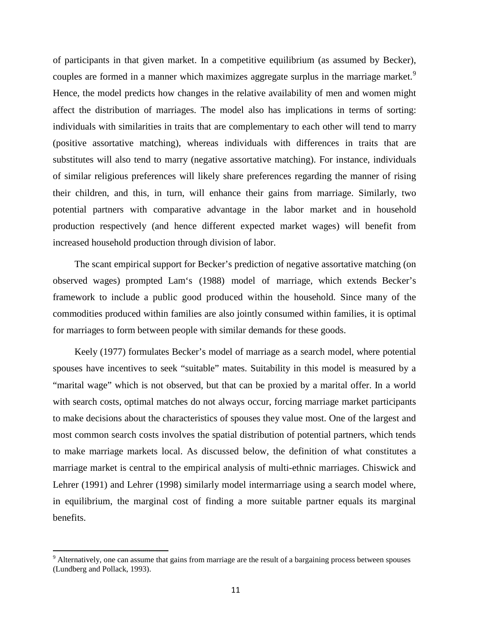of participants in that given market. In a competitive equilibrium (as assumed by Becker), couples are formed in a manner which maximizes aggregate surplus in the marriage market.<sup>[9](#page-12-1)</sup> Hence, the model predicts how changes in the relative availability of men and women might affect the distribution of marriages. The model also has implications in terms of sorting: individuals with similarities in traits that are complementary to each other will tend to marry (positive assortative matching), whereas individuals with differences in traits that are substitutes will also tend to marry (negative assortative matching). For instance, individuals of similar religious preferences will likely share preferences regarding the manner of rising their children, and this, in turn, will enhance their gains from marriage. Similarly, two potential partners with comparative advantage in the labor market and in household production respectively (and hence different expected market wages) will benefit from increased household production through division of labor.

The scant empirical support for Becker's prediction of negative assortative matching (on observed wages) prompted Lam's (1988) model of marriage, which extends Becker's framework to include a public good produced within the household. Since many of the commodities produced within families are also jointly consumed within families, it is optimal for marriages to form between people with similar demands for these goods.

Keely (1977) formulates Becker's model of marriage as a search model, where potential spouses have incentives to seek "suitable" mates. Suitability in this model is measured by a "marital wage" which is not observed, but that can be proxied by a marital offer. In a world with search costs, optimal matches do not always occur, forcing marriage market participants to make decisions about the characteristics of spouses they value most. One of the largest and most common search costs involves the spatial distribution of potential partners, which tends to make marriage markets local. As discussed below, the definition of what constitutes a marriage market is central to the empirical analysis of multi-ethnic marriages. Chiswick and Lehrer (1991) and Lehrer (1998) similarly model intermarriage using a search model where, in equilibrium, the marginal cost of finding a more suitable partner equals its marginal benefits.

<span id="page-13-0"></span><sup>&</sup>lt;sup>9</sup> Alternatively, one can assume that gains from marriage are the result of a bargaining process between spouses (Lundberg and Pollack, 1993).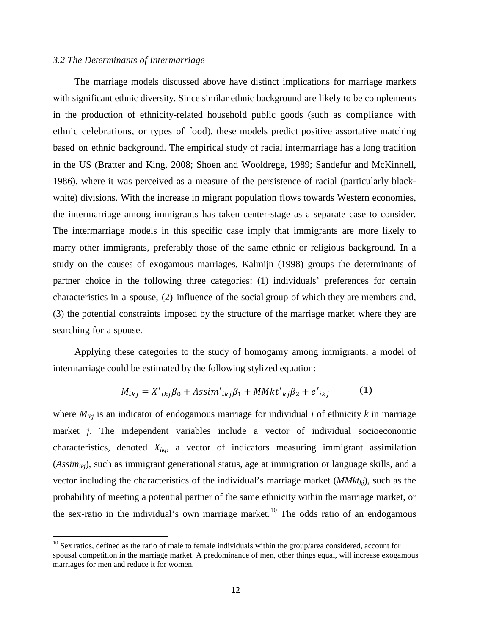#### *3.2 The Determinants of Intermarriage*

The marriage models discussed above have distinct implications for marriage markets with significant ethnic diversity. Since similar ethnic background are likely to be complements in the production of ethnicity-related household public goods (such as compliance with ethnic celebrations, or types of food), these models predict positive assortative matching based on ethnic background. The empirical study of racial intermarriage has a long tradition in the US (Bratter and King, 2008; Shoen and Wooldrege, 1989; Sandefur and McKinnell, 1986), where it was perceived as a measure of the persistence of racial (particularly blackwhite) divisions. With the increase in migrant population flows towards Western economies, the intermarriage among immigrants has taken center-stage as a separate case to consider. The intermarriage models in this specific case imply that immigrants are more likely to marry other immigrants, preferably those of the same ethnic or religious background. In a study on the causes of exogamous marriages, Kalmijn (1998) groups the determinants of partner choice in the following three categories: (1) individuals' preferences for certain characteristics in a spouse, (2) influence of the social group of which they are members and, (3) the potential constraints imposed by the structure of the marriage market where they are searching for a spouse.

Applying these categories to the study of homogamy among immigrants, a model of intermarriage could be estimated by the following stylized equation:

$$
M_{ikj} = X'_{ikj}\beta_0 + Assim'_{ikj}\beta_1 + MMkt'_{kj}\beta_2 + e'_{ikj}
$$
 (1)

<span id="page-14-0"></span>where  $M_{ikj}$  is an indicator of endogamous marriage for individual *i* of ethnicity *k* in marriage market *j*. The independent variables include a vector of individual socioeconomic characteristics, denoted *Xikj*, a vector of indicators measuring immigrant assimilation (*Assimikj*), such as immigrant generational status, age at immigration or language skills, and a vector including the characteristics of the individual's marriage market  $(MMkt_{ki})$ , such as the probability of meeting a potential partner of the same ethnicity within the marriage market, or the sex-ratio in the individual's own marriage market.<sup>[10](#page-13-0)</sup> The odds ratio of an endogamous

 $10$  Sex ratios, defined as the ratio of male to female individuals within the group/area considered, account for spousal competition in the marriage market. A predominance of men, other things equal, will increase exogamous marriages for men and reduce it for women.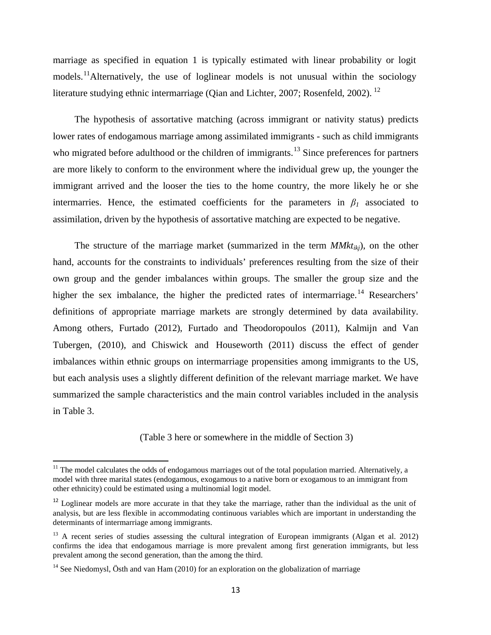marriage as specified in equation 1 is typically estimated with linear probability or logit models.[11](#page-14-0)Alternatively, the use of loglinear models is not unusual within the sociology literature studying ethnic intermarriage (Oian and Lichter, 2007; Rosenfeld, 2002).<sup>12</sup>

The hypothesis of assortative matching (across immigrant or nativity status) predicts lower rates of endogamous marriage among assimilated immigrants - such as child immigrants who migrated before adulthood or the children of immigrants.<sup>[13](#page-15-1)</sup> Since preferences for partners are more likely to conform to the environment where the individual grew up, the younger the immigrant arrived and the looser the ties to the home country, the more likely he or she intermarries. Hence, the estimated coefficients for the parameters in  $\beta_l$  associated to assimilation, driven by the hypothesis of assortative matching are expected to be negative.

The structure of the marriage market (summarized in the term  $MMkt_{ikj}$ ), on the other hand, accounts for the constraints to individuals' preferences resulting from the size of their own group and the gender imbalances within groups. The smaller the group size and the higher the sex imbalance, the higher the predicted rates of intermarriage.<sup>[14](#page-15-2)</sup> Researchers' definitions of appropriate marriage markets are strongly determined by data availability. Among others, Furtado (2012), Furtado and Theodoropoulos (2011), Kalmijn and Van Tubergen, (2010), and Chiswick and Houseworth (2011) discuss the effect of gender imbalances within ethnic groups on intermarriage propensities among immigrants to the US, but each analysis uses a slightly different definition of the relevant marriage market. We have summarized the sample characteristics and the main control variables included in the analysis in Table 3.

(Table 3 here or somewhere in the middle of Section 3)

<sup>&</sup>lt;sup>11</sup> The model calculates the odds of endogamous marriages out of the total population married. Alternatively, a model with three marital states (endogamous, exogamous to a native born or exogamous to an immigrant from other ethnicity) could be estimated using a multinomial logit model.

<span id="page-15-0"></span><sup>&</sup>lt;sup>12</sup> Loglinear models are more accurate in that they take the marriage, rather than the individual as the unit of analysis, but are less flexible in accommodating continuous variables which are important in understanding the determinants of intermarriage among immigrants.

<span id="page-15-1"></span> $13$  A recent series of studies assessing the cultural integration of European immigrants (Algan et al. 2012) confirms the idea that endogamous marriage is more prevalent among first generation immigrants, but less prevalent among the second generation, than the among the third.

<span id="page-15-3"></span><span id="page-15-2"></span> $14$  See Niedomysl, Östh and van Ham (2010) for an exploration on the globalization of marriage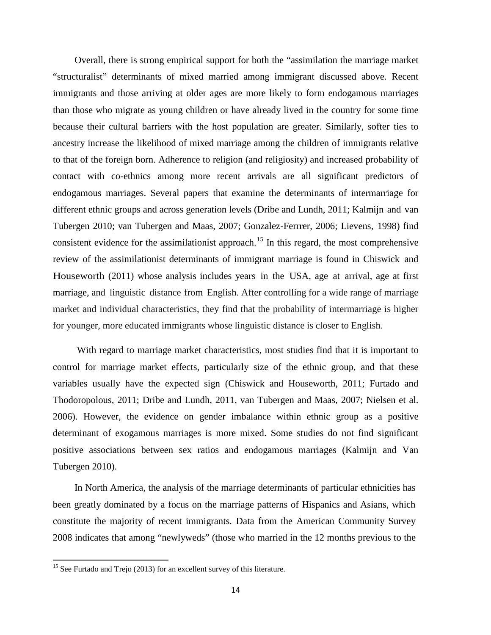Overall, there is strong empirical support for both the "assimilation the marriage market "structuralist" determinants of mixed married among immigrant discussed above. Recent immigrants and those arriving at older ages are more likely to form endogamous marriages than those who migrate as young children or have already lived in the country for some time because their cultural barriers with the host population are greater. Similarly, softer ties to ancestry increase the likelihood of mixed marriage among the children of immigrants relative to that of the foreign born. Adherence to religion (and religiosity) and increased probability of contact with co-ethnics among more recent arrivals are all significant predictors of endogamous marriages. Several papers that examine the determinants of intermarriage for different ethnic groups and across generation levels (Dribe and Lundh, 2011; Kalmijn and van Tubergen 2010; van Tubergen and Maas, 2007; Gonzalez-Ferrrer, 2006; Lievens, 1998) find consistent evidence for the assimilationist approach.<sup>[15](#page-15-3)</sup> In this regard, the most comprehensive review of the assimilationist determinants of immigrant marriage is found in Chiswick and Houseworth (2011) whose analysis includes years in the USA, age at arrival, age at first marriage, and linguistic distance from English. After controlling for a wide range of marriage market and individual characteristics, they find that the probability of intermarriage is higher for younger, more educated immigrants whose linguistic distance is closer to English.

With regard to marriage market characteristics, most studies find that it is important to control for marriage market effects, particularly size of the ethnic group, and that these variables usually have the expected sign (Chiswick and Houseworth, 2011; Furtado and Thodoropolous, 2011; Dribe and Lundh, 2011, van Tubergen and Maas, 2007; Nielsen et al. 2006). However, the evidence on gender imbalance within ethnic group as a positive determinant of exogamous marriages is more mixed. Some studies do not find significant positive associations between sex ratios and endogamous marriages (Kalmijn and Van Tubergen 2010).

In North America, the analysis of the marriage determinants of particular ethnicities has been greatly dominated by a focus on the marriage patterns of Hispanics and Asians, which constitute the majority of recent immigrants. Data from the American Community Survey 2008 indicates that among "newlyweds" (those who married in the 12 months previous to the

<span id="page-16-0"></span><sup>&</sup>lt;sup>15</sup> See Furtado and Trejo (2013) for an excellent survey of this literature.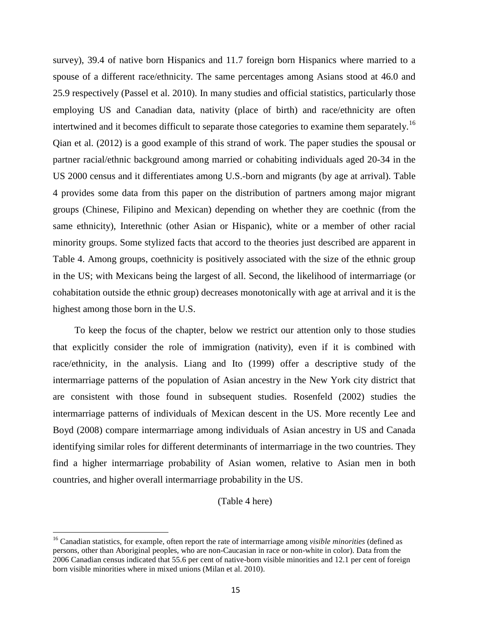survey), 39.4 of native born Hispanics and 11.7 foreign born Hispanics where married to a spouse of a different race/ethnicity. The same percentages among Asians stood at 46.0 and 25.9 respectively (Passel et al. 2010). In many studies and official statistics, particularly those employing US and Canadian data, nativity (place of birth) and race/ethnicity are often intertwined and it becomes difficult to separate those categories to examine them separately.<sup>[16](#page-16-0)</sup> Qian et al. (2012) is a good example of this strand of work. The paper studies the spousal or partner racial/ethnic background among married or cohabiting individuals aged 20-34 in the US 2000 census and it differentiates among U.S.-born and migrants (by age at arrival). Table 4 provides some data from this paper on the distribution of partners among major migrant groups (Chinese, Filipino and Mexican) depending on whether they are coethnic (from the same ethnicity), Interethnic (other Asian or Hispanic), white or a member of other racial minority groups. Some stylized facts that accord to the theories just described are apparent in Table 4. Among groups, coethnicity is positively associated with the size of the ethnic group in the US; with Mexicans being the largest of all. Second, the likelihood of intermarriage (or cohabitation outside the ethnic group) decreases monotonically with age at arrival and it is the highest among those born in the U.S.

To keep the focus of the chapter, below we restrict our attention only to those studies that explicitly consider the role of immigration (nativity), even if it is combined with race/ethnicity, in the analysis. Liang and Ito (1999) offer a descriptive study of the intermarriage patterns of the population of Asian ancestry in the New York city district that are consistent with those found in subsequent studies. Rosenfeld (2002) studies the intermarriage patterns of individuals of Mexican descent in the US. More recently Lee and Boyd (2008) compare intermarriage among individuals of Asian ancestry in US and Canada identifying similar roles for different determinants of intermarriage in the two countries. They find a higher intermarriage probability of Asian women, relative to Asian men in both countries, and higher overall intermarriage probability in the US.

(Table 4 here)

<span id="page-17-0"></span><sup>&</sup>lt;sup>16</sup> Canadian statistics, for example, often report the rate of intermarriage among *visible minorities* (defined as persons, other than Aboriginal peoples, who are non-Caucasian in race or non-white in color). Data from the 2006 Canadian census indicated that 55.6 per cent of native-born visible minorities and 12.1 per cent of foreign born visible minorities where in mixed unions (Milan et al. 2010).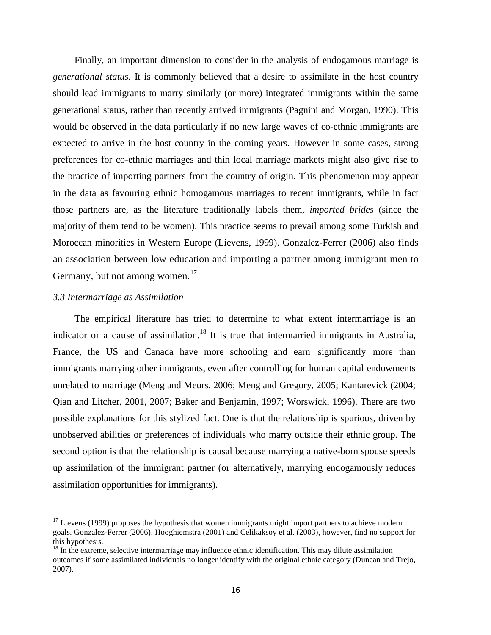Finally, an important dimension to consider in the analysis of endogamous marriage is *generational status*. It is commonly believed that a desire to assimilate in the host country should lead immigrants to marry similarly (or more) integrated immigrants within the same generational status, rather than recently arrived immigrants (Pagnini and Morgan, 1990). This would be observed in the data particularly if no new large waves of co-ethnic immigrants are expected to arrive in the host country in the coming years. However in some cases, strong preferences for co-ethnic marriages and thin local marriage markets might also give rise to the practice of importing partners from the country of origin. This phenomenon may appear in the data as favouring ethnic homogamous marriages to recent immigrants, while in fact those partners are, as the literature traditionally labels them, *imported brides* (since the majority of them tend to be women). This practice seems to prevail among some Turkish and Moroccan minorities in Western Europe (Lievens, 1999). Gonzalez-Ferrer (2006) also finds an association between low education and importing a partner among immigrant men to Germany, but not among women.<sup>[17](#page-17-0)</sup>

#### *3.3 Intermarriage as Assimilation*

 $\overline{\phantom{a}}$ 

The empirical literature has tried to determine to what extent intermarriage is an indicator or a cause of assimilation.<sup>[18](#page-18-0)</sup> It is true that intermarried immigrants in Australia, France, the US and Canada have more schooling and earn significantly more than immigrants marrying other immigrants, even after controlling for human capital endowments unrelated to marriage (Meng and Meurs, 2006; Meng and Gregory, 2005; Kantarevick (2004; Qian and Litcher, 2001, 2007; Baker and Benjamin, 1997; Worswick, 1996). There are two possible explanations for this stylized fact. One is that the relationship is spurious, driven by unobserved abilities or preferences of individuals who marry outside their ethnic group. The second option is that the relationship is causal because marrying a native-born spouse speeds up assimilation of the immigrant partner (or alternatively, marrying endogamously reduces assimilation opportunities for immigrants).

<span id="page-18-1"></span> $17$  Lievens (1999) proposes the hypothesis that women immigrants might import partners to achieve modern goals. Gonzalez-Ferrer (2006), Hooghiemstra (2001) and Celikaksoy et al. (2003), however, find no support for this hypothesis.<br><sup>18</sup> In the extreme, selective intermarriage may influence ethnic identification. This may dilute assimilation

<span id="page-18-0"></span>outcomes if some assimilated individuals no longer identify with the original ethnic category (Duncan and Trejo, 2007).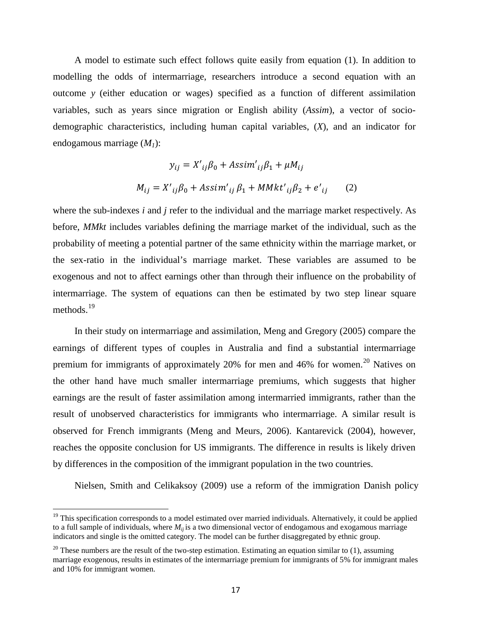A model to estimate such effect follows quite easily from equation (1). In addition to modelling the odds of intermarriage, researchers introduce a second equation with an outcome *y* (either education or wages) specified as a function of different assimilation variables, such as years since migration or English ability (*Assim*), a vector of sociodemographic characteristics, including human capital variables, (*X*), and an indicator for endogamous marriage  $(M_1)$ :

$$
y_{ij} = X'_{ij}\beta_0 + Assim'_{ij}\beta_1 + \mu M_{ij}
$$

$$
M_{ij} = X'_{ij}\beta_0 + Assim'_{ij}\beta_1 + MMkt'_{ij}\beta_2 + e'_{ij}
$$
 (2)

where the sub-indexes *i* and *j* refer to the individual and the marriage market respectively. As before, *MMkt* includes variables defining the marriage market of the individual, such as the probability of meeting a potential partner of the same ethnicity within the marriage market, or the sex-ratio in the individual's marriage market. These variables are assumed to be exogenous and not to affect earnings other than through their influence on the probability of intermarriage. The system of equations can then be estimated by two step linear square methods.<sup>[19](#page-18-1)</sup>

In their study on intermarriage and assimilation, Meng and Gregory (2005) compare the earnings of different types of couples in Australia and find a substantial intermarriage premium for immigrants of approximately [20](#page-19-0)% for men and 46% for women.<sup>20</sup> Natives on the other hand have much smaller intermarriage premiums, which suggests that higher earnings are the result of faster assimilation among intermarried immigrants, rather than the result of unobserved characteristics for immigrants who intermarriage. A similar result is observed for French immigrants (Meng and Meurs, 2006). Kantarevick (2004), however, reaches the opposite conclusion for US immigrants. The difference in results is likely driven by differences in the composition of the immigrant population in the two countries.

Nielsen, Smith and Celikaksoy (2009) use a reform of the immigration Danish policy

 $19$  This specification corresponds to a model estimated over married individuals. Alternatively, it could be applied to a full sample of individuals, where  $M_{ii}$  is a two dimensional vector of endogamous and exogamous marriage indicators and single is the omitted category. The model can be further disaggregated by ethnic group.

<span id="page-19-1"></span><span id="page-19-0"></span> $20$  These numbers are the result of the two-step estimation. Estimating an equation similar to (1), assuming marriage exogenous, results in estimates of the intermarriage premium for immigrants of 5% for immigrant males and 10% for immigrant women.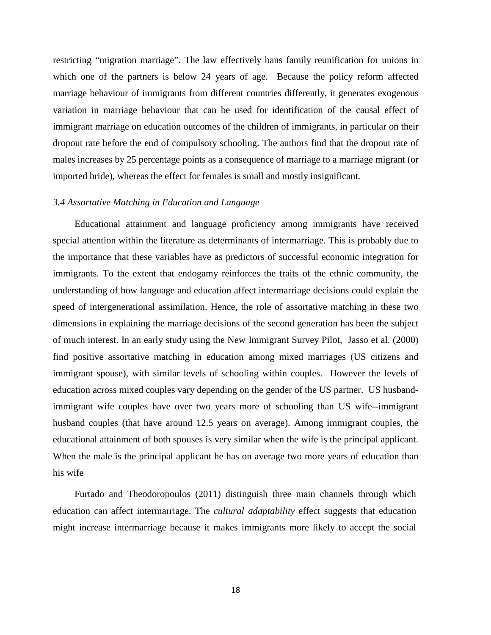restricting "migration marriage". The law effectively bans family reunification for unions in which one of the partners is below 24 years of age. Because the policy reform affected marriage behaviour of immigrants from different countries differently, it generates exogenous variation in marriage behaviour that can be used for identification of the causal effect of immigrant marriage on education outcomes of the children of immigrants, in particular on their dropout rate before the end of compulsory schooling. The authors find that the dropout rate of males increases by 25 percentage points as a consequence of marriage to a marriage migrant (or imported bride), whereas the effect for females is small and mostly insignificant.

#### *3.4 Assortative Matching in Education and Language*

Educational attainment and language proficiency among immigrants have received special attention within the literature as determinants of intermarriage. This is probably due to the importance that these variables have as predictors of successful economic integration for immigrants. To the extent that endogamy reinforces the traits of the ethnic community, the understanding of how language and education affect intermarriage decisions could explain the speed of intergenerational assimilation. Hence, the role of assortative matching in these two dimensions in explaining the marriage decisions of the second generation has been the subject of much interest. In an early study using the New Immigrant Survey Pilot, Jasso et al. (2000) find positive assortative matching in education among mixed marriages (US citizens and immigrant spouse), with similar levels of schooling within couples. However the levels of education across mixed couples vary depending on the gender of the US partner. US husbandimmigrant wife couples have over two years more of schooling than US wife--immigrant husband couples (that have around 12.5 years on average). Among immigrant couples, the educational attainment of both spouses is very similar when the wife is the principal applicant. When the male is the principal applicant he has on average two more years of education than his wife

Furtado and Theodoropoulos (2011) distinguish three main channels through which education can affect intermarriage. The *cultural adaptability* effect suggests that education might increase intermarriage because it makes immigrants more likely to accept the social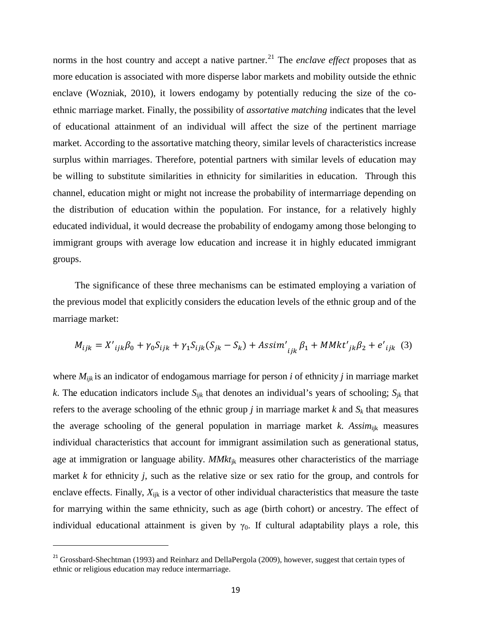norms in the host country and accept a native partner. [21](#page-19-1) The *enclave effect* proposes that as more education is associated with more disperse labor markets and mobility outside the ethnic enclave (Wozniak, 2010), it lowers endogamy by potentially reducing the size of the coethnic marriage market. Finally, the possibility of *assortative matching* indicates that the level of educational attainment of an individual will affect the size of the pertinent marriage market. According to the assortative matching theory, similar levels of characteristics increase surplus within marriages. Therefore, potential partners with similar levels of education may be willing to substitute similarities in ethnicity for similarities in education. Through this channel, education might or might not increase the probability of intermarriage depending on the distribution of education within the population. For instance, for a relatively highly educated individual, it would decrease the probability of endogamy among those belonging to immigrant groups with average low education and increase it in highly educated immigrant groups.

The significance of these three mechanisms can be estimated employing a variation of the previous model that explicitly considers the education levels of the ethnic group and of the marriage market:

$$
M_{ijk} = X'_{ijk}\beta_0 + \gamma_0 S_{ijk} + \gamma_1 S_{ijk}(S_{jk} - S_k) + Assim'_{ijk}\beta_1 + MMkt'_{jk}\beta_2 + e'_{ijk}
$$
 (3)

where *Mijk* is an indicator of endogamous marriage for person *i* of ethnicity *j* in marriage market *k*. The education indicators include  $S_{ijk}$  that denotes an individual's years of schooling;  $S_{jk}$  that refers to the average schooling of the ethnic group  $j$  in marriage market  $k$  and  $S_k$  that measures the average schooling of the general population in marriage market  $k$ . Assim<sub>ijk</sub> measures individual characteristics that account for immigrant assimilation such as generational status, age at immigration or language ability. *MMkt*<sub>ik</sub> measures other characteristics of the marriage market *k* for ethnicity *j*, such as the relative size or sex ratio for the group, and controls for enclave effects. Finally,  $X_{ijk}$  is a vector of other individual characteristics that measure the taste for marrying within the same ethnicity, such as age (birth cohort) or ancestry. The effect of individual educational attainment is given by  $\gamma_0$ . If cultural adaptability plays a role, this

<span id="page-21-0"></span> $\overline{\phantom{a}}$ 

<sup>&</sup>lt;sup>21</sup> Grossbard-Shechtman (1993) and Reinharz and DellaPergola (2009), however, suggest that certain types of ethnic or religious education may reduce intermarriage.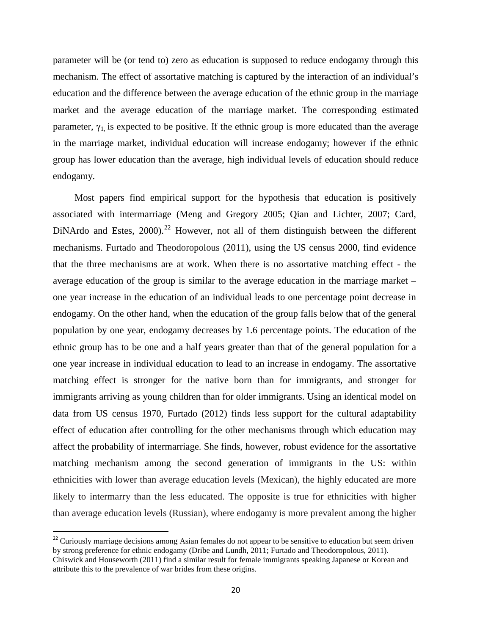parameter will be (or tend to) zero as education is supposed to reduce endogamy through this mechanism. The effect of assortative matching is captured by the interaction of an individual's education and the difference between the average education of the ethnic group in the marriage market and the average education of the marriage market. The corresponding estimated parameter,  $\gamma_1$  is expected to be positive. If the ethnic group is more educated than the average in the marriage market, individual education will increase endogamy; however if the ethnic group has lower education than the average, high individual levels of education should reduce endogamy.

Most papers find empirical support for the hypothesis that education is positively associated with intermarriage (Meng and Gregory 2005; Qian and Lichter, 2007; Card, DiNArdo and Estes,  $2000$ <sup>[22](#page-21-0)</sup> However, not all of them distinguish between the different mechanisms. Furtado and Theodoropolous (2011), using the US census 2000, find evidence that the three mechanisms are at work. When there is no assortative matching effect - the average education of the group is similar to the average education in the marriage market – one year increase in the education of an individual leads to one percentage point decrease in endogamy. On the other hand, when the education of the group falls below that of the general population by one year, endogamy decreases by 1.6 percentage points. The education of the ethnic group has to be one and a half years greater than that of the general population for a one year increase in individual education to lead to an increase in endogamy. The assortative matching effect is stronger for the native born than for immigrants, and stronger for immigrants arriving as young children than for older immigrants. Using an identical model on data from US census 1970, Furtado (2012) finds less support for the cultural adaptability effect of education after controlling for the other mechanisms through which education may affect the probability of intermarriage. She finds, however, robust evidence for the assortative matching mechanism among the second generation of immigrants in the US: within ethnicities with lower than average education levels (Mexican), the highly educated are more likely to intermarry than the less educated. The opposite is true for ethnicities with higher than average education levels (Russian), where endogamy is more prevalent among the higher

<span id="page-22-0"></span><sup>&</sup>lt;sup>22</sup> Curiously marriage decisions among Asian females do not appear to be sensitive to education but seem driven by strong preference for ethnic endogamy (Dribe and Lundh, 2011; Furtado and Theodoropolous, 2011). Chiswick and Houseworth (2011) find a similar result for female immigrants speaking Japanese or Korean and attribute this to the prevalence of war brides from these origins.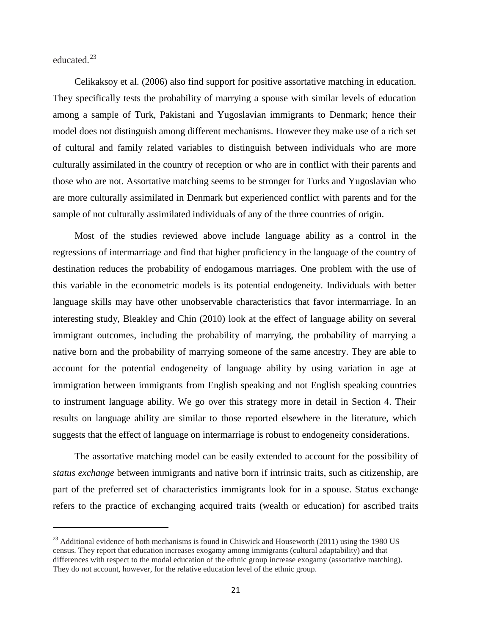educated.<sup>[23](#page-22-0)</sup>

l

Celikaksoy et al. (2006) also find support for positive assortative matching in education. They specifically tests the probability of marrying a spouse with similar levels of education among a sample of Turk, Pakistani and Yugoslavian immigrants to Denmark; hence their model does not distinguish among different mechanisms. However they make use of a rich set of cultural and family related variables to distinguish between individuals who are more culturally assimilated in the country of reception or who are in conflict with their parents and those who are not. Assortative matching seems to be stronger for Turks and Yugoslavian who are more culturally assimilated in Denmark but experienced conflict with parents and for the sample of not culturally assimilated individuals of any of the three countries of origin.

Most of the studies reviewed above include language ability as a control in the regressions of intermarriage and find that higher proficiency in the language of the country of destination reduces the probability of endogamous marriages. One problem with the use of this variable in the econometric models is its potential endogeneity. Individuals with better language skills may have other unobservable characteristics that favor intermarriage. In an interesting study, Bleakley and Chin (2010) look at the effect of language ability on several immigrant outcomes, including the probability of marrying, the probability of marrying a native born and the probability of marrying someone of the same ancestry. They are able to account for the potential endogeneity of language ability by using variation in age at immigration between immigrants from English speaking and not English speaking countries to instrument language ability. We go over this strategy more in detail in Section 4. Their results on language ability are similar to those reported elsewhere in the literature, which suggests that the effect of language on intermarriage is robust to endogeneity considerations.

The assortative matching model can be easily extended to account for the possibility of *status exchange* between immigrants and native born if intrinsic traits, such as citizenship, are part of the preferred set of characteristics immigrants look for in a spouse. Status exchange refers to the practice of exchanging acquired traits (wealth or education) for ascribed traits

<span id="page-23-0"></span> $^{23}$  Additional evidence of both mechanisms is found in Chiswick and Houseworth (2011) using the 1980 US census. They report that education increases exogamy among immigrants (cultural adaptability) and that differences with respect to the modal education of the ethnic group increase exogamy (assortative matching). They do not account, however, for the relative education level of the ethnic group.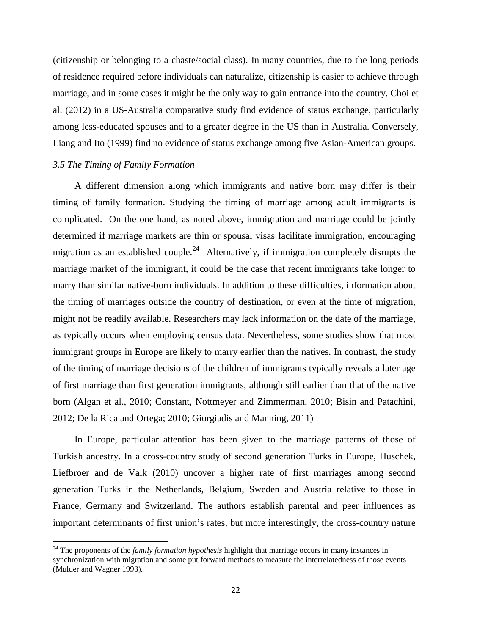(citizenship or belonging to a chaste/social class). In many countries, due to the long periods of residence required before individuals can naturalize, citizenship is easier to achieve through marriage, and in some cases it might be the only way to gain entrance into the country. Choi et al. (2012) in a US-Australia comparative study find evidence of status exchange, particularly among less-educated spouses and to a greater degree in the US than in Australia. Conversely, Liang and Ito (1999) find no evidence of status exchange among five Asian-American groups.

#### *3.5 The Timing of Family Formation*

A different dimension along which immigrants and native born may differ is their timing of family formation. Studying the timing of marriage among adult immigrants is complicated. On the one hand, as noted above, immigration and marriage could be jointly determined if marriage markets are thin or spousal visas facilitate immigration, encouraging migration as an established couple.<sup>24</sup> Alternatively, if immigration completely disrupts the marriage market of the immigrant, it could be the case that recent immigrants take longer to marry than similar native-born individuals. In addition to these difficulties, information about the timing of marriages outside the country of destination, or even at the time of migration, might not be readily available. Researchers may lack information on the date of the marriage, as typically occurs when employing census data. Nevertheless, some studies show that most immigrant groups in Europe are likely to marry earlier than the natives. In contrast, the study of the timing of marriage decisions of the children of immigrants typically reveals a later age of first marriage than first generation immigrants, although still earlier than that of the native born (Algan et al., 2010; Constant, Nottmeyer and Zimmerman, 2010; Bisin and Patachini, 2012; De la Rica and Ortega; 2010; Giorgiadis and Manning, 2011)

In Europe, particular attention has been given to the marriage patterns of those of Turkish ancestry. In a cross-country study of second generation Turks in Europe, Huschek, Liefbroer and de Valk (2010) uncover a higher rate of first marriages among second generation Turks in the Netherlands, Belgium, Sweden and Austria relative to those in France, Germany and Switzerland. The authors establish parental and peer influences as important determinants of first union's rates, but more interestingly, the cross-country nature

<span id="page-24-0"></span><sup>&</sup>lt;sup>24</sup> The proponents of the *family formation hypothesis* highlight that marriage occurs in many instances in synchronization with migration and some put forward methods to measure the interrelatedness of those events (Mulder and Wagner 1993).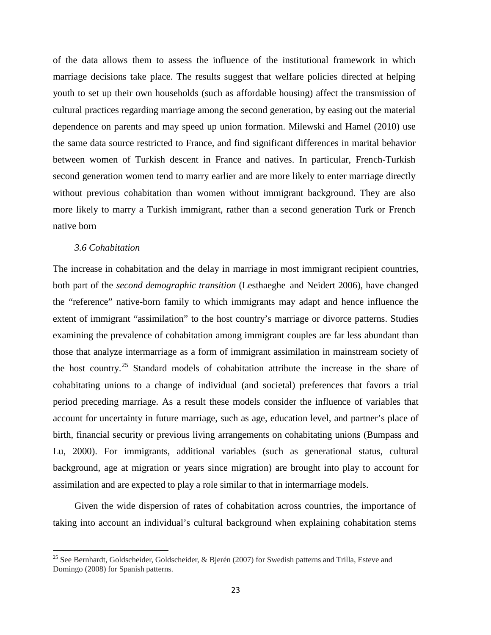of the data allows them to assess the influence of the institutional framework in which marriage decisions take place. The results suggest that welfare policies directed at helping youth to set up their own households (such as affordable housing) affect the transmission of cultural practices regarding marriage among the second generation, by easing out the material dependence on parents and may speed up union formation. Milewski and Hamel (2010) use the same data source restricted to France, and find significant differences in marital behavior between women of Turkish descent in France and natives. In particular, French-Turkish second generation women tend to marry earlier and are more likely to enter marriage directly without previous cohabitation than women without immigrant background. They are also more likely to marry a Turkish immigrant, rather than a second generation Turk or French native born

#### *3.6 Cohabitation*

The increase in cohabitation and the delay in marriage in most immigrant recipient countries, both part of the *second demographic transition* (Lesthaeghe and Neidert 2006), have changed the "reference" native-born family to which immigrants may adapt and hence influence the extent of immigrant "assimilation" to the host country's marriage or divorce patterns. Studies examining the prevalence of cohabitation among immigrant couples are far less abundant than those that analyze intermarriage as a form of immigrant assimilation in mainstream society of the host country.<sup>[25](#page-24-0)</sup> Standard models of cohabitation attribute the increase in the share of cohabitating unions to a change of individual (and societal) preferences that favors a trial period preceding marriage. As a result these models consider the influence of variables that account for uncertainty in future marriage, such as age, education level, and partner's place of birth, financial security or previous living arrangements on cohabitating unions (Bumpass and Lu, 2000). For immigrants, additional variables (such as generational status, cultural background, age at migration or years since migration) are brought into play to account for assimilation and are expected to play a role similar to that in intermarriage models.

Given the wide dispersion of rates of cohabitation across countries, the importance of taking into account an individual's cultural background when explaining cohabitation stems

<span id="page-25-0"></span><sup>&</sup>lt;sup>25</sup> See Bernhardt, Goldscheider, Goldscheider, & Bjerén (2007) for Swedish patterns and Trilla, Esteve and Domingo (2008) for Spanish patterns.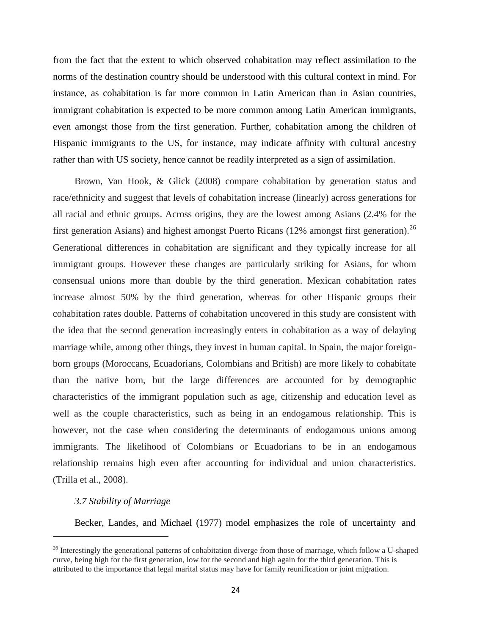from the fact that the extent to which observed cohabitation may reflect assimilation to the norms of the destination country should be understood with this cultural context in mind. For instance, as cohabitation is far more common in Latin American than in Asian countries, immigrant cohabitation is expected to be more common among Latin American immigrants, even amongst those from the first generation. Further, cohabitation among the children of Hispanic immigrants to the US, for instance, may indicate affinity with cultural ancestry rather than with US society, hence cannot be readily interpreted as a sign of assimilation.

Brown, Van Hook, & Glick (2008) compare cohabitation by generation status and race/ethnicity and suggest that levels of cohabitation increase (linearly) across generations for all racial and ethnic groups. Across origins, they are the lowest among Asians (2.4% for the first generation Asians) and highest amongst Puerto Ricans (12% amongst first generation).<sup>[26](#page-25-0)</sup> Generational differences in cohabitation are significant and they typically increase for all immigrant groups. However these changes are particularly striking for Asians, for whom consensual unions more than double by the third generation. Mexican cohabitation rates increase almost 50% by the third generation, whereas for other Hispanic groups their cohabitation rates double. Patterns of cohabitation uncovered in this study are consistent with the idea that the second generation increasingly enters in cohabitation as a way of delaying marriage while, among other things, they invest in human capital. In Spain, the major foreignborn groups (Moroccans, Ecuadorians, Colombians and British) are more likely to cohabitate than the native born, but the large differences are accounted for by demographic characteristics of the immigrant population such as age, citizenship and education level as well as the couple characteristics, such as being in an endogamous relationship. This is however, not the case when considering the determinants of endogamous unions among immigrants. The likelihood of Colombians or Ecuadorians to be in an endogamous relationship remains high even after accounting for individual and union characteristics. (Trilla et al., 2008).

#### *3.7 Stability of Marriage*

 $\overline{\phantom{a}}$ 

Becker, Landes, and Michael (1977) model emphasizes the role of uncertainty and

<span id="page-26-0"></span><sup>&</sup>lt;sup>26</sup> Interestingly the generational patterns of cohabitation diverge from those of marriage, which follow a U-shaped curve, being high for the first generation, low for the second and high again for the third generation. This is attributed to the importance that legal marital status may have for family reunification or joint migration.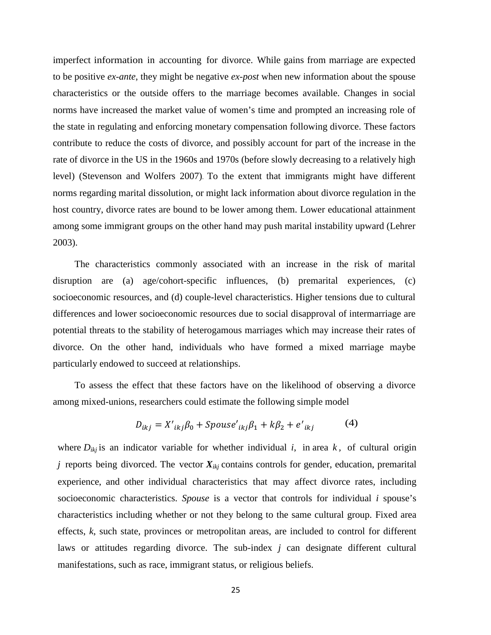imperfect information in accounting for divorce. While gains from marriage are expected to be positive *ex-ante*, they might be negative *ex-post* when new information about the spouse characteristics or the outside offers to the marriage becomes available. Changes in social norms have increased the market value of women's time and prompted an increasing role of the state in regulating and enforcing monetary compensation following divorce. These factors contribute to reduce the costs of divorce, and possibly account for part of the increase in the rate of divorce in the US in the 1960s and 1970s (before slowly decreasing to a relatively high level) (Stevenson and Wolfers 2007). To the extent that immigrants might have different norms regarding marital dissolution, or might lack information about divorce regulation in the host country, divorce rates are bound to be lower among them. Lower educational attainment among some immigrant groups on the other hand may push marital instability upward (Lehrer 2003).

The characteristics commonly associated with an increase in the risk of marital disruption are (a) age/cohort-specific influences, (b) premarital experiences, (c) socioeconomic resources, and (d) couple-level characteristics. Higher tensions due to cultural differences and lower socioeconomic resources due to social disapproval of intermarriage are potential threats to the stability of heterogamous marriages which may increase their rates of divorce. On the other hand, individuals who have formed a mixed marriage maybe particularly endowed to succeed at relationships.

To assess the effect that these factors have on the likelihood of observing a divorce among mixed-unions, researchers could estimate the following simple model

$$
D_{ikj} = X'_{ikj}\beta_0 + Spouse'_{ikj}\beta_1 + k\beta_2 + e'_{ikj}
$$
 (4)

where  $D_{ikj}$  is an indicator variable for whether individual *i*, in area *k*, of cultural origin *j* reports being divorced. The vector *Xikj* contains controls for gender, education, premarital experience, and other individual characteristics that may affect divorce rates, including socioeconomic characteristics. *Spouse* is a vector that controls for individual *i* spouse's characteristics including whether or not they belong to the same cultural group. Fixed area effects, *k*, such state, provinces or metropolitan areas, are included to control for different laws or attitudes regarding divorce. The sub-index *j* can designate different cultural manifestations, such as race, immigrant status, or religious beliefs.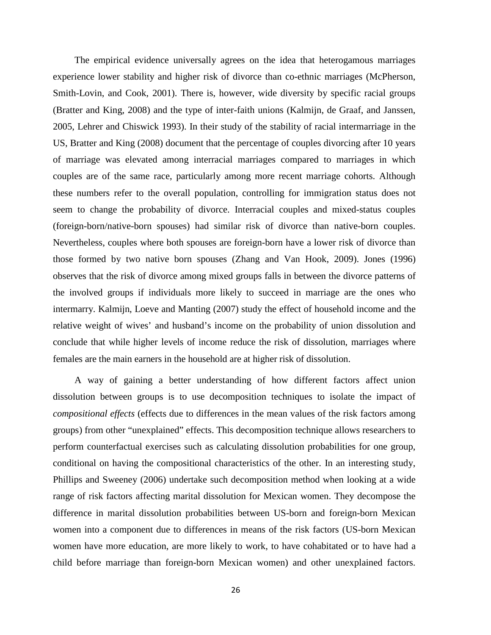The empirical evidence universally agrees on the idea that heterogamous marriages experience lower stability and higher risk of divorce than co-ethnic marriages (McPherson, Smith-Lovin, and Cook, 2001). There is, however, wide diversity by specific racial groups (Bratter and King, 2008) and the type of inter-faith unions (Kalmijn, de Graaf, and Janssen, 2005, Lehrer and Chiswick 1993). In their study of the stability of racial intermarriage in the US, Bratter and King (2008) document that the percentage of couples divorcing after 10 years of marriage was elevated among interracial marriages compared to marriages in which couples are of the same race, particularly among more recent marriage cohorts. Although these numbers refer to the overall population, controlling for immigration status does not seem to change the probability of divorce. Interracial couples and mixed-status couples (foreign-born/native-born spouses) had similar risk of divorce than native-born couples. Nevertheless, couples where both spouses are foreign-born have a lower risk of divorce than those formed by two native born spouses (Zhang and Van Hook, 2009). Jones (1996) observes that the risk of divorce among mixed groups falls in between the divorce patterns of the involved groups if individuals more likely to succeed in marriage are the ones who intermarry. Kalmijn, Loeve and Manting (2007) study the effect of household income and the relative weight of wives' and husband's income on the probability of union dissolution and conclude that while higher levels of income reduce the risk of dissolution, marriages where females are the main earners in the household are at higher risk of dissolution.

A way of gaining a better understanding of how different factors affect union dissolution between groups is to use decomposition techniques to isolate the impact of *compositional effects* (effects due to differences in the mean values of the risk factors among groups) from other "unexplained" effects. This decomposition technique allows researchers to perform counterfactual exercises such as calculating dissolution probabilities for one group, conditional on having the compositional characteristics of the other. In an interesting study, Phillips and Sweeney (2006) undertake such decomposition method when looking at a wide range of risk factors affecting marital dissolution for Mexican women. They decompose the difference in marital dissolution probabilities between US-born and foreign-born Mexican women into a component due to differences in means of the risk factors (US-born Mexican women have more education, are more likely to work, to have cohabitated or to have had a child before marriage than foreign-born Mexican women) and other unexplained factors.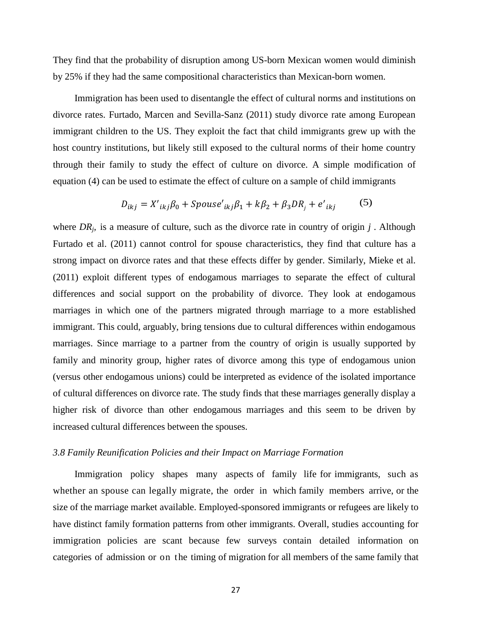They find that the probability of disruption among US-born Mexican women would diminish by 25% if they had the same compositional characteristics than Mexican-born women.

Immigration has been used to disentangle the effect of cultural norms and institutions on divorce rates. Furtado, Marcen and Sevilla-Sanz (2011) study divorce rate among European immigrant children to the US. They exploit the fact that child immigrants grew up with the host country institutions, but likely still exposed to the cultural norms of their home country through their family to study the effect of culture on divorce. A simple modification of equation (4) can be used to estimate the effect of culture on a sample of child immigrants

$$
D_{ikj} = X'_{ikj}\beta_0 + Spouse'_{ikj}\beta_1 + k\beta_2 + \beta_3 DR_j + e'_{ikj} \tag{5}
$$

where  $DR<sub>i</sub>$ , is a measure of culture, such as the divorce rate in country of origin *j*. Although Furtado et al. (2011) cannot control for spouse characteristics, they find that culture has a strong impact on divorce rates and that these effects differ by gender. Similarly, Mieke et al. (2011) exploit different types of endogamous marriages to separate the effect of cultural differences and social support on the probability of divorce. They look at endogamous marriages in which one of the partners migrated through marriage to a more established immigrant. This could, arguably, bring tensions due to cultural differences within endogamous marriages. Since marriage to a partner from the country of origin is usually supported by family and minority group, higher rates of divorce among this type of endogamous union (versus other endogamous unions) could be interpreted as evidence of the isolated importance of cultural differences on divorce rate. The study finds that these marriages generally display a higher risk of divorce than other endogamous marriages and this seem to be driven by increased cultural differences between the spouses.

#### *3.8 Family Reunification Policies and their Impact on Marriage Formation*

Immigration policy shapes many aspects of family life for immigrants, such as whether an spouse can legally migrate, the order in which family members arrive, or the size of the marriage market available. Employed-sponsored immigrants or refugees are likely to have distinct family formation patterns from other immigrants. Overall, studies accounting for immigration policies are scant because few surveys contain detailed information on categories of admission or on the timing of migration for all members of the same family that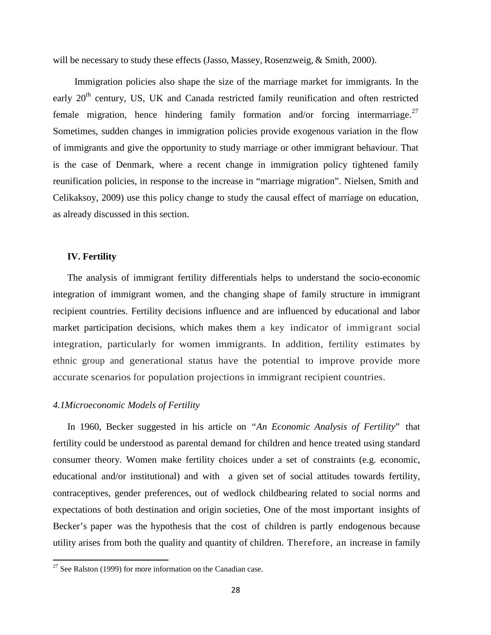will be necessary to study these effects (Jasso, Massey, Rosenzweig, & Smith, 2000).

Immigration policies also shape the size of the marriage market for immigrants. In the early  $20<sup>th</sup>$  century, US, UK and Canada restricted family reunification and often restricted female migration, hence hindering family formation and/or forcing intermarriage.<sup>[27](#page-26-0)</sup> Sometimes, sudden changes in immigration policies provide exogenous variation in the flow of immigrants and give the opportunity to study marriage or other immigrant behaviour. That is the case of Denmark, where a recent change in immigration policy tightened family reunification policies, in response to the increase in "marriage migration". Nielsen, Smith and Celikaksoy, 2009) use this policy change to study the causal effect of marriage on education, as already discussed in this section.

#### **IV. Fertility**

The analysis of immigrant fertility differentials helps to understand the socio-economic integration of immigrant women, and the changing shape of family structure in immigrant recipient countries. Fertility decisions influence and are influenced by educational and labor market participation decisions, which makes them a key indicator of immigrant social integration, particularly for women immigrants. In addition, fertility estimates by ethnic group and generational status have the potential to improve provide more accurate scenarios for population projections in immigrant recipient countries.

#### *4.1Microeconomic Models of Fertility*

In 1960, Becker suggested in his article on *"An Economic Analysis of Fertility*" that fertility could be understood as parental demand for children and hence treated using standard consumer theory. Women make fertility choices under a set of constraints (e.g. economic, educational and/or institutional) and with a given set of social attitudes towards fertility, contraceptives, gender preferences, out of wedlock childbearing related to social norms and expectations of both destination and origin societies, One of the most important insights of Becker's paper was the hypothesis that the cost of children is partly endogenous because utility arises from both the quality and quantity of children. Therefore, an increase in family

<span id="page-30-0"></span> $27$  See Ralston (1999) for more information on the Canadian case.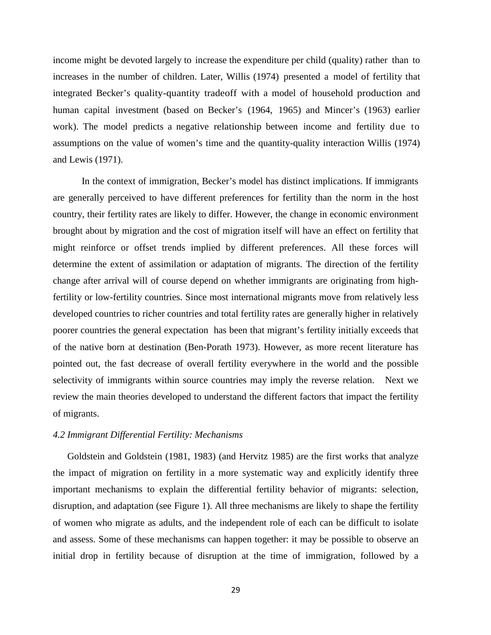income might be devoted largely to increase the expenditure per child (quality) rather than to increases in the number of children. Later, Willis (1974) presented a model of fertility that integrated Becker's quality-quantity tradeoff with a model of household production and human capital investment (based on Becker's (1964, 1965) and Mincer's (1963) earlier work). The model predicts a negative relationship between income and fertility due to assumptions on the value of women's time and the quantity-quality interaction Willis (1974) and Lewis (1971).

In the context of immigration, Becker's model has distinct implications. If immigrants are generally perceived to have different preferences for fertility than the norm in the host country, their fertility rates are likely to differ. However, the change in economic environment brought about by migration and the cost of migration itself will have an effect on fertility that might reinforce or offset trends implied by different preferences. All these forces will determine the extent of assimilation or adaptation of migrants. The direction of the fertility change after arrival will of course depend on whether immigrants are originating from highfertility or low-fertility countries. Since most international migrants move from relatively less developed countries to richer countries and total fertility rates are generally higher in relatively poorer countries the general expectation has been that migrant's fertility initially exceeds that of the native born at destination (Ben-Porath 1973). However, as more recent literature has pointed out, the fast decrease of overall fertility everywhere in the world and the possible selectivity of immigrants within source countries may imply the reverse relation. Next we review the main theories developed to understand the different factors that impact the fertility of migrants.

#### *4.2 Immigrant Differential Fertility: Mechanisms*

Goldstein and Goldstein (1981, 1983) (and Hervitz 1985) are the first works that analyze the impact of migration on fertility in a more systematic way and explicitly identify three important mechanisms to explain the differential fertility behavior of migrants: selection, disruption, and adaptation (see Figure 1). All three mechanisms are likely to shape the fertility of women who migrate as adults, and the independent role of each can be difficult to isolate and assess. Some of these mechanisms can happen together: it may be possible to observe an initial drop in fertility because of disruption at the time of immigration, followed by a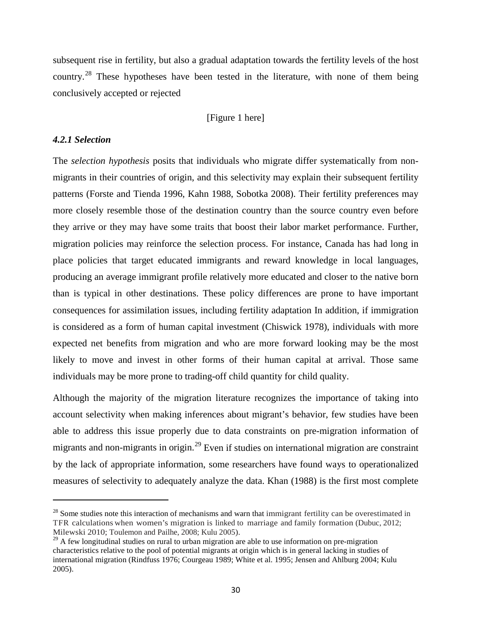subsequent rise in fertility, but also a gradual adaptation towards the fertility levels of the host country.<sup>[28](#page-30-0)</sup> These hypotheses have been tested in the literature, with none of them being conclusively accepted or rejected

[Figure 1 here]

#### *4.2.1 Selection*

l

The *selection hypothesis* posits that individuals who migrate differ systematically from nonmigrants in their countries of origin, and this selectivity may explain their subsequent fertility patterns (Forste and Tienda 1996, Kahn 1988, Sobotka 2008). Their fertility preferences may more closely resemble those of the destination country than the source country even before they arrive or they may have some traits that boost their labor market performance. Further, migration policies may reinforce the selection process. For instance, Canada has had long in place policies that target educated immigrants and reward knowledge in local languages, producing an average immigrant profile relatively more educated and closer to the native born than is typical in other destinations. These policy differences are prone to have important consequences for assimilation issues, including fertility adaptation In addition, if immigration is considered as a form of human capital investment (Chiswick 1978), individuals with more expected net benefits from migration and who are more forward looking may be the most likely to move and invest in other forms of their human capital at arrival. Those same individuals may be more prone to trading-off child quantity for child quality.

Although the majority of the migration literature recognizes the importance of taking into account selectivity when making inferences about migrant's behavior, few studies have been able to address this issue properly due to data constraints on pre-migration information of migrants and non-migrants in origin.<sup>[29](#page-32-0)</sup> Even if studies on international migration are constraint by the lack of appropriate information, some researchers have found ways to operationalized measures of selectivity to adequately analyze the data. Khan (1988) is the first most complete

<sup>&</sup>lt;sup>28</sup> Some studies note this interaction of mechanisms and warn that immigrant fertility can be overestimated in TFR calculations when women's migration is linked to marriage and family formation (Dubuc, 2012; Milewski 2010; Toulemon and Pailhe, 2008; Kulu 2005).

<span id="page-32-0"></span> $^{29}$  A few longitudinal studies on rural to urban migration are able to use information on pre-migration characteristics relative to the pool of potential migrants at origin which is in general lacking in studies of international migration (Rindfuss 1976; Courgeau 1989; White et al. 1995; Jensen and Ahlburg 2004; Kulu 2005).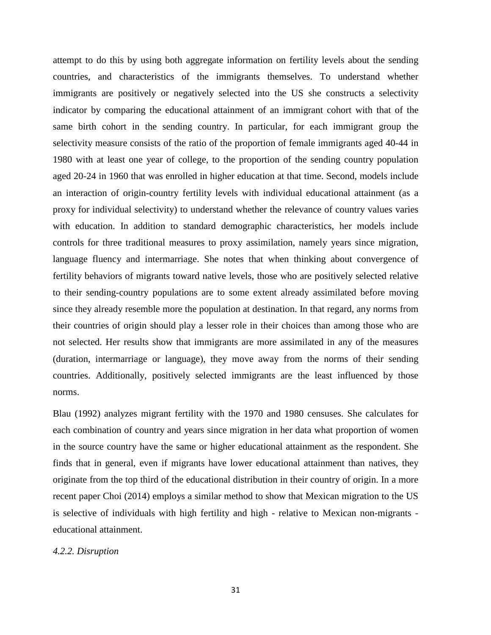attempt to do this by using both aggregate information on fertility levels about the sending countries, and characteristics of the immigrants themselves. To understand whether immigrants are positively or negatively selected into the US she constructs a selectivity indicator by comparing the educational attainment of an immigrant cohort with that of the same birth cohort in the sending country. In particular, for each immigrant group the selectivity measure consists of the ratio of the proportion of female immigrants aged 40-44 in 1980 with at least one year of college, to the proportion of the sending country population aged 20-24 in 1960 that was enrolled in higher education at that time. Second, models include an interaction of origin-country fertility levels with individual educational attainment (as a proxy for individual selectivity) to understand whether the relevance of country values varies with education. In addition to standard demographic characteristics, her models include controls for three traditional measures to proxy assimilation, namely years since migration, language fluency and intermarriage. She notes that when thinking about convergence of fertility behaviors of migrants toward native levels, those who are positively selected relative to their sending-country populations are to some extent already assimilated before moving since they already resemble more the population at destination. In that regard, any norms from their countries of origin should play a lesser role in their choices than among those who are not selected. Her results show that immigrants are more assimilated in any of the measures (duration, intermarriage or language), they move away from the norms of their sending countries. Additionally, positively selected immigrants are the least influenced by those norms.

Blau (1992) analyzes migrant fertility with the 1970 and 1980 censuses. She calculates for each combination of country and years since migration in her data what proportion of women in the source country have the same or higher educational attainment as the respondent. She finds that in general, even if migrants have lower educational attainment than natives, they originate from the top third of the educational distribution in their country of origin. In a more recent paper Choi (2014) employs a similar method to show that Mexican migration to the US is selective of individuals with high fertility and high - relative to Mexican non-migrants educational attainment.

#### *4.2.2. Disruption*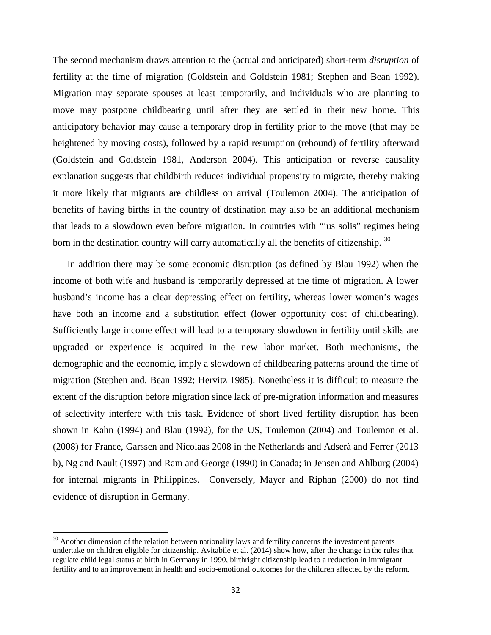The second mechanism draws attention to the (actual and anticipated) short-term *disruption* of fertility at the time of migration (Goldstein and Goldstein 1981; Stephen and Bean 1992). Migration may separate spouses at least temporarily, and individuals who are planning to move may postpone childbearing until after they are settled in their new home. This anticipatory behavior may cause a temporary drop in fertility prior to the move (that may be heightened by moving costs), followed by a rapid resumption (rebound) of fertility afterward (Goldstein and Goldstein 1981, Anderson 2004). This anticipation or reverse causality explanation suggests that childbirth reduces individual propensity to migrate, thereby making it more likely that migrants are childless on arrival (Toulemon 2004). The anticipation of benefits of having births in the country of destination may also be an additional mechanism that leads to a slowdown even before migration. In countries with "ius solis" regimes being born in the destination country will carry automatically all the benefits of citizenship.<sup>[30](#page-32-0)</sup>

In addition there may be some economic disruption (as defined by Blau 1992) when the income of both wife and husband is temporarily depressed at the time of migration. A lower husband's income has a clear depressing effect on fertility, whereas lower women's wages have both an income and a substitution effect (lower opportunity cost of childbearing). Sufficiently large income effect will lead to a temporary slowdown in fertility until skills are upgraded or experience is acquired in the new labor market. Both mechanisms, the demographic and the economic, imply a slowdown of childbearing patterns around the time of migration (Stephen and. Bean 1992; Hervitz 1985). Nonetheless it is difficult to measure the extent of the disruption before migration since lack of pre-migration information and measures of selectivity interfere with this task. Evidence of short lived fertility disruption has been shown in Kahn (1994) and Blau (1992), for the US, Toulemon (2004) and Toulemon et al. (2008) for France, Garssen and Nicolaas 2008 in the Netherlands and Adserà and Ferrer (2013 b), Ng and Nault (1997) and Ram and George (1990) in Canada; in Jensen and Ahlburg (2004) for internal migrants in Philippines. Conversely, Mayer and Riphan (2000) do not find evidence of disruption in Germany.

 $30$  Another dimension of the relation between nationality laws and fertility concerns the investment parents undertake on children eligible for citizenship. Avitabile et al. (2014) show how, after the change in the rules that regulate child legal status at birth in Germany in 1990, birthright citizenship lead to a reduction in immigrant fertility and to an improvement in health and socio-emotional outcomes for the children affected by the reform.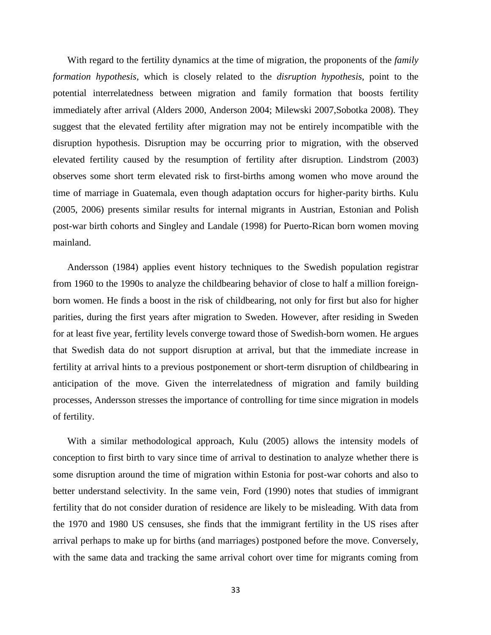With regard to the fertility dynamics at the time of migration, the proponents of the *family formation hypothesis,* which is closely related to the *disruption hypothesis*, point to the potential interrelatedness between migration and family formation that boosts fertility immediately after arrival (Alders 2000, Anderson 2004; Milewski 2007,Sobotka 2008). They suggest that the elevated fertility after migration may not be entirely incompatible with the disruption hypothesis. Disruption may be occurring prior to migration, with the observed elevated fertility caused by the resumption of fertility after disruption. Lindstrom (2003) observes some short term elevated risk to first-births among women who move around the time of marriage in Guatemala, even though adaptation occurs for higher-parity births. Kulu (2005, 2006) presents similar results for internal migrants in Austrian, Estonian and Polish post-war birth cohorts and Singley and Landale (1998) for Puerto-Rican born women moving mainland.

Andersson (1984) applies event history techniques to the Swedish population registrar from 1960 to the 1990s to analyze the childbearing behavior of close to half a million foreignborn women. He finds a boost in the risk of childbearing, not only for first but also for higher parities, during the first years after migration to Sweden. However, after residing in Sweden for at least five year, fertility levels converge toward those of Swedish-born women. He argues that Swedish data do not support disruption at arrival, but that the immediate increase in fertility at arrival hints to a previous postponement or short-term disruption of childbearing in anticipation of the move. Given the interrelatedness of migration and family building processes, Andersson stresses the importance of controlling for time since migration in models of fertility.

With a similar methodological approach, Kulu (2005) allows the intensity models of conception to first birth to vary since time of arrival to destination to analyze whether there is some disruption around the time of migration within Estonia for post-war cohorts and also to better understand selectivity. In the same vein, Ford (1990) notes that studies of immigrant fertility that do not consider duration of residence are likely to be misleading. With data from the 1970 and 1980 US censuses, she finds that the immigrant fertility in the US rises after arrival perhaps to make up for births (and marriages) postponed before the move. Conversely, with the same data and tracking the same arrival cohort over time for migrants coming from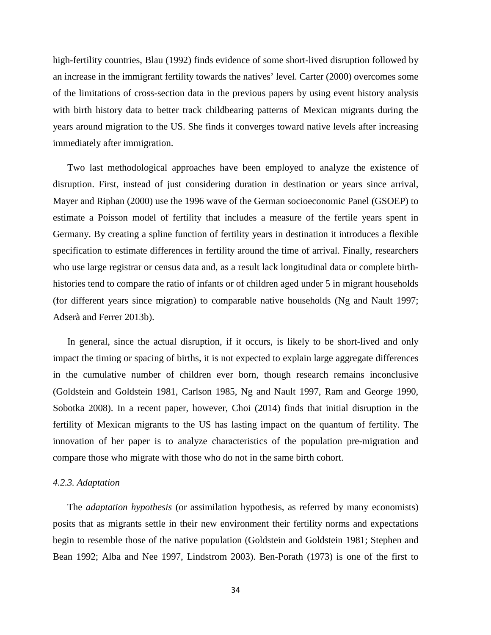high-fertility countries, Blau (1992) finds evidence of some short-lived disruption followed by an increase in the immigrant fertility towards the natives' level. Carter (2000) overcomes some of the limitations of cross-section data in the previous papers by using event history analysis with birth history data to better track childbearing patterns of Mexican migrants during the years around migration to the US. She finds it converges toward native levels after increasing immediately after immigration.

Two last methodological approaches have been employed to analyze the existence of disruption. First, instead of just considering duration in destination or years since arrival, Mayer and Riphan (2000) use the 1996 wave of the German socioeconomic Panel (GSOEP) to estimate a Poisson model of fertility that includes a measure of the fertile years spent in Germany. By creating a spline function of fertility years in destination it introduces a flexible specification to estimate differences in fertility around the time of arrival. Finally, researchers who use large registrar or census data and, as a result lack longitudinal data or complete birthhistories tend to compare the ratio of infants or of children aged under 5 in migrant households (for different years since migration) to comparable native households (Ng and Nault 1997; Adserà and Ferrer 2013b).

In general, since the actual disruption, if it occurs, is likely to be short-lived and only impact the timing or spacing of births, it is not expected to explain large aggregate differences in the cumulative number of children ever born, though research remains inconclusive (Goldstein and Goldstein 1981, Carlson 1985, Ng and Nault 1997, Ram and George 1990, Sobotka 2008). In a recent paper, however, Choi (2014) finds that initial disruption in the fertility of Mexican migrants to the US has lasting impact on the quantum of fertility. The innovation of her paper is to analyze characteristics of the population pre-migration and compare those who migrate with those who do not in the same birth cohort.

#### *4.2.3. Adaptation*

The *adaptation hypothesis* (or assimilation hypothesis, as referred by many economists) posits that as migrants settle in their new environment their fertility norms and expectations begin to resemble those of the native population (Goldstein and Goldstein 1981; Stephen and Bean 1992; Alba and Nee 1997, Lindstrom 2003). Ben-Porath (1973) is one of the first to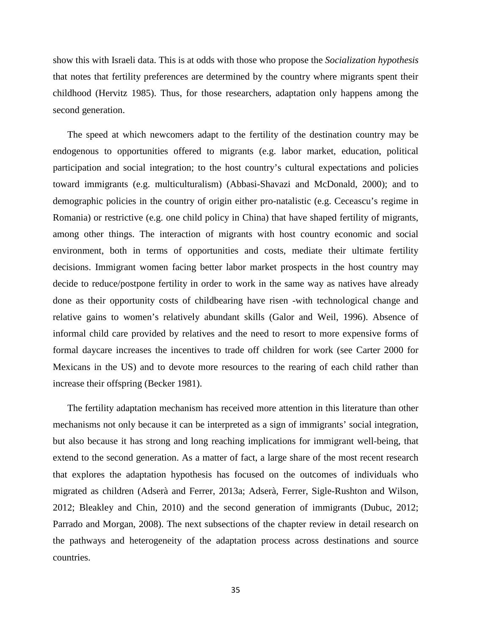show this with Israeli data. This is at odds with those who propose the *Socialization hypothesis* that notes that fertility preferences are determined by the country where migrants spent their childhood (Hervitz 1985). Thus, for those researchers, adaptation only happens among the second generation.

The speed at which newcomers adapt to the fertility of the destination country may be endogenous to opportunities offered to migrants (e.g. labor market, education, political participation and social integration; to the host country's cultural expectations and policies toward immigrants (e.g. multiculturalism) (Abbasi-Shavazi and McDonald, 2000); and to demographic policies in the country of origin either pro-natalistic (e.g. Ceceascu's regime in Romania) or restrictive (e.g. one child policy in China) that have shaped fertility of migrants, among other things. The interaction of migrants with host country economic and social environment, both in terms of opportunities and costs, mediate their ultimate fertility decisions. Immigrant women facing better labor market prospects in the host country may decide to reduce/postpone fertility in order to work in the same way as natives have already done as their opportunity costs of childbearing have risen -with technological change and relative gains to women's relatively abundant skills (Galor and Weil, 1996). Absence of informal child care provided by relatives and the need to resort to more expensive forms of formal daycare increases the incentives to trade off children for work (see Carter 2000 for Mexicans in the US) and to devote more resources to the rearing of each child rather than increase their offspring (Becker 1981).

The fertility adaptation mechanism has received more attention in this literature than other mechanisms not only because it can be interpreted as a sign of immigrants' social integration, but also because it has strong and long reaching implications for immigrant well-being, that extend to the second generation. As a matter of fact, a large share of the most recent research that explores the adaptation hypothesis has focused on the outcomes of individuals who migrated as children (Adserà and Ferrer, 2013a; Adserà, Ferrer, Sigle-Rushton and Wilson, 2012; Bleakley and Chin, 2010) and the second generation of immigrants (Dubuc, 2012; Parrado and Morgan, 2008). The next subsections of the chapter review in detail research on the pathways and heterogeneity of the adaptation process across destinations and source countries.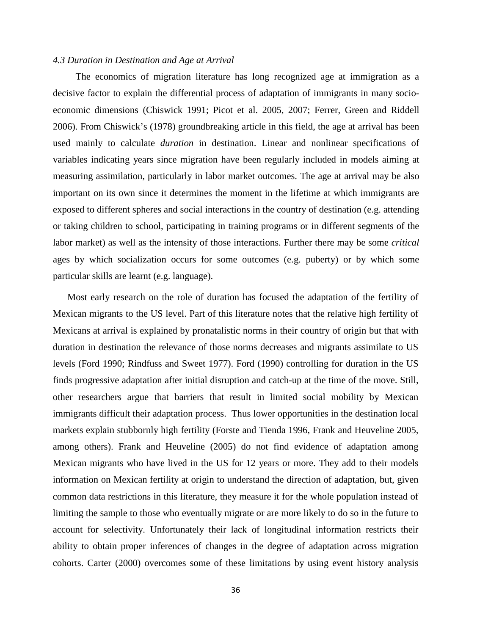### *4.3 Duration in Destination and Age at Arrival*

The economics of migration literature has long recognized age at immigration as a decisive factor to explain the differential process of adaptation of immigrants in many socioeconomic dimensions (Chiswick 1991; Picot et al. 2005, 2007; Ferrer, Green and Riddell 2006). From Chiswick's (1978) groundbreaking article in this field, the age at arrival has been used mainly to calculate *duration* in destination. Linear and nonlinear specifications of variables indicating years since migration have been regularly included in models aiming at measuring assimilation, particularly in labor market outcomes. The age at arrival may be also important on its own since it determines the moment in the lifetime at which immigrants are exposed to different spheres and social interactions in the country of destination (e.g. attending or taking children to school, participating in training programs or in different segments of the labor market) as well as the intensity of those interactions. Further there may be some *critical*  ages by which socialization occurs for some outcomes (e.g. puberty) or by which some particular skills are learnt (e.g. language).

Most early research on the role of duration has focused the adaptation of the fertility of Mexican migrants to the US level. Part of this literature notes that the relative high fertility of Mexicans at arrival is explained by pronatalistic norms in their country of origin but that with duration in destination the relevance of those norms decreases and migrants assimilate to US levels (Ford 1990; Rindfuss and Sweet 1977). Ford (1990) controlling for duration in the US finds progressive adaptation after initial disruption and catch-up at the time of the move. Still, other researchers argue that barriers that result in limited social mobility by Mexican immigrants difficult their adaptation process. Thus lower opportunities in the destination local markets explain stubbornly high fertility (Forste and Tienda 1996, Frank and Heuveline 2005, among others). Frank and Heuveline (2005) do not find evidence of adaptation among Mexican migrants who have lived in the US for 12 years or more. They add to their models information on Mexican fertility at origin to understand the direction of adaptation, but, given common data restrictions in this literature, they measure it for the whole population instead of limiting the sample to those who eventually migrate or are more likely to do so in the future to account for selectivity. Unfortunately their lack of longitudinal information restricts their ability to obtain proper inferences of changes in the degree of adaptation across migration cohorts. Carter (2000) overcomes some of these limitations by using event history analysis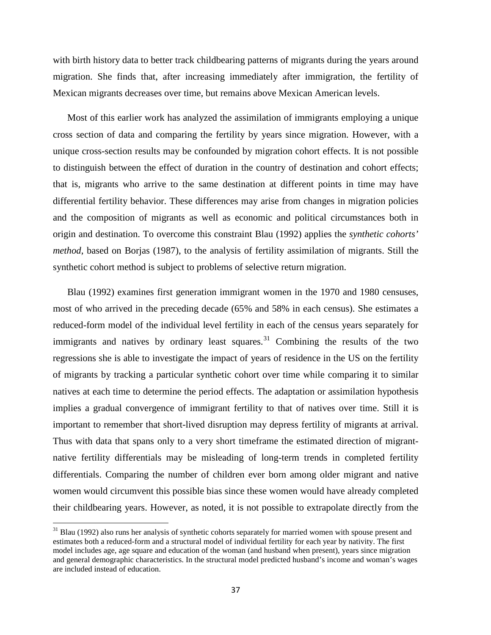with birth history data to better track childbearing patterns of migrants during the years around migration. She finds that, after increasing immediately after immigration, the fertility of Mexican migrants decreases over time, but remains above Mexican American levels.

Most of this earlier work has analyzed the assimilation of immigrants employing a unique cross section of data and comparing the fertility by years since migration. However, with a unique cross-section results may be confounded by migration cohort effects. It is not possible to distinguish between the effect of duration in the country of destination and cohort effects; that is, migrants who arrive to the same destination at different points in time may have differential fertility behavior. These differences may arise from changes in migration policies and the composition of migrants as well as economic and political circumstances both in origin and destination. To overcome this constraint Blau (1992) applies the *synthetic cohorts' method*, based on Borjas (1987), to the analysis of fertility assimilation of migrants. Still the synthetic cohort method is subject to problems of selective return migration.

Blau (1992) examines first generation immigrant women in the 1970 and 1980 censuses, most of who arrived in the preceding decade (65% and 58% in each census). She estimates a reduced-form model of the individual level fertility in each of the census years separately for immigrants and natives by ordinary least squares. $31$  Combining the results of the two regressions she is able to investigate the impact of years of residence in the US on the fertility of migrants by tracking a particular synthetic cohort over time while comparing it to similar natives at each time to determine the period effects. The adaptation or assimilation hypothesis implies a gradual convergence of immigrant fertility to that of natives over time. Still it is important to remember that short-lived disruption may depress fertility of migrants at arrival. Thus with data that spans only to a very short timeframe the estimated direction of migrantnative fertility differentials may be misleading of long-term trends in completed fertility differentials. Comparing the number of children ever born among older migrant and native women would circumvent this possible bias since these women would have already completed their childbearing years. However, as noted, it is not possible to extrapolate directly from the

<span id="page-39-0"></span><sup>&</sup>lt;sup>31</sup> Blau (1992) also runs her analysis of synthetic cohorts separately for married women with spouse present and estimates both a reduced-form and a structural model of individual fertility for each year by nativity. The first model includes age, age square and education of the woman (and husband when present), years since migration and general demographic characteristics. In the structural model predicted husband's income and woman's wages are included instead of education.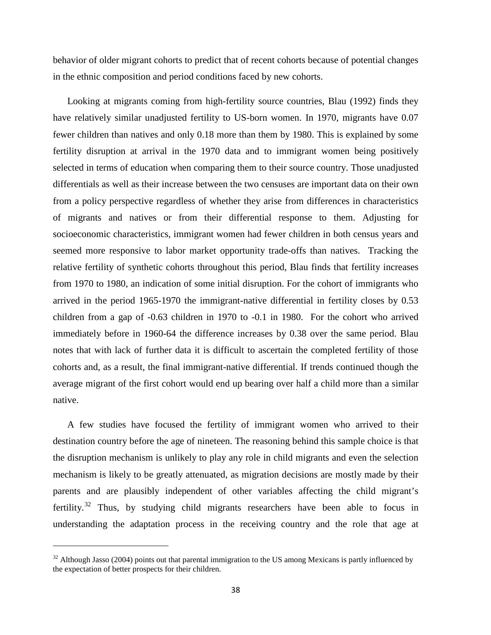behavior of older migrant cohorts to predict that of recent cohorts because of potential changes in the ethnic composition and period conditions faced by new cohorts.

Looking at migrants coming from high-fertility source countries, Blau (1992) finds they have relatively similar unadjusted fertility to US-born women. In 1970, migrants have 0.07 fewer children than natives and only 0.18 more than them by 1980. This is explained by some fertility disruption at arrival in the 1970 data and to immigrant women being positively selected in terms of education when comparing them to their source country. Those unadjusted differentials as well as their increase between the two censuses are important data on their own from a policy perspective regardless of whether they arise from differences in characteristics of migrants and natives or from their differential response to them. Adjusting for socioeconomic characteristics, immigrant women had fewer children in both census years and seemed more responsive to labor market opportunity trade-offs than natives. Tracking the relative fertility of synthetic cohorts throughout this period, Blau finds that fertility increases from 1970 to 1980, an indication of some initial disruption. For the cohort of immigrants who arrived in the period 1965-1970 the immigrant-native differential in fertility closes by 0.53 children from a gap of -0.63 children in 1970 to -0.1 in 1980. For the cohort who arrived immediately before in 1960-64 the difference increases by 0.38 over the same period. Blau notes that with lack of further data it is difficult to ascertain the completed fertility of those cohorts and, as a result, the final immigrant-native differential. If trends continued though the average migrant of the first cohort would end up bearing over half a child more than a similar native.

A few studies have focused the fertility of immigrant women who arrived to their destination country before the age of nineteen. The reasoning behind this sample choice is that the disruption mechanism is unlikely to play any role in child migrants and even the selection mechanism is likely to be greatly attenuated, as migration decisions are mostly made by their parents and are plausibly independent of other variables affecting the child migrant's fertility.<sup>[32](#page-39-0)</sup> Thus, by studying child migrants researchers have been able to focus in understanding the adaptation process in the receiving country and the role that age at

 $\overline{\phantom{a}}$ 

<span id="page-40-0"></span> $32$  Although Jasso (2004) points out that parental immigration to the US among Mexicans is partly influenced by the expectation of better prospects for their children.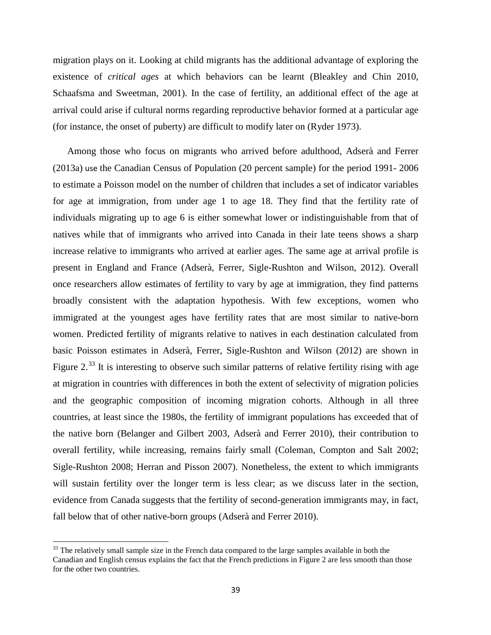migration plays on it. Looking at child migrants has the additional advantage of exploring the existence of *critical ages* at which behaviors can be learnt (Bleakley and Chin 2010, Schaafsma and Sweetman, 2001). In the case of fertility, an additional effect of the age at arrival could arise if cultural norms regarding reproductive behavior formed at a particular age (for instance, the onset of puberty) are difficult to modify later on (Ryder 1973).

Among those who focus on migrants who arrived before adulthood, Adserà and Ferrer (2013a) use the Canadian Census of Population (20 percent sample) for the period 1991- 2006 to estimate a Poisson model on the number of children that includes a set of indicator variables for age at immigration, from under age 1 to age 18. They find that the fertility rate of individuals migrating up to age 6 is either somewhat lower or indistinguishable from that of natives while that of immigrants who arrived into Canada in their late teens shows a sharp increase relative to immigrants who arrived at earlier ages. The same age at arrival profile is present in England and France (Adserà, Ferrer, Sigle-Rushton and Wilson, 2012). Overall once researchers allow estimates of fertility to vary by age at immigration, they find patterns broadly consistent with the adaptation hypothesis. With few exceptions, women who immigrated at the youngest ages have fertility rates that are most similar to native-born women. Predicted fertility of migrants relative to natives in each destination calculated from basic Poisson estimates in Adserà, Ferrer, Sigle-Rushton and Wilson (2012) are shown in Figure 2.<sup>[33](#page-40-0)</sup> It is interesting to observe such similar patterns of relative fertility rising with age at migration in countries with differences in both the extent of selectivity of migration policies and the geographic composition of incoming migration cohorts. Although in all three countries, at least since the 1980s, the fertility of immigrant populations has exceeded that of the native born (Belanger and Gilbert 2003, Adserà and Ferrer 2010), their contribution to overall fertility, while increasing, remains fairly small (Coleman, Compton and Salt 2002; Sigle-Rushton 2008; Herran and Pisson 2007). Nonetheless, the extent to which immigrants will sustain fertility over the longer term is less clear; as we discuss later in the section, evidence from Canada suggests that the fertility of second-generation immigrants may, in fact, fall below that of other native-born groups (Adserà and Ferrer 2010).

<span id="page-41-0"></span><sup>&</sup>lt;sup>33</sup> The relatively small sample size in the French data compared to the large samples available in both the Canadian and English census explains the fact that the French predictions in Figure 2 are less smooth than those for the other two countries.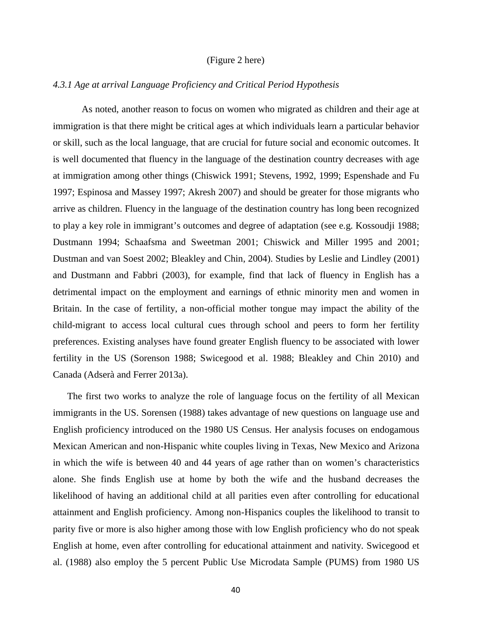## (Figure 2 here)

## *4.3.1 Age at arrival Language Proficiency and Critical Period Hypothesis*

As noted, another reason to focus on women who migrated as children and their age at immigration is that there might be critical ages at which individuals learn a particular behavior or skill, such as the local language, that are crucial for future social and economic outcomes. It is well documented that fluency in the language of the destination country decreases with age at immigration among other things (Chiswick 1991; Stevens, 1992, 1999; Espenshade and Fu 1997; Espinosa and Massey 1997; Akresh 2007) and should be greater for those migrants who arrive as children. Fluency in the language of the destination country has long been recognized to play a key role in immigrant's outcomes and degree of adaptation (see e.g. Kossoudji 1988; Dustmann 1994; Schaafsma and Sweetman 2001; Chiswick and Miller 1995 and 2001; Dustman and van Soest 2002; Bleakley and Chin, 2004). Studies by Leslie and Lindley (2001) and Dustmann and Fabbri (2003), for example, find that lack of fluency in English has a detrimental impact on the employment and earnings of ethnic minority men and women in Britain. In the case of fertility, a non-official mother tongue may impact the ability of the child-migrant to access local cultural cues through school and peers to form her fertility preferences. Existing analyses have found greater English fluency to be associated with lower fertility in the US (Sorenson 1988; Swicegood et al. 1988; Bleakley and Chin 2010) and Canada (Adserà and Ferrer 2013a).

The first two works to analyze the role of language focus on the fertility of all Mexican immigrants in the US. Sorensen (1988) takes advantage of new questions on language use and English proficiency introduced on the 1980 US Census. Her analysis focuses on endogamous Mexican American and non-Hispanic white couples living in Texas, New Mexico and Arizona in which the wife is between 40 and 44 years of age rather than on women's characteristics alone. She finds English use at home by both the wife and the husband decreases the likelihood of having an additional child at all parities even after controlling for educational attainment and English proficiency. Among non-Hispanics couples the likelihood to transit to parity five or more is also higher among those with low English proficiency who do not speak English at home, even after controlling for educational attainment and nativity. Swicegood et al. (1988) also employ the 5 percent Public Use Microdata Sample (PUMS) from 1980 US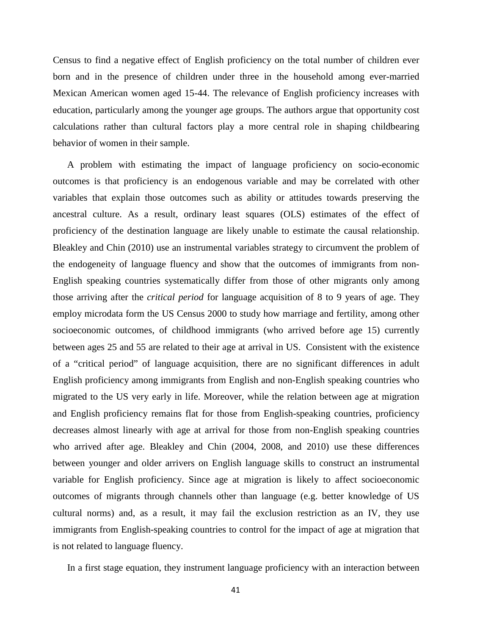Census to find a negative effect of English proficiency on the total number of children ever born and in the presence of children under three in the household among ever-married Mexican American women aged 15-44. The relevance of English proficiency increases with education, particularly among the younger age groups. The authors argue that opportunity cost calculations rather than cultural factors play a more central role in shaping childbearing behavior of women in their sample.

A problem with estimating the impact of language proficiency on socio-economic outcomes is that proficiency is an endogenous variable and may be correlated with other variables that explain those outcomes such as ability or attitudes towards preserving the ancestral culture. As a result, ordinary least squares (OLS) estimates of the effect of proficiency of the destination language are likely unable to estimate the causal relationship. Bleakley and Chin (2010) use an instrumental variables strategy to circumvent the problem of the endogeneity of language fluency and show that the outcomes of immigrants from non-English speaking countries systematically differ from those of other migrants only among those arriving after the *critical period* for language acquisition of 8 to 9 years of age. They employ microdata form the US Census 2000 to study how marriage and fertility, among other socioeconomic outcomes, of childhood immigrants (who arrived before age 15) currently between ages 25 and 55 are related to their age at arrival in US. Consistent with the existence of a "critical period" of language acquisition, there are no significant differences in adult English proficiency among immigrants from English and non-English speaking countries who migrated to the US very early in life. Moreover, while the relation between age at migration and English proficiency remains flat for those from English-speaking countries, proficiency decreases almost linearly with age at arrival for those from non-English speaking countries who arrived after age. Bleakley and Chin (2004, 2008, and 2010) use these differences between younger and older arrivers on English language skills to construct an instrumental variable for English proficiency. Since age at migration is likely to affect socioeconomic outcomes of migrants through channels other than language (e.g. better knowledge of US cultural norms) and, as a result, it may fail the exclusion restriction as an IV, they use immigrants from English-speaking countries to control for the impact of age at migration that is not related to language fluency.

In a first stage equation, they instrument language proficiency with an interaction between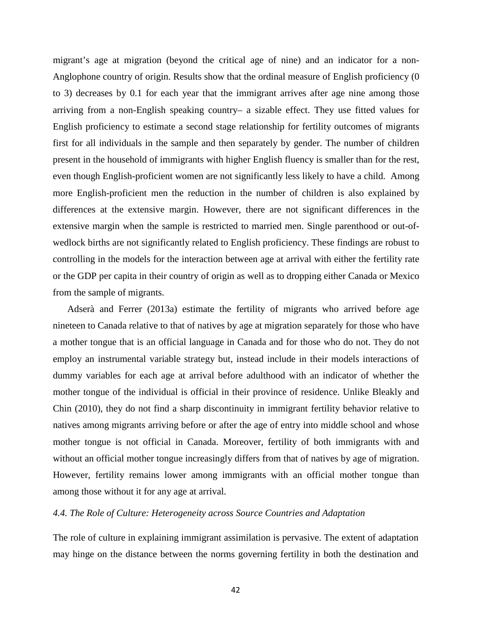migrant's age at migration (beyond the critical age of nine) and an indicator for a non-Anglophone country of origin. Results show that the ordinal measure of English proficiency (0 to 3) decreases by 0.1 for each year that the immigrant arrives after age nine among those arriving from a non-English speaking country– a sizable effect. They use fitted values for English proficiency to estimate a second stage relationship for fertility outcomes of migrants first for all individuals in the sample and then separately by gender. The number of children present in the household of immigrants with higher English fluency is smaller than for the rest, even though English-proficient women are not significantly less likely to have a child. Among more English-proficient men the reduction in the number of children is also explained by differences at the extensive margin. However, there are not significant differences in the extensive margin when the sample is restricted to married men. Single parenthood or out-ofwedlock births are not significantly related to English proficiency. These findings are robust to controlling in the models for the interaction between age at arrival with either the fertility rate or the GDP per capita in their country of origin as well as to dropping either Canada or Mexico from the sample of migrants.

Adserà and Ferrer (2013a) estimate the fertility of migrants who arrived before age nineteen to Canada relative to that of natives by age at migration separately for those who have a mother tongue that is an official language in Canada and for those who do not. They do not employ an instrumental variable strategy but, instead include in their models interactions of dummy variables for each age at arrival before adulthood with an indicator of whether the mother tongue of the individual is official in their province of residence. Unlike Bleakly and Chin (2010), they do not find a sharp discontinuity in immigrant fertility behavior relative to natives among migrants arriving before or after the age of entry into middle school and whose mother tongue is not official in Canada. Moreover, fertility of both immigrants with and without an official mother tongue increasingly differs from that of natives by age of migration. However, fertility remains lower among immigrants with an official mother tongue than among those without it for any age at arrival.

## *4.4. The Role of Culture: Heterogeneity across Source Countries and Adaptation*

The role of culture in explaining immigrant assimilation is pervasive. The extent of adaptation may hinge on the distance between the norms governing fertility in both the destination and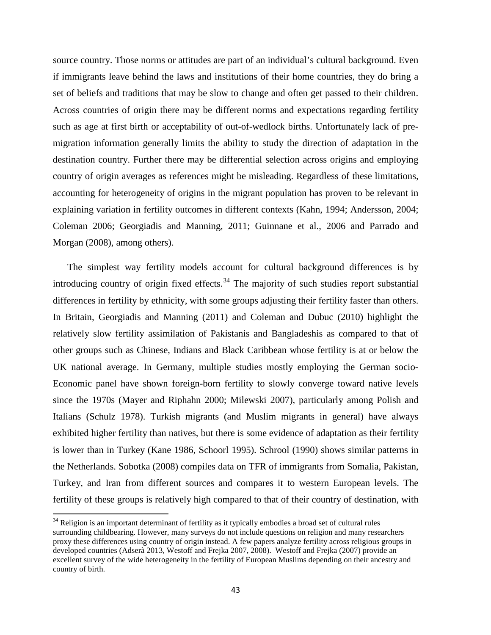source country. Those norms or attitudes are part of an individual's cultural background. Even if immigrants leave behind the laws and institutions of their home countries, they do bring a set of beliefs and traditions that may be slow to change and often get passed to their children. Across countries of origin there may be different norms and expectations regarding fertility such as age at first birth or acceptability of out-of-wedlock births. Unfortunately lack of premigration information generally limits the ability to study the direction of adaptation in the destination country. Further there may be differential selection across origins and employing country of origin averages as references might be misleading. Regardless of these limitations, accounting for heterogeneity of origins in the migrant population has proven to be relevant in explaining variation in fertility outcomes in different contexts (Kahn, 1994; Andersson, 2004; Coleman 2006; Georgiadis and Manning, 2011; Guinnane et al., 2006 and Parrado and Morgan (2008), among others).

The simplest way fertility models account for cultural background differences is by introducing country of origin fixed effects.<sup>[34](#page-41-0)</sup> The majority of such studies report substantial differences in fertility by ethnicity, with some groups adjusting their fertility faster than others. In Britain, Georgiadis and Manning (2011) and Coleman and Dubuc (2010) highlight the relatively slow fertility assimilation of Pakistanis and Bangladeshis as compared to that of other groups such as Chinese, Indians and Black Caribbean whose fertility is at or below the UK national average. In Germany, multiple studies mostly employing the German socio-Economic panel have shown foreign-born fertility to slowly converge toward native levels since the 1970s (Mayer and Riphahn 2000; Milewski 2007), particularly among Polish and Italians (Schulz 1978). Turkish migrants (and Muslim migrants in general) have always exhibited higher fertility than natives, but there is some evidence of adaptation as their fertility is lower than in Turkey (Kane 1986, Schoorl 1995). Schrool (1990) shows similar patterns in the Netherlands. Sobotka (2008) compiles data on TFR of immigrants from Somalia, Pakistan, Turkey, and Iran from different sources and compares it to western European levels. The fertility of these groups is relatively high compared to that of their country of destination, with

<span id="page-45-0"></span><sup>&</sup>lt;sup>34</sup> Religion is an important determinant of fertility as it typically embodies a broad set of cultural rules surrounding childbearing. However, many surveys do not include questions on religion and many researchers proxy these differences using country of origin instead. A few papers analyze fertility across religious groups in developed countries (Adserà 2013, Westoff and Frejka 2007, 2008). Westoff and Frejka (2007) provide an excellent survey of the wide heterogeneity in the fertility of European Muslims depending on their ancestry and country of birth.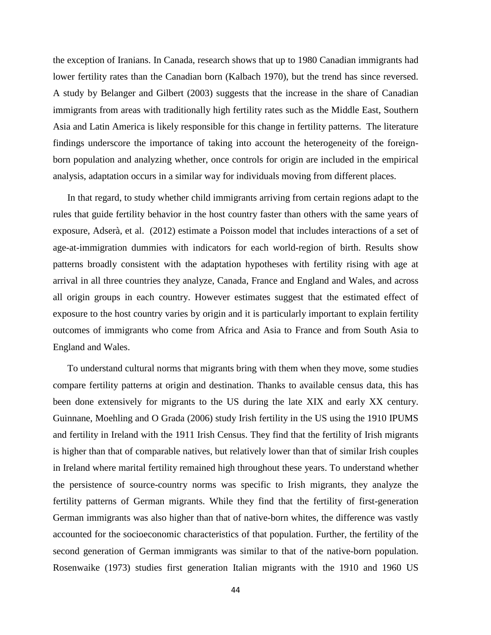the exception of Iranians. In Canada, research shows that up to 1980 Canadian immigrants had lower fertility rates than the Canadian born (Kalbach 1970), but the trend has since reversed. A study by Belanger and Gilbert (2003) suggests that the increase in the share of Canadian immigrants from areas with traditionally high fertility rates such as the Middle East, Southern Asia and Latin America is likely responsible for this change in fertility patterns. The literature findings underscore the importance of taking into account the heterogeneity of the foreignborn population and analyzing whether, once controls for origin are included in the empirical analysis, adaptation occurs in a similar way for individuals moving from different places.

In that regard, to study whether child immigrants arriving from certain regions adapt to the rules that guide fertility behavior in the host country faster than others with the same years of exposure, Adserà, et al. (2012) estimate a Poisson model that includes interactions of a set of age-at-immigration dummies with indicators for each world-region of birth. Results show patterns broadly consistent with the adaptation hypotheses with fertility rising with age at arrival in all three countries they analyze, Canada, France and England and Wales, and across all origin groups in each country. However estimates suggest that the estimated effect of exposure to the host country varies by origin and it is particularly important to explain fertility outcomes of immigrants who come from Africa and Asia to France and from South Asia to England and Wales.

To understand cultural norms that migrants bring with them when they move, some studies compare fertility patterns at origin and destination. Thanks to available census data, this has been done extensively for migrants to the US during the late XIX and early XX century. Guinnane, Moehling and O Grada (2006) study Irish fertility in the US using the 1910 IPUMS and fertility in Ireland with the 1911 Irish Census. They find that the fertility of Irish migrants is higher than that of comparable natives, but relatively lower than that of similar Irish couples in Ireland where marital fertility remained high throughout these years. To understand whether the persistence of source-country norms was specific to Irish migrants, they analyze the fertility patterns of German migrants. While they find that the fertility of first-generation German immigrants was also higher than that of native-born whites, the difference was vastly accounted for the socioeconomic characteristics of that population. Further, the fertility of the second generation of German immigrants was similar to that of the native-born population. Rosenwaike (1973) studies first generation Italian migrants with the 1910 and 1960 US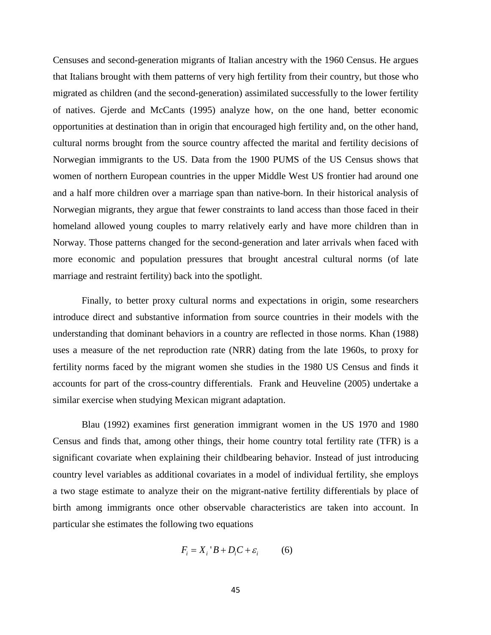Censuses and second-generation migrants of Italian ancestry with the 1960 Census. He argues that Italians brought with them patterns of very high fertility from their country, but those who migrated as children (and the second-generation) assimilated successfully to the lower fertility of natives. Gjerde and McCants (1995) analyze how, on the one hand, better economic opportunities at destination than in origin that encouraged high fertility and, on the other hand, cultural norms brought from the source country affected the marital and fertility decisions of Norwegian immigrants to the US. Data from the 1900 PUMS of the US Census shows that women of northern European countries in the upper Middle West US frontier had around one and a half more children over a marriage span than native-born. In their historical analysis of Norwegian migrants, they argue that fewer constraints to land access than those faced in their homeland allowed young couples to marry relatively early and have more children than in Norway. Those patterns changed for the second-generation and later arrivals when faced with more economic and population pressures that brought ancestral cultural norms (of late marriage and restraint fertility) back into the spotlight.

Finally, to better proxy cultural norms and expectations in origin, some researchers introduce direct and substantive information from source countries in their models with the understanding that dominant behaviors in a country are reflected in those norms. Khan (1988) uses a measure of the net reproduction rate (NRR) dating from the late 1960s, to proxy for fertility norms faced by the migrant women she studies in the 1980 US Census and finds it accounts for part of the cross-country differentials. Frank and Heuveline (2005) undertake a similar exercise when studying Mexican migrant adaptation.

Blau (1992) examines first generation immigrant women in the US 1970 and 1980 Census and finds that, among other things, their home country total fertility rate (TFR) is a significant covariate when explaining their childbearing behavior. Instead of just introducing country level variables as additional covariates in a model of individual fertility, she employs a two stage estimate to analyze their on the migrant-native fertility differentials by place of birth among immigrants once other observable characteristics are taken into account. In particular she estimates the following two equations

$$
F_i = X_i \, B + D_i C + \varepsilon_i \tag{6}
$$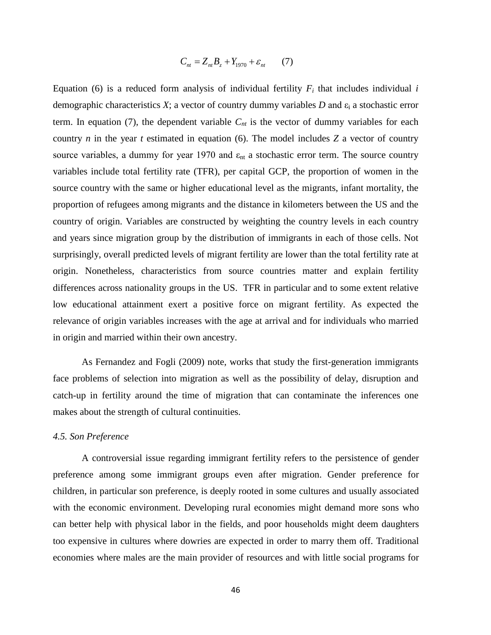$$
C_{nt} = Z_{nt}B_z + Y_{1970} + \varepsilon_{nt} \tag{7}
$$

Equation (6) is a reduced form analysis of individual fertility  $F_i$  that includes individual  $i$ demographic characteristics *X*; a vector of country dummy variables *D* and  $\varepsilon_i$  a stochastic error term. In equation (7), the dependent variable  $C<sub>nt</sub>$  is the vector of dummy variables for each country *n* in the year *t* estimated in equation (6). The model includes *Z* a vector of country source variables, a dummy for year 1970 and  $\varepsilon$ <sub>nt</sub> a stochastic error term. The source country variables include total fertility rate (TFR), per capital GCP, the proportion of women in the source country with the same or higher educational level as the migrants, infant mortality, the proportion of refugees among migrants and the distance in kilometers between the US and the country of origin. Variables are constructed by weighting the country levels in each country and years since migration group by the distribution of immigrants in each of those cells. Not surprisingly, overall predicted levels of migrant fertility are lower than the total fertility rate at origin. Nonetheless, characteristics from source countries matter and explain fertility differences across nationality groups in the US. TFR in particular and to some extent relative low educational attainment exert a positive force on migrant fertility. As expected the relevance of origin variables increases with the age at arrival and for individuals who married in origin and married within their own ancestry.

As Fernandez and Fogli (2009) note, works that study the first-generation immigrants face problems of selection into migration as well as the possibility of delay, disruption and catch-up in fertility around the time of migration that can contaminate the inferences one makes about the strength of cultural continuities.

#### *4.5. Son Preference*

A controversial issue regarding immigrant fertility refers to the persistence of gender preference among some immigrant groups even after migration. Gender preference for children, in particular son preference, is deeply rooted in some cultures and usually associated with the economic environment. Developing rural economies might demand more sons who can better help with physical labor in the fields, and poor households might deem daughters too expensive in cultures where dowries are expected in order to marry them off. Traditional economies where males are the main provider of resources and with little social programs for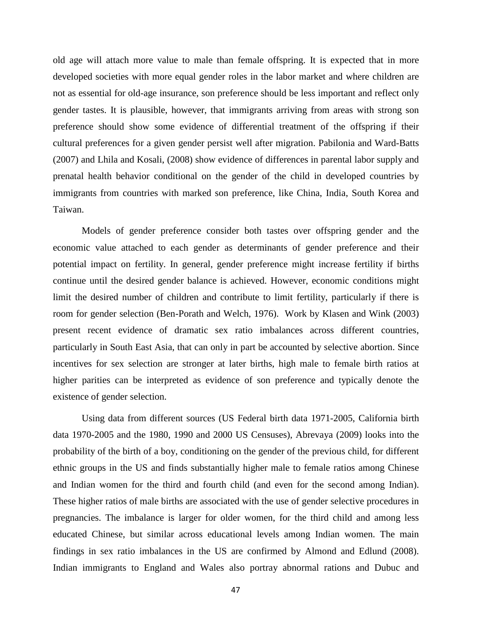old age will attach more value to male than female offspring. It is expected that in more developed societies with more equal gender roles in the labor market and where children are not as essential for old-age insurance, son preference should be less important and reflect only gender tastes. It is plausible, however, that immigrants arriving from areas with strong son preference should show some evidence of differential treatment of the offspring if their cultural preferences for a given gender persist well after migration. Pabilonia and Ward-Batts (2007) and [Lhila](http://www.springerlink.com/content/?Author=Aparna+Lhila) and [Kosali, \(](http://www.springerlink.com/content/?Author=Kosali+I.+Simon)2008) show evidence of differences in parental labor supply and prenatal health behavior conditional on the gender of the child in developed countries by immigrants from countries with marked son preference, like China, India, South Korea and Taiwan.

Models of gender preference consider both tastes over offspring gender and the economic value attached to each gender as determinants of gender preference and their potential impact on fertility. In general, gender preference might increase fertility if births continue until the desired gender balance is achieved. However, economic conditions might limit the desired number of children and contribute to limit fertility, particularly if there is room for gender selection (Ben-Porath and Welch, 1976). Work by Klasen and Wink (2003) present recent evidence of dramatic sex ratio imbalances across different countries, particularly in South East Asia, that can only in part be accounted by selective abortion. Since incentives for sex selection are stronger at later births, high male to female birth ratios at higher parities can be interpreted as evidence of son preference and typically denote the existence of gender selection.

Using data from different sources (US Federal birth data 1971-2005, California birth data 1970-2005 and the 1980, 1990 and 2000 US Censuses), Abrevaya (2009) looks into the probability of the birth of a boy, conditioning on the gender of the previous child, for different ethnic groups in the US and finds substantially higher male to female ratios among Chinese and Indian women for the third and fourth child (and even for the second among Indian). These higher ratios of male births are associated with the use of gender selective procedures in pregnancies. The imbalance is larger for older women, for the third child and among less educated Chinese, but similar across educational levels among Indian women. The main findings in sex ratio imbalances in the US are confirmed by Almond and Edlund (2008). Indian immigrants to England and Wales also portray abnormal rations and Dubuc and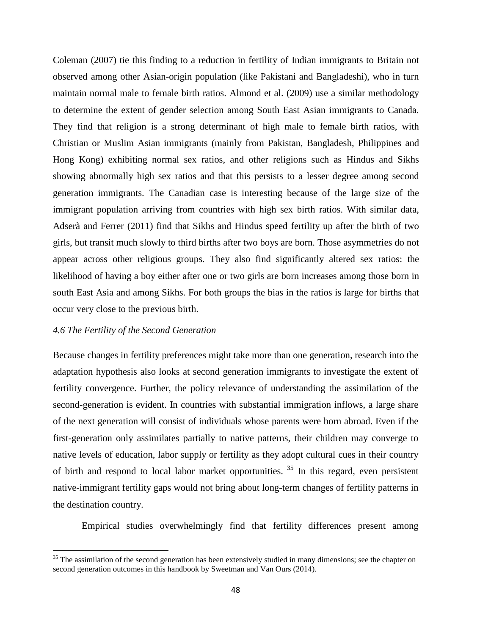Coleman (2007) tie this finding to a reduction in fertility of Indian immigrants to Britain not observed among other Asian-origin population (like Pakistani and Bangladeshi), who in turn maintain normal male to female birth ratios. Almond et al. (2009) use a similar methodology to determine the extent of gender selection among South East Asian immigrants to Canada. They find that religion is a strong determinant of high male to female birth ratios, with Christian or Muslim Asian immigrants (mainly from Pakistan, Bangladesh, Philippines and Hong Kong) exhibiting normal sex ratios, and other religions such as Hindus and Sikhs showing abnormally high sex ratios and that this persists to a lesser degree among second generation immigrants. The Canadian case is interesting because of the large size of the immigrant population arriving from countries with high sex birth ratios. With similar data, Adserà and Ferrer (2011) find that Sikhs and Hindus speed fertility up after the birth of two girls, but transit much slowly to third births after two boys are born. Those asymmetries do not appear across other religious groups. They also find significantly altered sex ratios: the likelihood of having a boy either after one or two girls are born increases among those born in south East Asia and among Sikhs. For both groups the bias in the ratios is large for births that occur very close to the previous birth.

## *4.6 The Fertility of the Second Generation*

Because changes in fertility preferences might take more than one generation, research into the adaptation hypothesis also looks at second generation immigrants to investigate the extent of fertility convergence. Further, the policy relevance of understanding the assimilation of the second-generation is evident. In countries with substantial immigration inflows, a large share of the next generation will consist of individuals whose parents were born abroad. Even if the first-generation only assimilates partially to native patterns, their children may converge to native levels of education, labor supply or fertility as they adopt cultural cues in their country of birth and respond to local labor market opportunities.  $35$  In this regard, even persistent native-immigrant fertility gaps would not bring about long-term changes of fertility patterns in the destination country.

Empirical studies overwhelmingly find that fertility differences present among

<sup>&</sup>lt;sup>35</sup> The assimilation of the second generation has been extensively studied in many dimensions; see the chapter on second generation outcomes in this handbook by Sweetman and Van Ours (2014).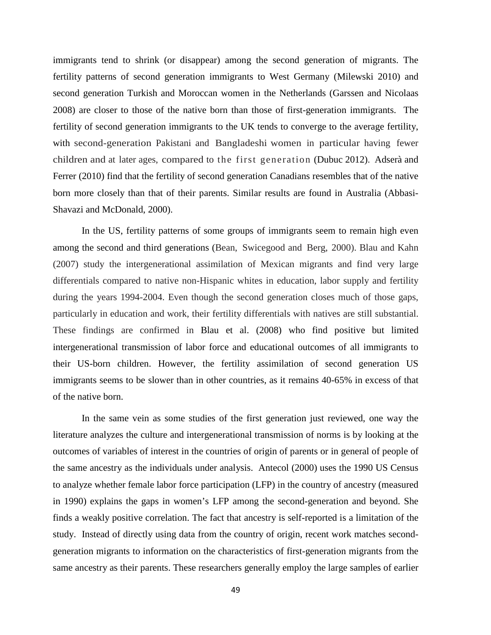immigrants tend to shrink (or disappear) among the second generation of migrants. The fertility patterns of second generation immigrants to West Germany (Milewski 2010) and second generation Turkish and Moroccan women in the Netherlands (Garssen and Nicolaas 2008) are closer to those of the native born than those of first-generation immigrants. The fertility of second generation immigrants to the UK tends to converge to the average fertility, with second-generation Pakistani and Bangladeshi women in particular having fewer children and at later ages, compared to the first generation (Dubuc 2012). Adserà and Ferrer (2010) find that the fertility of second generation Canadians resembles that of the native born more closely than that of their parents. Similar results are found in Australia (Abbasi-Shavazi and McDonald, 2000).

In the US, fertility patterns of some groups of immigrants seem to remain high even among the second and third generations (Bean, Swicegood and Berg, 2000). Blau and Kahn (2007) study the intergenerational assimilation of Mexican migrants and find very large differentials compared to native non-Hispanic whites in education, labor supply and fertility during the years 1994-2004. Even though the second generation closes much of those gaps, particularly in education and work, their fertility differentials with natives are still substantial. These findings are confirmed in Blau et al. (2008) who find positive but limited intergenerational transmission of labor force and educational outcomes of all immigrants to their US-born children. However, the fertility assimilation of second generation US immigrants seems to be slower than in other countries, as it remains 40-65% in excess of that of the native born.

In the same vein as some studies of the first generation just reviewed, one way the literature analyzes the culture and intergenerational transmission of norms is by looking at the outcomes of variables of interest in the countries of origin of parents or in general of people of the same ancestry as the individuals under analysis. Antecol (2000) uses the 1990 US Census to analyze whether female labor force participation (LFP) in the country of ancestry (measured in 1990) explains the gaps in women's LFP among the second-generation and beyond. She finds a weakly positive correlation. The fact that ancestry is self-reported is a limitation of the study. Instead of directly using data from the country of origin, recent work matches secondgeneration migrants to information on the characteristics of first-generation migrants from the same ancestry as their parents. These researchers generally employ the large samples of earlier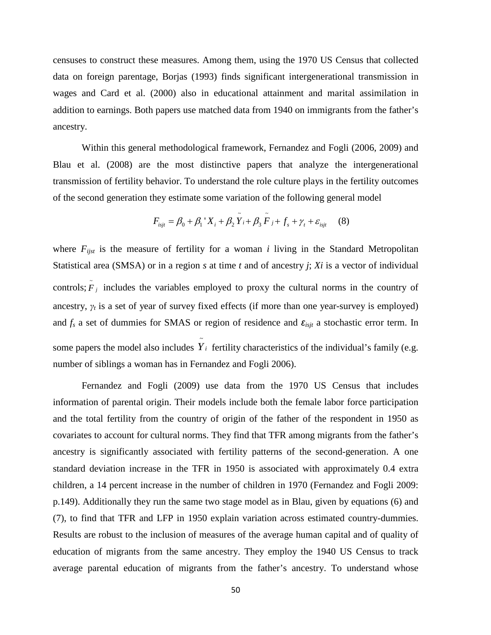censuses to construct these measures. Among them, using the 1970 US Census that collected data on foreign parentage, Borjas (1993) finds significant intergenerational transmission in wages and Card et al. (2000) also in educational attainment and marital assimilation in addition to earnings. Both papers use matched data from 1940 on immigrants from the father's ancestry.

Within this general methodological framework, Fernandez and Fogli (2006, 2009) and Blau et al. (2008) are the most distinctive papers that analyze the intergenerational transmission of fertility behavior. To understand the role culture plays in the fertility outcomes of the second generation they estimate some variation of the following general model

$$
F_{isjt} = \beta_0 + \beta_1' X_i + \beta_2 \tilde{Y}_i + \beta_3 \tilde{F}_j + f_s + \gamma_t + \varepsilon_{isjt}
$$
 (8)

where  $F_{ijst}$  is the measure of fertility for a woman *i* living in the Standard Metropolitan Statistical area (SMSA) or in a region *s* at time *t* and of ancestry *j*; *Xi* is a vector of individual controls;  $F_j$  includes the variables employed to proxy the cultural norms in the country of ancestry,  $\gamma_t$  is a set of year of survey fixed effects (if more than one year-survey is employed) and  $f_s$  a set of dummies for SMAS or region of residence and  $\epsilon_{isjt}$  a stochastic error term. In some papers the model also includes  $\tilde{Y}_i$  fertility characteristics of the individual's family (e.g. number of siblings a woman has in Fernandez and Fogli 2006).

Fernandez and Fogli (2009) use data from the 1970 US Census that includes information of parental origin. Their models include both the female labor force participation and the total fertility from the country of origin of the father of the respondent in 1950 as covariates to account for cultural norms. They find that TFR among migrants from the father's ancestry is significantly associated with fertility patterns of the second-generation. A one standard deviation increase in the TFR in 1950 is associated with approximately 0.4 extra children, a 14 percent increase in the number of children in 1970 (Fernandez and Fogli 2009: p.149). Additionally they run the same two stage model as in Blau, given by equations (6) and (7), to find that TFR and LFP in 1950 explain variation across estimated country-dummies. Results are robust to the inclusion of measures of the average human capital and of quality of education of migrants from the same ancestry. They employ the 1940 US Census to track average parental education of migrants from the father's ancestry. To understand whose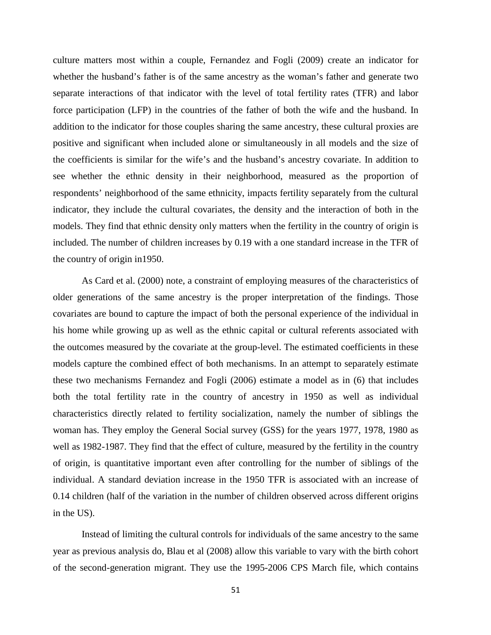culture matters most within a couple, Fernandez and Fogli (2009) create an indicator for whether the husband's father is of the same ancestry as the woman's father and generate two separate interactions of that indicator with the level of total fertility rates (TFR) and labor force participation (LFP) in the countries of the father of both the wife and the husband. In addition to the indicator for those couples sharing the same ancestry, these cultural proxies are positive and significant when included alone or simultaneously in all models and the size of the coefficients is similar for the wife's and the husband's ancestry covariate. In addition to see whether the ethnic density in their neighborhood, measured as the proportion of respondents' neighborhood of the same ethnicity, impacts fertility separately from the cultural indicator, they include the cultural covariates, the density and the interaction of both in the models. They find that ethnic density only matters when the fertility in the country of origin is included. The number of children increases by 0.19 with a one standard increase in the TFR of the country of origin in1950.

As Card et al. (2000) note, a constraint of employing measures of the characteristics of older generations of the same ancestry is the proper interpretation of the findings. Those covariates are bound to capture the impact of both the personal experience of the individual in his home while growing up as well as the ethnic capital or cultural referents associated with the outcomes measured by the covariate at the group-level. The estimated coefficients in these models capture the combined effect of both mechanisms. In an attempt to separately estimate these two mechanisms Fernandez and Fogli (2006) estimate a model as in (6) that includes both the total fertility rate in the country of ancestry in 1950 as well as individual characteristics directly related to fertility socialization, namely the number of siblings the woman has. They employ the General Social survey (GSS) for the years 1977, 1978, 1980 as well as 1982-1987. They find that the effect of culture, measured by the fertility in the country of origin, is quantitative important even after controlling for the number of siblings of the individual. A standard deviation increase in the 1950 TFR is associated with an increase of 0.14 children (half of the variation in the number of children observed across different origins in the US).

Instead of limiting the cultural controls for individuals of the same ancestry to the same year as previous analysis do, Blau et al (2008) allow this variable to vary with the birth cohort of the second-generation migrant. They use the 1995-2006 CPS March file, which contains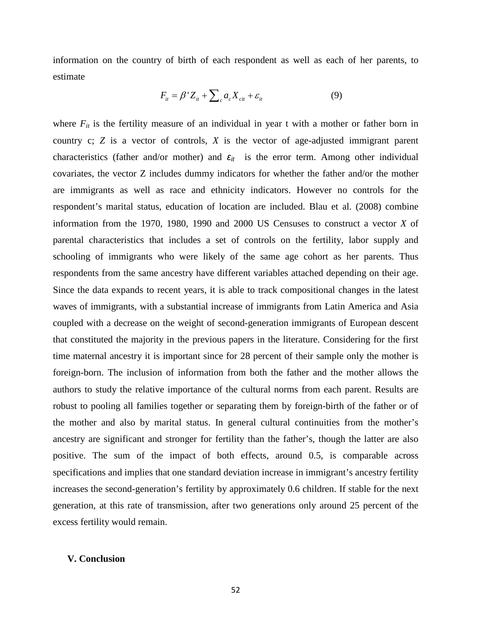information on the country of birth of each respondent as well as each of her parents, to estimate

$$
F_{it} = \beta' Z_{it} + \sum_{c} a_{c} X_{cit} + \varepsilon_{it}
$$
 (9)

where  $F_{it}$  is the fertility measure of an individual in year t with a mother or father born in country c; *Z* is a vector of controls, *X* is the vector of age-adjusted immigrant parent characteristics (father and/or mother) and  $\varepsilon_{it}$  is the error term. Among other individual covariates, the vector Z includes dummy indicators for whether the father and/or the mother are immigrants as well as race and ethnicity indicators. However no controls for the respondent's marital status, education of location are included. Blau et al. (2008) combine information from the 1970, 1980, 1990 and 2000 US Censuses to construct a vector *X* of parental characteristics that includes a set of controls on the fertility, labor supply and schooling of immigrants who were likely of the same age cohort as her parents. Thus respondents from the same ancestry have different variables attached depending on their age. Since the data expands to recent years, it is able to track compositional changes in the latest waves of immigrants, with a substantial increase of immigrants from Latin America and Asia coupled with a decrease on the weight of second-generation immigrants of European descent that constituted the majority in the previous papers in the literature. Considering for the first time maternal ancestry it is important since for 28 percent of their sample only the mother is foreign-born. The inclusion of information from both the father and the mother allows the authors to study the relative importance of the cultural norms from each parent. Results are robust to pooling all families together or separating them by foreign-birth of the father or of the mother and also by marital status. In general cultural continuities from the mother's ancestry are significant and stronger for fertility than the father's, though the latter are also positive. The sum of the impact of both effects, around 0.5, is comparable across specifications and implies that one standard deviation increase in immigrant's ancestry fertility increases the second-generation's fertility by approximately 0.6 children. If stable for the next generation, at this rate of transmission, after two generations only around 25 percent of the excess fertility would remain.

#### **V. Conclusion**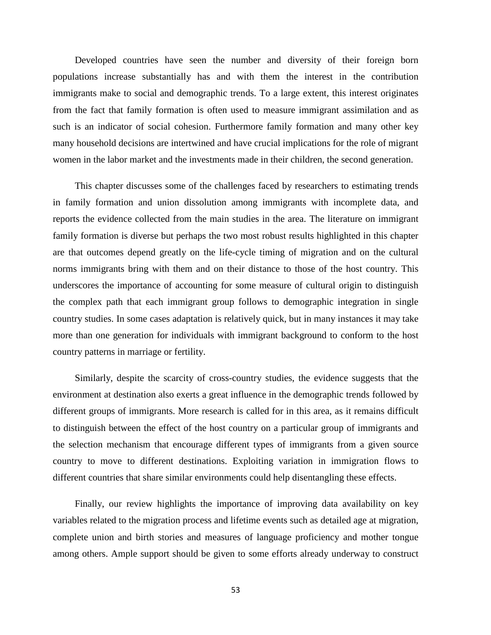Developed countries have seen the number and diversity of their foreign born populations increase substantially has and with them the interest in the contribution immigrants make to social and demographic trends. To a large extent, this interest originates from the fact that family formation is often used to measure immigrant assimilation and as such is an indicator of social cohesion. Furthermore family formation and many other key many household decisions are intertwined and have crucial implications for the role of migrant women in the labor market and the investments made in their children, the second generation.

This chapter discusses some of the challenges faced by researchers to estimating trends in family formation and union dissolution among immigrants with incomplete data, and reports the evidence collected from the main studies in the area. The literature on immigrant family formation is diverse but perhaps the two most robust results highlighted in this chapter are that outcomes depend greatly on the life-cycle timing of migration and on the cultural norms immigrants bring with them and on their distance to those of the host country. This underscores the importance of accounting for some measure of cultural origin to distinguish the complex path that each immigrant group follows to demographic integration in single country studies. In some cases adaptation is relatively quick, but in many instances it may take more than one generation for individuals with immigrant background to conform to the host country patterns in marriage or fertility.

Similarly, despite the scarcity of cross-country studies, the evidence suggests that the environment at destination also exerts a great influence in the demographic trends followed by different groups of immigrants. More research is called for in this area, as it remains difficult to distinguish between the effect of the host country on a particular group of immigrants and the selection mechanism that encourage different types of immigrants from a given source country to move to different destinations. Exploiting variation in immigration flows to different countries that share similar environments could help disentangling these effects.

Finally, our review highlights the importance of improving data availability on key variables related to the migration process and lifetime events such as detailed age at migration, complete union and birth stories and measures of language proficiency and mother tongue among others. Ample support should be given to some efforts already underway to construct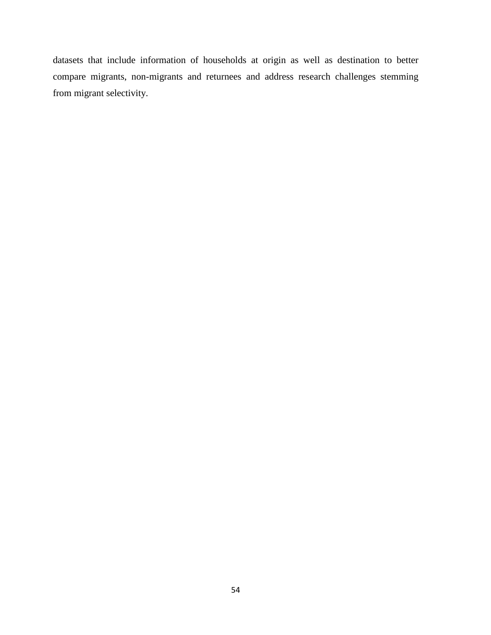datasets that include information of households at origin as well as destination to better compare migrants, non-migrants and returnees and address research challenges stemming from migrant selectivity.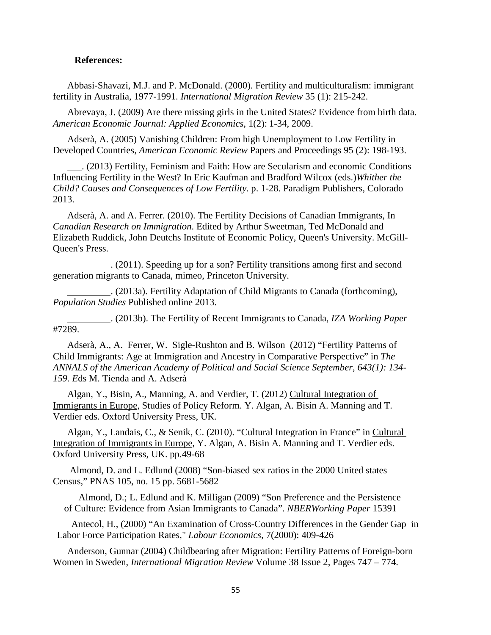#### **References:**

Abbasi-Shavazi, M.J. and P. McDonald. (2000). Fertility and multiculturalism: immigrant fertility in Australia, 1977-1991. *International Migration Review* 35 (1): 215-242.

Abrevaya, J. (2009) Are there missing girls in the United States? Evidence from birth data. *American Economic Journal: Applied Economics*, 1(2): 1-34, 2009.

Adserà, A. (2005) Vanishing Children: From high Unemployment to Low Fertility in Developed Countries, *American Economic Review* Papers and Proceedings 95 (2): 198-193.

. (2013) Fertility, Feminism and Faith: How are Secularism and economic Conditions Influencing Fertility in the West? In Eric Kaufman and Bradford Wilcox (eds.)*Whither the Child? Causes and Consequences of Low Fertility*. p. 1-28. Paradigm Publishers, Colorado 2013.

Adserà, A. and A. Ferrer. (2010). The Fertility Decisions of Canadian Immigrants, In *Canadian Research on Immigration*. Edited by Arthur Sweetman, Ted McDonald and Elizabeth Ruddick, John Deutchs Institute of Economic Policy, Queen's University. McGill-Queen's Press.

. (2011). Speeding up for a son? Fertility transitions among first and second generation migrants to Canada, mimeo, Princeton University.

. (2013a). Fertility Adaptation of Child Migrants to Canada (forthcoming), *Population Studies* Published online 2013.

. (2013b). The Fertility of Recent Immigrants to Canada, *IZA Working Paper* #7289.

Adserà, A., A. Ferrer, W. Sigle-Rushton and B. Wilson (2012) "Fertility Patterns of Child Immigrants: Age at Immigration and Ancestry in Comparative Perspective" in *The ANNALS of the American Academy of Political and Social Science September, 643(1): 134- 159. E*ds M. Tienda and A. Adserà

Algan, Y., Bisin, A., Manning, A. and Verdier, T. (2012) Cultural Integration of Immigrants in Europe, Studies of Policy Reform. Y. Algan, A. Bisin A. Manning and T. Verdier eds. Oxford University Press, UK.

Algan, Y., Landais, C., & Senik, C. (2010). "Cultural Integration in France" in Cultural Integration of Immigrants in Europe, Y. Algan, A. Bisin A. Manning and T. Verdier eds. Oxford University Press, UK. pp.49-68

Almond, D. and L. Edlund (2008) "Son-biased sex ratios in the 2000 United states Census," PNAS 105, no. 15 pp. 5681-5682

Almond, D.; L. Edlund and K. Milligan (2009) "Son Preference and the Persistence of Culture: Evidence from Asian Immigrants to Canada". *NBERWorking Paper* 15391

Antecol, H., (2000) "An Examination of Cross-Country Differences in the Gender Gap in Labor Force Participation Rates," *Labour Economics*, 7(2000): 409-426

Anderson, Gunnar (2004) Childbearing after Migration: Fertility Patterns of Foreign-born Women in Sweden, *International Migration Review* Volume 38 Issue 2, Pages 747 – 774.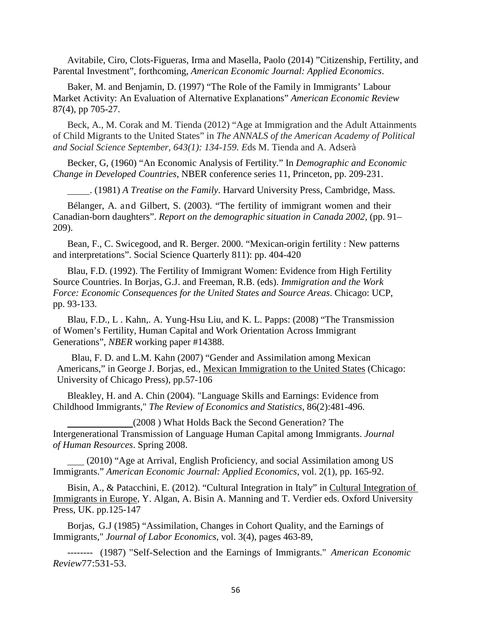Avitabile, Ciro, Clots-Figueras, Irma and Masella, Paolo (2014) "Citizenship, Fertility, and Parental Investment", forthcoming, *American Economic Journal: Applied Economics*.

Baker, M. and Benjamin, D. (1997) "The Role of the Family in Immigrants' Labour Market Activity: An Evaluation of Alternative Explanations" *American Economic Review* 87(4), pp 705-27.

Beck, A., M. Corak and M. Tienda (2012) "Age at Immigration and the Adult Attainments of Child Migrants to the United States" in *The ANNALS of the American Academy of Political and Social Science September, 643(1): 134-159. E*ds M. Tienda and A. Adserà

Becker, G, (1960) "An Economic Analysis of Fertility." In *Demographic and Economic Change in Developed Countries*, NBER conference series 11, Princeton, pp. 209-231.

. (1981) *A Treatise on the Family*. Harvard University Press, Cambridge, Mass.

Bélanger, A. and Gilbert, S. (2003). "The fertility of immigrant women and their Canadian-born daughters". *Report on the demographic situation in Canada 2002*, (pp. 91– 209).

Bean, F., C. Swicegood, and R. Berger. 2000. "Mexican-origin fertility : New patterns and interpretations". Social Science Quarterly 811): pp. 404-420

Blau, F.D. (1992). The Fertility of Immigrant Women: Evidence from High Fertility Source Countries. In Borjas, G.J. and Freeman, R.B. (eds). *Immigration and the Work Force: Economic Consequences for the United States and Source Areas*. Chicago: UCP, pp. 93-133.

Blau, F.D., L . Kahn,. A. Yung-Hsu Liu, and K. L. Papps: (2008) "The Transmission of Women's Fertility, Human Capital and Work Orientation Across Immigrant Generations", *NBER* working paper #14388.

Blau, F. D. and L.M. Kahn (2007) "Gender and Assimilation among Mexican Americans," in George J. Borjas, ed., Mexican Immigration to the United States (Chicago: University of Chicago Press), pp.57-106

Bleakley, H. and A. Chin (2004). "Language Skills and Earnings: Evidence from Childhood Immigrants," *The Review of Economics and Statistics*, 86(2):481-496.

(2008 ) What Holds Back the Second Generation? The Intergenerational Transmission of Language Human Capital among Immigrants. *Journal of Human Resources*. Spring 2008.

(2010) "Age at Arrival, English Proficiency, and social Assimilation among US Immigrants." *American Economic Journal: Applied Economics*, vol. 2(1), pp. 165-92.

Bisin, A., & Patacchini, E. (2012). "Cultural Integration in Italy" in Cultural Integration of Immigrants in Europe, Y. Algan, A. Bisin A. Manning and T. Verdier eds. Oxford University Press, UK. pp.125-147

Borjas, G.J (1985) "Assimilation, Changes in Cohort Quality, and the Earnings of Immigrants," *Journal of Labor Economics*, vol. 3(4), pages 463-89,

-------- (1987) "Self-Selection and the Earnings of Immigrants." *American Economic Review*77:531-53.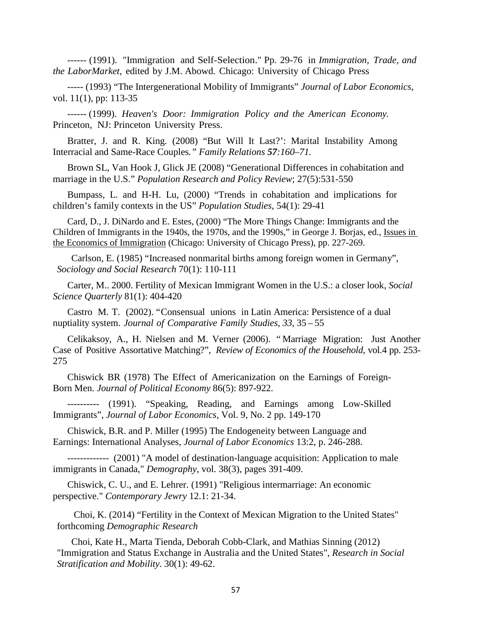------ (1991). "Immigration and Self-Selection." Pp. 29-76 in *Immigration, Trade, and the LaborMarket,* edited by J.M. Abowd. Chicago: University of Chicago Press

----- (1993) "The Intergenerational Mobility of Immigrants" *Journal of Labor Economics*, vol. 11(1), pp: 113-35

------ (1999). *Heaven's Door: Immigration Policy and the American Economy.* Princeton, NJ: Princeton University Press.

Bratter, J. and R. King*.* (2008) "But Will It Last?': Marital Instability Among Interracial and Same-Race Couples*." Family Relations 57:160–71.*

Brown SL, Van Hook J, Glick JE (2008) "Generational Differences in cohabitation and marriage in the U.S." *Population Research and Policy Review*; 27(5):531-550

Bumpass, L. and H-H. Lu, (2000) "Trends in cohabitation and implications for children's family contexts in the US" *Population Studies*, 54(1): 29-41

Card, D., J. DiNardo and E. Estes, (2000) "The More Things Change: Immigrants and the Children of Immigrants in the 1940s, the 1970s, and the 1990s," in George J. Borjas, ed., Issues in the Economics of Immigration (Chicago: University of Chicago Press), pp. 227-269.

Carlson, E. (1985) "Increased nonmarital births among foreign women in Germany", *Sociology and Social Research* 70(1): 110-111

Carter, M.. 2000. Fertility of Mexican Immigrant Women in the U.S.: a closer look, *Social Science Quarterly* 81(1): 404-420

Castro M. T. (2002). "Consensual unions in Latin America: Persistence of a dual nuptiality system. *Journal of Comparative Family Studies*, *33*, 35 – 55

Celikaksoy, A., H. Nielsen and M. Verner (2006). " Marriage Migration: Just Another Case of Positive Assortative Matching?", *Review of Economics of the Household*, vol.4 pp. 253- 275

Chiswick BR (1978) The Effect of Americanization on the Earnings of Foreign-Born Men. *Journal of Political Economy* 86(5): 897-922.

---------- (1991). "Speaking, Reading, and Earnings among Low-Skilled Immigrants", *Journal of Labor Economics*, Vol. 9, No. 2 pp. 149-170

Chiswick, B.R. and P. Miller (1995) The Endogeneity between Language and Earnings: International Analyses, *Journal of Labor Economics* 13:2, p. 246-288.

------------- (2001) "A model of destination-language acquisition: Application to male immigrants in Canada," *Demography*, vol. 38(3), pages 391-409.

Chiswick, C. U., and E. Lehrer. (1991) "Religious intermarriage: An economic perspective." *Contemporary Jewry* 12.1: 21-34.

Choi, K. (2014) "Fertility in the Context of Mexican Migration to the United States" forthcoming *Demographic Research*

Choi, Kate H., Marta Tienda, Deborah Cobb-Clark, and Mathias Sinning (2012) "Immigration and Status Exchange in Australia and the United States", *Research in Social Stratification and Mobility*. 30(1): 49-62.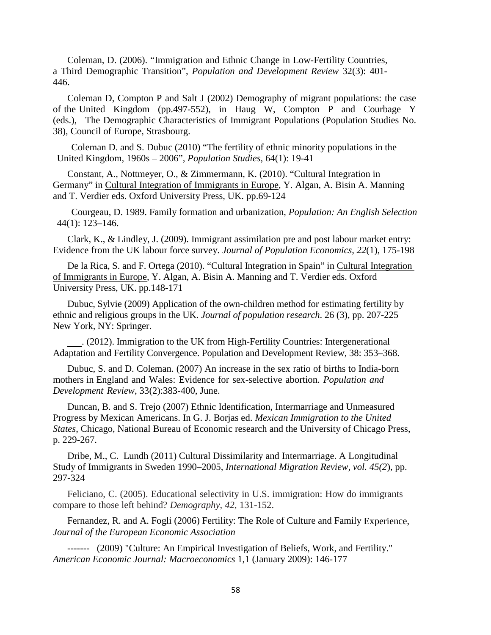Coleman, D. (2006). "Immigration and Ethnic Change in Low-Fertility Countries, a Third Demographic Transition", *Population and Development Review* 32(3): 401- 446.

Coleman D, Compton P and Salt J (2002) Demography of migrant populations: the case of the United Kingdom (pp.497-552), in Haug W, Compton P and Courbage Y (eds.), The Demographic Characteristics of Immigrant Populations (Population Studies No. 38), Council of Europe, Strasbourg.

Coleman D. and S. Dubuc (2010) "The fertility of ethnic minority populations in the United Kingdom, 1960s – 2006", *Population Studies*, 64(1): 19-41

Constant, A., Nottmeyer, O., & Zimmermann, K. (2010). "Cultural Integration in Germany" in Cultural Integration of Immigrants in Europe, Y. Algan, A. Bisin A. Manning and T. Verdier eds. Oxford University Press, UK. pp.69-124

Courgeau, D. 1989. Family formation and urbanization, *Population: An English Selection* 44(1): 123–146.

Clark, K., & Lindley, J. (2009). Immigrant assimilation pre and post labour market entry: Evidence from the UK labour force survey. *Journal of Population Economics, 22*(1), 175-198

De la Rica, S. and F. Ortega (2010). "Cultural Integration in Spain" in Cultural Integration of Immigrants in Europe, Y. Algan, A. Bisin A. Manning and T. Verdier eds. Oxford University Press, UK. pp.148-171

Dubuc, Sylvie (2009) Application of the own-children method for estimating fertility by ethnic and religious groups in the UK. *Journal of population research*. 26 (3), pp. 207-225 New York, NY: Springer.

. (2012). Immigration to the UK from High-Fertility Countries: Intergenerational Adaptation and Fertility Convergence. Population and Development Review, 38: 353–368.

Dubuc, S. and D. Coleman. (2007) An increase in the sex ratio of births to India-born mothers in England and Wales: Evidence for sex-selective abortion. *Population and Development Review*, 33(2):383-400, June.

Duncan, B. and S. Trejo (2007) Ethnic Identification, Intermarriage and Unmeasured Progress by Mexican Americans. In G. J. Borjas ed. *Mexican Immigration to the United States*, Chicago, National Bureau of Economic research and the University of Chicago Press, p. 229-267.

Dribe, M., C. Lundh (2011) Cultural Dissimilarity and Intermarriage. A Longitudinal Study of Immigrants in Sweden 1990–2005, *International Migration Review, vol. 45(2*), pp. 297-324

Feliciano, C. (2005). Educational selectivity in U.S. immigration: How do immigrants compare to those left behind? *Demography*, *42*, 131-152.

Fernandez, R. and A. Fogli (2006) Fertility: The Role of Culture and Family Experience, *Journal of the European Economic Association*

------- (2009) "Culture: An Empirical Investigation of Beliefs, Work, and Fertility." *American Economic Journal: Macroeconomics* 1,1 (January 2009): 146-177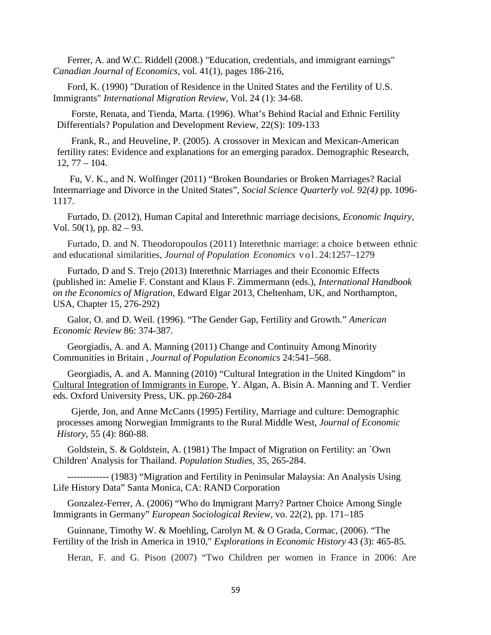Ferrer, A. and W.C. Riddell (2008.) ["Education, credentials, and immigrant earnings"](http://ideas.repec.org/a/cje/issued/v41y2008i1p186-216.html) *[Canadian Journal of Economics](http://ideas.repec.org/s/cje/issued.html)*, vol. 41(1), pages 186-216,

Ford, K. (1990) "Duration of Residence in the United States and the Fertility of U.S. Immigrants" *International Migration Review*, Vol. 24 (1): 34-68.

Forste, Renata, and Tienda, Marta. (1996). What's Behind Racial and Ethnic Fertility Differentials? Population and Development Review, 22(S): 109-133

Frank, R., and Heuveline, P. (2005). A crossover in Mexican and Mexican-American fertility rates: Evidence and explanations for an emerging paradox. Demographic Research, 12, 77 – 104.

Fu, V. K., and N. Wolfinger (2011) "Broken Boundaries or Broken Marriages? Racial Intermarriage and Divorce in the United States", *Social Science Quarterly vol. 92(4)* pp. 1096- 1117.

Furtado, D. (2012), Human Capital and Interethnic marriage decisions, *Economic Inquiry*, Vol.  $50(1)$ , pp.  $82 - 93$ .

Furtado, D. and N. Theodoropoulos (2011) Interethnic marriage: a choice between ethnic and educational similarities, *Journal of Population Economics* vol. 24:1257–1279

Furtado, D and S. Trejo (2013) Interethnic Marriages and their Economic Effects (published in: Amelie F. Constant and Klaus F. Zimmermann (eds.), *International Handbook on the Economics of Migration*, Edward Elgar 2013, Cheltenham, UK, and Northampton, USA, Chapter 15, 276-292)

Galor, O. and D. Weil. (1996). "The Gender Gap, Fertility and Growth." *American Economic Review* 86: 374-387.

Georgiadis, A. and A. Manning (2011) Change and Continuity Among Minority Communities in Britain , *Journal of Population Economics* 24:541–568.

Georgiadis, A. and A. Manning (2010) "Cultural Integration in the United Kingdom" in Cultural Integration of Immigrants in Europe, Y. Algan, A. Bisin A. Manning and T. Verdier eds. Oxford University Press, UK. pp.260-284

Gjerde, Jon, and Anne McCants (1995) Fertility, Marriage and culture: Demographic processes among Norwegian Immigrants to the Rural Middle West, *Journal of Economic History*, 55 (4): 860-88.

Goldstein, S. & Goldstein, A. (1981) The Impact of Migration on Fertility: an `Own Children' Analysis for Thailand. *Population Studies*, 35, 265-284.

------------- (1983) "Migration and Fertility in Peninsular Malaysia: An Analysis Using Life History Data" Santa Monica, CA: RAND Corporation

Gonzalez-Ferrer, A. (2006) "Who do Immigrant Marry? Partner Choice Among Single Immigrants in Germany" *European Sociological Review*, vo. 22(2), pp. 171–185

Guinnane, Timothy W. & Moehling, Carolyn M. & O Grada, Cormac, (2006). "The Fertility of the Irish in America in 1910," *Explorations in Economic History* 43 (3): 465-85.

Heran, F. and G. Pison (2007) "Two Children per women in France in 2006: Are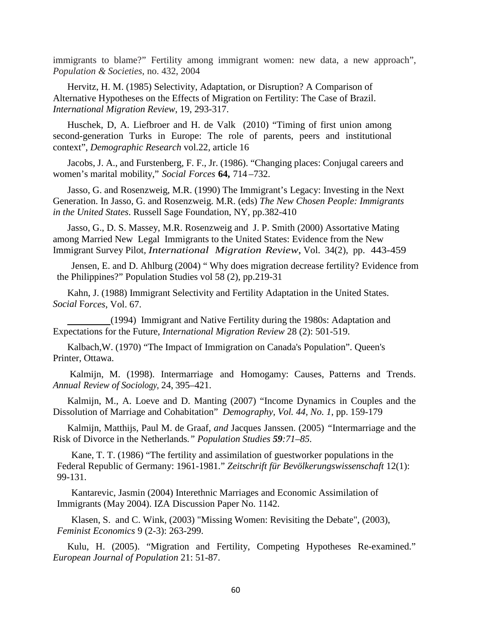immigrants to blame?" Fertility among immigrant women: new data, a new approach", *Population & Societies*, no. 432, 2004

Hervitz, H. M. (1985) Selectivity, Adaptation, or Disruption? A Comparison of Alternative Hypotheses on the Effects of Migration on Fertility: The Case of Brazil. *International Migration Review*, 19, 293-317.

Huschek, D, A. Liefbroer and H. de Valk (2010) "Timing of first union among second-generation Turks in Europe: The role of parents, peers and institutional context", *Demographic Research* vol.22, article 16

Jacobs, J. A., and Furstenberg, F. F., Jr. (1986). "Changing places: Conjugal careers and women's marital mobility," *Social Forces* **64,** 714 –732.

Jasso, G. and Rosenzweig, M.R. (1990) The Immigrant's Legacy: Investing in the Next Generation. In Jasso, G. and Rosenzweig. M.R. (eds) *The New Chosen People: Immigrants in the United States*. Russell Sage Foundation, NY, pp.382-410

Jasso, G., D. S. Massey, M.R. Rosenzweig and J. P. Smith (2000) Assortative Mating among Married New Legal Immigrants to the United States: Evidence from the New Immigrant Survey Pilot*, International Migration Review*, Vol. 34(2), pp. 443-459

Jensen, E. and D. Ahlburg (2004) " Why does migration decrease fertility? Evidence from the Philippines?" Population Studies vol 58 (2), pp.219-31

Kahn, J. (1988) Immigrant Selectivity and Fertility Adaptation in the United States. *Social* F*orces*, Vol. 67.

(1994) Immigrant and Native Fertility during the 1980s: Adaptation and Expectations for the Future, *International Migration Review* 28 (2): 501-519.

Kalbach,W. (1970) "The Impact of Immigration on Canada's Population". Queen's Printer, Ottawa.

Kalmijn, M. (1998). Intermarriage and Homogamy: Causes, Patterns and Trends. *Annual Review of Sociology*, 24, 395–421.

Kalmijn, M., A. Loeve and D. Manting (2007) "Income Dynamics in Couples and the Dissolution of Marriage and Cohabitation" *Demography, Vol. 44, No. 1*, pp. 159-179

Kalmijn, Matthijs*,* Paul M. de Graaf*, and* Jacques Janssen. (2005) *"*Intermarriage and the Risk of Divorce in the Netherlands*." Population Studies 59:71–85.*

Kane, T. T. (1986) "The fertility and assimilation of guestworker populations in the Federal Republic of Germany: 1961-1981." *Zeitschrift für Bevölkerungswissenschaft* 12(1): 99-131.

Kantarevic, Jasmin (2004) Interethnic Marriages and Economic Assimilation of Immigrants (May 2004). IZA Discussion Paper No. 1142.

Klasen, S. and C. Wink, (2003) "Missing Women: Revisiting the Debate", (2003), *Feminist Economics* 9 (2-3): 263-299.

Kulu, H. (2005). "Migration and Fertility, Competing Hypotheses Re-examined." *European Journal of Population* 21: 51-87.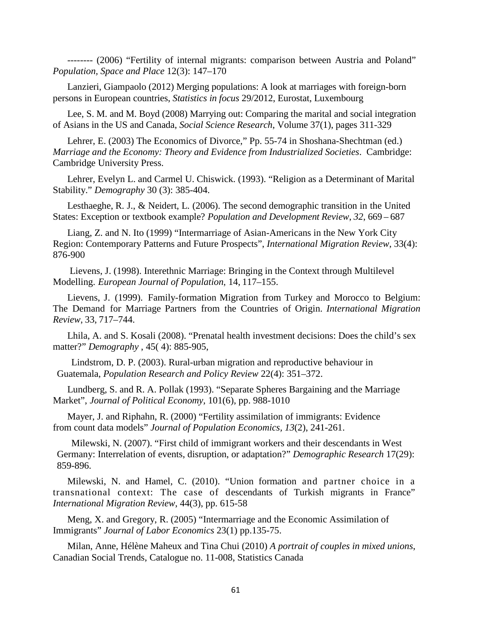-------- (2006) "Fertility of internal migrants: comparison between Austria and Poland" *Population, Space and Place* 12(3): 147–170

Lanzieri, Giampaolo (2012) Merging populations: A look at marriages with foreign-born persons in European countries, *Statistics in focus* 29/2012, Eurostat, Luxembourg

Lee, S. M. and M. Boyd (2008) Marrying out: Comparing the marital and social integration of Asians in the US and Canada, *Social Science Research*, Volume 37(1), pages 311-329

Lehrer, E. (2003) The Economics of Divorce," Pp. 55-74 in Shoshana-Shechtman (ed.) *Marriage and the Economy: Theory and Evidence from Industrialized Societies*. Cambridge: Cambridge University Press.

Lehrer, Evelyn L. and Carmel U. Chiswick. (1993). "Religion as a Determinant of Marital Stability." *Demography* 30 (3): 385-404.

Lesthaeghe, R. J., & Neidert, L. (2006). The second demographic transition in the United States: Exception or textbook example? *Population and Development Review*, *32*, 669 – 687

Liang, Z. and N. Ito (1999) "Intermarriage of Asian-Americans in the New York City Region: Contemporary Patterns and Future Prospects", *International Migration Review*, 33(4): 876-900

Lievens, J. (1998). Interethnic Marriage: Bringing in the Context through Multilevel Modelling. *European Journal of Population*, 14, 117–155.

Lievens, J. (1999). Family-formation Migration from Turkey and Morocco to Belgium: The Demand for Marriage Partners from the Countries of Origin. *International Migration Review*, 33, 717–744.

[Lhila,](http://www.springerlink.com/content/?Author=Aparna+Lhila) A. and S. [Kosali \(](http://www.springerlink.com/content/?Author=Kosali+I.+Simon)2008). ["Prenatal health investment decisions: Does the child's sex](http://www.springerlink.com/content/t64158v351k00r26/)  [matter?"](http://www.springerlink.com/content/t64158v351k00r26/) *[Demography](http://www.springerlink.com/content/0070-3370/)* , [45\(](http://www.springerlink.com/content/0070-3370/45/4/) 4): 885-905,

Lindstrom, D. P. (2003). Rural-urban migration and reproductive behaviour in Guatemala, *Population Research and Policy Review* 22(4): 351–372.

Lundberg, S. and R. A. Pollak (1993). "Separate Spheres Bargaining and the Marriage Market", *Journal of Political Economy,* 101(6), pp. 988-1010

Mayer, J. and Riphahn, R. (2000) "Fertility assimilation of immigrants: Evidence from count data models" *Journal of Population Economics, 13*(2), 241-261.

Milewski, N. (2007). "First child of immigrant workers and their descendants in West Germany: Interrelation of events, disruption, or adaptation?" *Demographic Research* 17(29): 859-896.

Milewski, N. and Hamel, C. (2010). "Union formation and partner choice in a transnational context: The case of descendants of Turkish migrants in France" *International Migration Review*, 44(3), pp. 615-58

Meng, X. and Gregory, R. (2005) "Intermarriage and the Economic Assimilation of Immigrants" *Journal of Labor Economics* 23(1) pp.135-75.

Milan, Anne, Hélène Maheux and Tina Chui (2010) *A portrait of couples in mixed unions*, Canadian Social Trends, Catalogue no. 11-008, Statistics Canada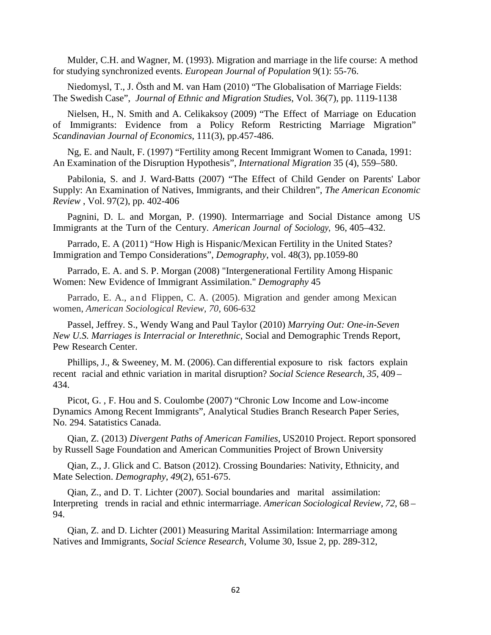Mulder, C.H. and Wagner, M. (1993). Migration and marriage in the life course: A method for studying synchronized events. *European Journal of Population* 9(1): 55-76.

Niedomysl, T., J. Östh and M. van Ham (2010) "The Globalisation of Marriage Fields: The Swedish Case", *Journal of Ethnic and Migration Studies*, Vol. 36(7), pp. 1119-1138

Nielsen, H., N. Smith and A. Celikaksoy (2009) "The Effect of Marriage on Education of Immigrants: Evidence from a Policy Reform Restricting Marriage Migration" *Scandinavian Journal of Economics*, 111(3), pp.457-486.

Ng, E. and Nault, F. (1997) "Fertility among Recent Immigrant Women to Canada, 1991: An Examination of the Disruption Hypothesis", *International Migration* 35 (4), 559–580.

Pabilonia, S. and J. Ward-Batts (2007) "The Effect of Child Gender on Parents' Labor Supply: An Examination of Natives, Immigrants, and their Children", *The American Economic Review* , Vol. 97(2), pp. 402-406

Pagnini, D. L. and Morgan, P. (1990). Intermarriage and Social Distance among US Immigrants at the Turn of the Century. *American Journal of Sociology*, 96, 405–432.

Parrado, E. A (2011) "How High is Hispanic/Mexican Fertility in the United States? Immigration and Tempo Considerations", *Demography*, vol. 48(3), pp.1059-80

Parrado, E. A. and S. P. Morgan (2008) "Intergenerational Fertility Among Hispanic Women: New Evidence of Immigrant Assimilation." *Demography* 45

Parrado, E. A., and Flippen, C. A. (2005). Migration and gender among Mexican women, *American Sociological Review*, *70*, 606-632

Passel, Jeffrey. S., Wendy Wang and Paul Taylor (2010) *Marrying Out: One-in-Seven New U.S. Marriages is Interracial or Interethnic*, Social and Demographic Trends Report, Pew Research Center.

Phillips, J., & Sweeney, M. M. (2006). Can differential exposure to risk factors explain recent racial and ethnic variation in marital disruption? *Social Science Research*, *35*, 409 – 434.

Picot, G. , F. Hou and S. Coulombe (2007) "Chronic Low Income and Low-income Dynamics Among Recent Immigrants", Analytical Studies Branch Research Paper Series, No. 294. Satatistics Canada.

Qian, Z. (2013) *Divergent Paths of American Families*, US2010 Project. Report sponsored by Russell Sage Foundation and American Communities Project of Brown University

Qian, Z., J. Glick and C. Batson (2012). Crossing Boundaries: Nativity, Ethnicity, and Mate Selection. *Demography*, *49*(2), 651-675.

Qian, Z., and D. T. Lichter (2007). Social boundaries and marital assimilation: Interpreting trends in racial and ethnic intermarriage. *American Sociological Review*, *72*, 68 – 94.

Qian, Z. and D. Lichter (2001) Measuring Marital Assimilation: Intermarriage among Natives and Immigrants, *Social Science Research*, Volume 30, Issue 2, pp. 289-312,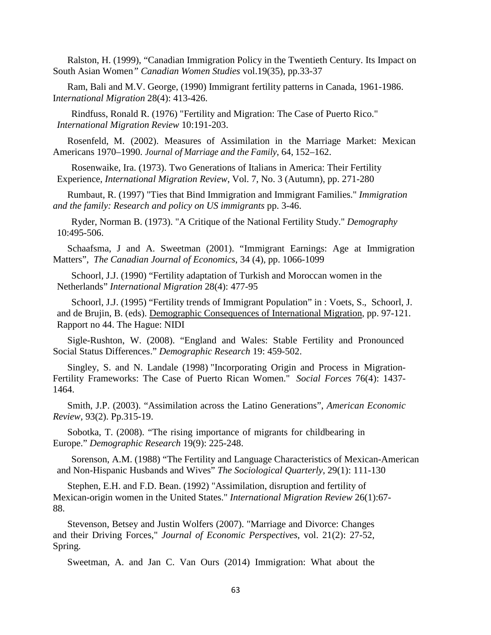Ralston, H. (1999), "Canadian Immigration Policy in the Twentieth Century. Its Impact on South Asian Women*" Canadian Women Studies* vol.19(35), pp.33-37

Ram, Bali and M.V. George, (1990) Immigrant fertility patterns in Canada, 1961-1986. I*nternational Migration* 28(4): 413-426.

Rindfuss, Ronald R. (1976) "Fertility and Migration: The Case of Puerto Rico." *International Migration Review* 10:191-203.

Rosenfeld, M. (2002). Measures of Assimilation in the Marriage Market: Mexican Americans 1970–1990. *Journal of Marriage and the Family*, 64, 152–162.

Rosenwaike, Ira. (1973). Two Generations of Italians in America: Their Fertility Experience, *International Migration Review*, Vol. 7, No. 3 (Autumn), pp. 271-280

Rumbaut, R. (1997) "Ties that Bind Immigration and Immigrant Families." *Immigration and the family: Research and policy on US immigrants* pp. 3-46.

Ryder, Norman B. (1973). "A Critique of the National Fertility Study." *Demography* 10:495-506.

Schaafsma, J and A. Sweetman (2001). "Immigrant Earnings: Age at Immigration Matters", *The Canadian Journal of Economics*, 34 (4), pp. 1066-1099

Schoorl, J.J. (1990) "Fertility adaptation of Turkish and Moroccan women in the Netherlands" *International Migration* 28(4): 477-95

Schoorl, J.J. (1995) "Fertility trends of Immigrant Population" in : Voets, S., Schoorl, J. and de Brujin, B. (eds). Demographic Consequences of International Migration, pp. 97-121. Rapport no 44. The Hague: NIDI

Sigle-Rushton, W. (2008). "England and Wales: Stable Fertility and Pronounced Social Status Differences." *Demographic Research* 19: 459-502.

Singley, S. and N. Landale (1998) "Incorporating Origin and Process in Migration-Fertility Frameworks: The Case of Puerto Rican Women." *Social Forces* 76(4): 1437- 1464.

Smith, J.P. (2003). "Assimilation across the Latino Generations", *American Economic Review*, 93(2). Pp.315-19.

Sobotka, T. (2008). "The rising importance of migrants for childbearing in Europe." *Demographic Research* 19(9): 225-248.

Sorenson, A.M. (1988) "The Fertility and Language Characteristics of Mexican-American and Non-Hispanic Husbands and Wives" *The Sociological Quarterly*, 29(1): 111-130

Stephen, E.H. and F.D. Bean. (1992) "Assimilation, disruption and fertility of Mexican-origin women in the United States." *International Migration Review* 26(1):67- 88.

Stevenson, Betsey and Justin Wolfers (2007). "Marriage and Divorce: Changes and their Driving Forces," *Journal of Economic Perspectives*, vol. 21(2): 27-52, Spring.

Sweetman, A. and Jan C. Van Ours (2014) Immigration: What about the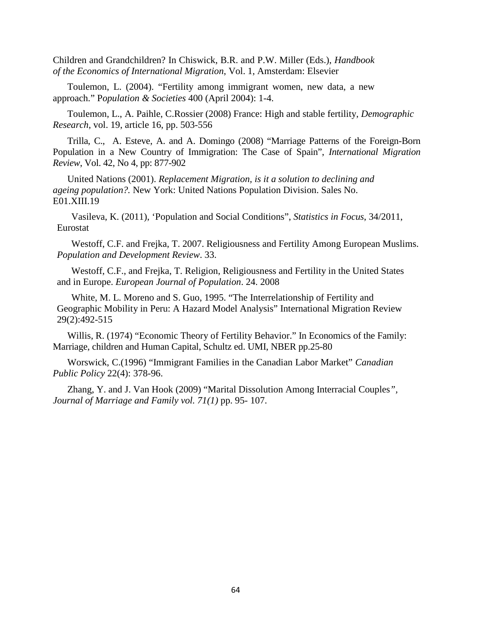Children and Grandchildren? In Chiswick, B.R. and P.W. Miller (Eds.), *Handbook of the Economics of International Migration*, Vol. 1, Amsterdam: Elsevier

Toulemon, L. (2004). "Fertility among immigrant women, new data, a new approach." P*opulation & Societies* 400 (April 2004): 1-4.

Toulemon, L., A. Paihle, C.Rossier (2008) France: High and stable fertility, *Demographic Research*, vol. 19, article 16, pp. 503-556

Trilla, C., A. Esteve, A. and A. Domingo (2008) "Marriage Patterns of the Foreign-Born Population in a New Country of Immigration: The Case of Spain", *International Migration Review*, Vol. 42, No 4, pp: 877-902

United Nations (2001). *Replacement Migration, is it a solution to declining and ageing population?.* New York: United Nations Population Division. Sales No. E01.XIII.19

Vasileva, K. (2011), 'Population and Social Conditions", *Statistics in Focus*, 34/2011, Eurostat

Westoff, C.F. and Frejka, T. 2007. Religiousness and Fertility Among European Muslims. *Population and Development Review*. 33.

Westoff, C.F., and Frejka, T. Religion, Religiousness and Fertility in the United States and in Europe. *European Journal of Population*. 24. 2008

White, M. L. Moreno and S. Guo, 1995. "The Interrelationship of Fertility and Geographic Mobility in Peru: A Hazard Model Analysis" International Migration Review 29(2):492-515

Willis, R. (1974) "Economic Theory of Fertility Behavior." In Economics of the Family: Marriage, children and Human Capital, Schultz ed. UMI, NBER pp.25-80

Worswick, C.(1996) "Immigrant Families in the Canadian Labor Market" *Canadian Public Policy* 22(4): 378-96.

Zhang, Y. and J. Van Hook (2009) "Marital Dissolution Among Interracial Couples*", Journal of Marriage and Family vol. 71(1)* pp. 95- 107.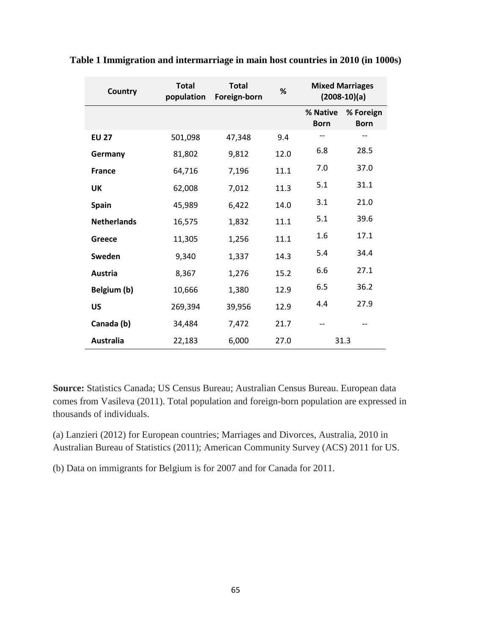| <b>Country</b>     | <b>Total</b><br>population | <b>Total</b><br>Foreign-born | %    |                         | <b>Mixed Marriages</b><br>$(2008-10)(a)$ |
|--------------------|----------------------------|------------------------------|------|-------------------------|------------------------------------------|
|                    |                            |                              |      | % Native<br><b>Born</b> | % Foreign<br><b>Born</b>                 |
| <b>EU 27</b>       | 501,098                    | 47,348                       | 9.4  | --                      |                                          |
| Germany            | 81,802                     | 9,812                        | 12.0 | 6.8                     | 28.5                                     |
| <b>France</b>      | 64,716                     | 7,196                        | 11.1 | 7.0                     | 37.0                                     |
| <b>UK</b>          | 62,008                     | 7,012                        | 11.3 | 5.1                     | 31.1                                     |
| <b>Spain</b>       | 45,989                     | 6,422                        | 14.0 | 3.1                     | 21.0                                     |
| <b>Netherlands</b> | 16,575                     | 1,832                        | 11.1 | 5.1                     | 39.6                                     |
| Greece             | 11,305                     | 1,256                        | 11.1 | 1.6                     | 17.1                                     |
| Sweden             | 9,340                      | 1,337                        | 14.3 | 5.4                     | 34.4                                     |
| Austria            | 8,367                      | 1,276                        | 15.2 | 6.6                     | 27.1                                     |
| Belgium (b)        | 10,666                     | 1,380                        | 12.9 | 6.5                     | 36.2                                     |
| <b>US</b>          | 269,394                    | 39,956                       | 12.9 | 4.4                     | 27.9                                     |
| Canada (b)         | 34,484                     | 7,472                        | 21.7 |                         |                                          |
| <b>Australia</b>   | 22,183                     | 6,000                        | 27.0 |                         | 31.3                                     |

**Table 1 Immigration and intermarriage in main host countries in 2010 (in 1000s)**

**Source:** Statistics Canada; US Census Bureau; Australian Census Bureau. European data comes from Vasileva (2011). Total population and foreign-born population are expressed in thousands of individuals.

(a) Lanzieri (2012) for European countries; Marriages and Divorces, Australia, 2010 in Australian Bureau of Statistics (2011); American Community Survey (ACS) 2011 for US.

(b) Data on immigrants for Belgium is for 2007 and for Canada for 2011.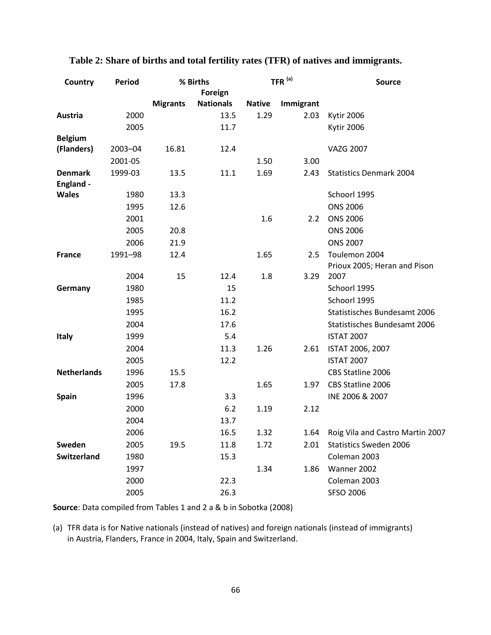| Country                     | Period<br>% Births |                 | TFR $^{(a)}$     | <b>Source</b> |           |                                  |  |
|-----------------------------|--------------------|-----------------|------------------|---------------|-----------|----------------------------------|--|
|                             |                    |                 | Foreign          |               |           |                                  |  |
|                             |                    | <b>Migrants</b> | <b>Nationals</b> | <b>Native</b> | Immigrant |                                  |  |
| Austria                     | 2000               |                 | 13.5             | 1.29          | 2.03      | Kytir 2006                       |  |
|                             | 2005               |                 | 11.7             |               |           | Kytir 2006                       |  |
| <b>Belgium</b>              |                    |                 |                  |               |           |                                  |  |
| (Flanders)                  | 2003-04            | 16.81           | 12.4             |               |           | <b>VAZG 2007</b>                 |  |
|                             | 2001-05            |                 |                  | 1.50          | 3.00      |                                  |  |
| <b>Denmark</b><br>England - | 1999-03            | 13.5            | 11.1             | 1.69          | 2.43      | <b>Statistics Denmark 2004</b>   |  |
| <b>Wales</b>                | 1980               | 13.3            |                  |               |           | Schoorl 1995                     |  |
|                             | 1995               | 12.6            |                  |               |           | <b>ONS 2006</b>                  |  |
|                             | 2001               |                 |                  | 1.6           | 2.2       | <b>ONS 2006</b>                  |  |
|                             | 2005               | 20.8            |                  |               |           | <b>ONS 2006</b>                  |  |
|                             | 2006               | 21.9            |                  |               |           | <b>ONS 2007</b>                  |  |
| <b>France</b>               | 1991-98            | 12.4            |                  | 1.65          | 2.5       | Toulemon 2004                    |  |
|                             |                    |                 |                  |               |           | Prioux 2005; Heran and Pison     |  |
|                             | 2004               | 15              | 12.4             | 1.8           | 3.29      | 2007                             |  |
| Germany                     | 1980               |                 | 15               |               |           | Schoorl 1995                     |  |
|                             | 1985               |                 | 11.2             |               |           | Schoorl 1995                     |  |
|                             | 1995               |                 | 16.2             |               |           | Statistisches Bundesamt 2006     |  |
|                             | 2004               |                 | 17.6             |               |           | Statistisches Bundesamt 2006     |  |
| <b>Italy</b>                | 1999               |                 | 5.4              |               |           | <b>ISTAT 2007</b>                |  |
|                             | 2004               |                 | 11.3             | 1.26          | 2.61      | ISTAT 2006, 2007                 |  |
|                             | 2005               |                 | 12.2             |               |           | <b>ISTAT 2007</b>                |  |
| <b>Netherlands</b>          | 1996               | 15.5            |                  |               |           | CBS Statline 2006                |  |
|                             | 2005               | 17.8            |                  | 1.65          | 1.97      | CBS Statline 2006                |  |
| <b>Spain</b>                | 1996               |                 | 3.3              |               |           | INE 2006 & 2007                  |  |
|                             | 2000               |                 | 6.2              | 1.19          | 2.12      |                                  |  |
|                             | 2004               |                 | 13.7             |               |           |                                  |  |
|                             | 2006               |                 | 16.5             | 1.32          | 1.64      | Roig Vila and Castro Martin 2007 |  |
| Sweden                      | 2005               | 19.5            | 11.8             | 1.72          | 2.01      | <b>Statistics Sweden 2006</b>    |  |
| <b>Switzerland</b>          | 1980               |                 | 15.3             |               |           | Coleman 2003                     |  |
|                             | 1997               |                 |                  | 1.34          | 1.86      | Wanner 2002                      |  |
|                             | 2000               |                 | 22.3             |               |           | Coleman 2003                     |  |
|                             | 2005               |                 | 26.3             |               |           | SFSO 2006                        |  |

## **Table 2: Share of births and total fertility rates (TFR) of natives and immigrants.**

**Source**: Data compiled from Tables 1 and 2 a & b in Sobotka (2008)

(a) TFR data is for Native nationals (instead of natives) and foreign nationals (instead of immigrants) in Austria, Flanders, France in 2004, Italy, Spain and Switzerland.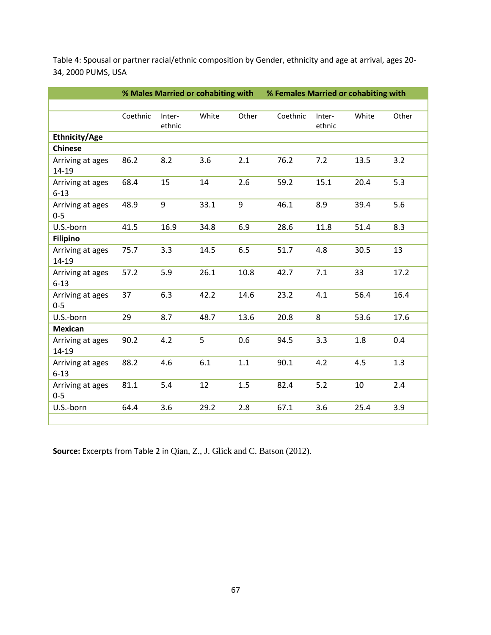|                    | Table 4: Spousal or partner racial/ethnic composition by Gender, ethnicity and age at arrival, ages 20- |  |  |
|--------------------|---------------------------------------------------------------------------------------------------------|--|--|
| 34, 2000 PUMS, USA |                                                                                                         |  |  |

|                              | % Males Married or cohabiting with |                  |       | % Females Married or cohabiting with |          |                  |       |       |
|------------------------------|------------------------------------|------------------|-------|--------------------------------------|----------|------------------|-------|-------|
|                              |                                    |                  |       |                                      |          |                  |       |       |
|                              | Coethnic                           | Inter-<br>ethnic | White | Other                                | Coethnic | Inter-<br>ethnic | White | Other |
| Ethnicity/Age                |                                    |                  |       |                                      |          |                  |       |       |
| <b>Chinese</b>               |                                    |                  |       |                                      |          |                  |       |       |
| Arriving at ages<br>14-19    | 86.2                               | 8.2              | 3.6   | 2.1                                  | 76.2     | 7.2              | 13.5  | 3.2   |
| Arriving at ages<br>$6 - 13$ | 68.4                               | 15               | 14    | 2.6                                  | 59.2     | 15.1             | 20.4  | 5.3   |
| Arriving at ages<br>$0 - 5$  | 48.9                               | 9                | 33.1  | 9                                    | 46.1     | 8.9              | 39.4  | 5.6   |
| U.S.-born                    | 41.5                               | 16.9             | 34.8  | 6.9                                  | 28.6     | 11.8             | 51.4  | 8.3   |
| <b>Filipino</b>              |                                    |                  |       |                                      |          |                  |       |       |
| Arriving at ages<br>14-19    | 75.7                               | 3.3              | 14.5  | 6.5                                  | 51.7     | 4.8              | 30.5  | 13    |
| Arriving at ages<br>$6 - 13$ | 57.2                               | 5.9              | 26.1  | 10.8                                 | 42.7     | 7.1              | 33    | 17.2  |
| Arriving at ages<br>$0 - 5$  | 37                                 | 6.3              | 42.2  | 14.6                                 | 23.2     | 4.1              | 56.4  | 16.4  |
| U.S.-born                    | 29                                 | 8.7              | 48.7  | 13.6                                 | 20.8     | 8                | 53.6  | 17.6  |
| <b>Mexican</b>               |                                    |                  |       |                                      |          |                  |       |       |
| Arriving at ages<br>14-19    | 90.2                               | 4.2              | 5     | 0.6                                  | 94.5     | 3.3              | 1.8   | 0.4   |
| Arriving at ages<br>$6 - 13$ | 88.2                               | 4.6              | 6.1   | 1.1                                  | 90.1     | 4.2              | 4.5   | 1.3   |
| Arriving at ages<br>$0 - 5$  | 81.1                               | 5.4              | 12    | 1.5                                  | 82.4     | 5.2              | 10    | 2.4   |
| U.S.-born                    | 64.4                               | 3.6              | 29.2  | 2.8                                  | 67.1     | 3.6              | 25.4  | 3.9   |
|                              |                                    |                  |       |                                      |          |                  |       |       |

**Source:** Excerpts from Table 2 in Qian, Z., J. Glick and C. Batson (2012).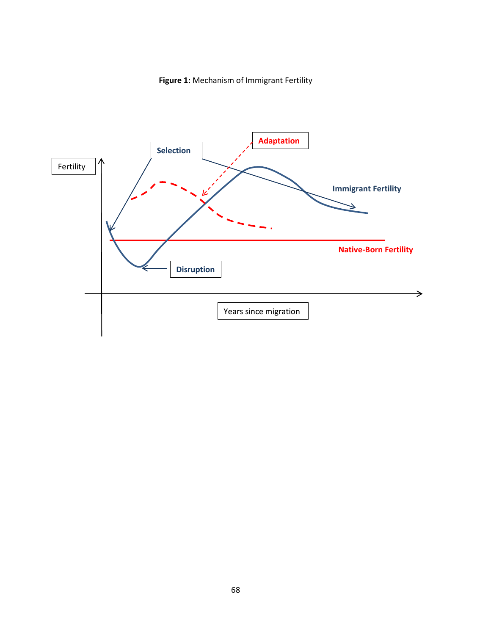# **Figure 1:** Mechanism of Immigrant Fertility

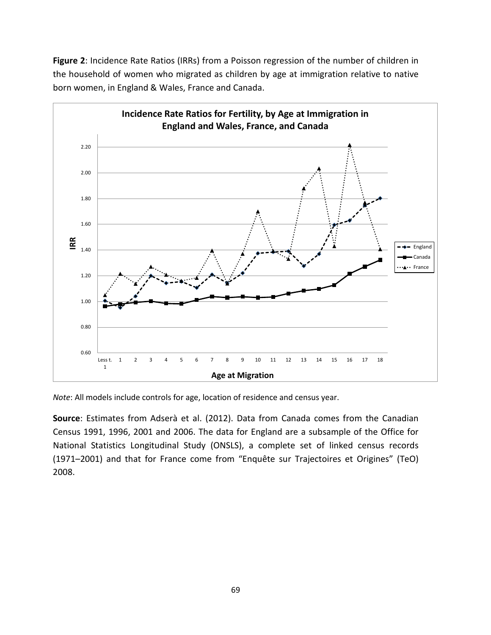**Figure 2**: Incidence Rate Ratios (IRRs) from a Poisson regression of the number of children in the household of women who migrated as children by age at immigration relative to native born women, in England & Wales, France and Canada.



*Note*: All models include controls for age, location of residence and census year.

**Source**: Estimates from Adserà et al. (2012). Data from Canada comes from the Canadian Census 1991, 1996, 2001 and 2006. The data for England are a subsample of the Office for National Statistics Longitudinal Study (ONSLS), a complete set of linked census records (1971–2001) and that for France come from "Enquête sur Trajectoires et Origines" (TeO) 2008.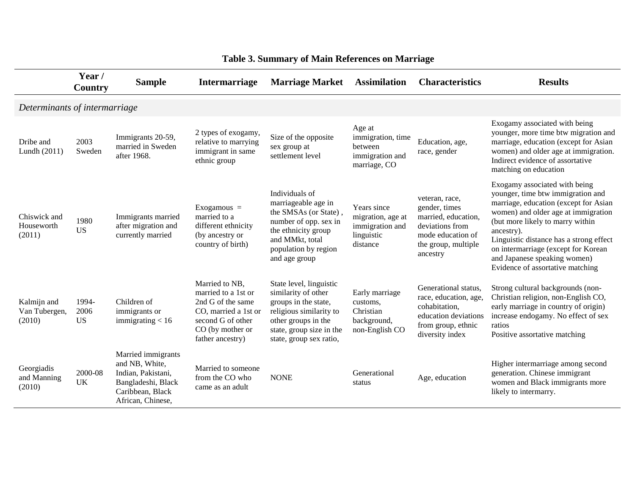|                                        | Year/<br><b>Country</b>    | <b>Sample</b>                                                                                                             | <b>Intermarriage</b>                                                                                                                            | <b>Marriage Market</b>                                                                                                                                                          | <b>Assimilation</b>                                                           | <b>Characteristics</b>                                                                                                            | <b>Results</b>                                                                                                                                                                                                                                                                                                                                             |
|----------------------------------------|----------------------------|---------------------------------------------------------------------------------------------------------------------------|-------------------------------------------------------------------------------------------------------------------------------------------------|---------------------------------------------------------------------------------------------------------------------------------------------------------------------------------|-------------------------------------------------------------------------------|-----------------------------------------------------------------------------------------------------------------------------------|------------------------------------------------------------------------------------------------------------------------------------------------------------------------------------------------------------------------------------------------------------------------------------------------------------------------------------------------------------|
| Determinants of intermarriage          |                            |                                                                                                                           |                                                                                                                                                 |                                                                                                                                                                                 |                                                                               |                                                                                                                                   |                                                                                                                                                                                                                                                                                                                                                            |
| Dribe and<br>Lundh (2011)              | 2003<br>Sweden             | Immigrants 20-59,<br>married in Sweden<br>after 1968.                                                                     | 2 types of exogamy,<br>relative to marrying<br>immigrant in same<br>ethnic group                                                                | Size of the opposite<br>sex group at<br>settlement level                                                                                                                        | Age at<br>immigration, time<br>between<br>immigration and<br>marriage, CO     | Education, age,<br>race, gender                                                                                                   | Exogamy associated with being<br>younger, more time btw migration and<br>marriage, education (except for Asian<br>women) and older age at immigration.<br>Indirect evidence of assortative<br>matching on education                                                                                                                                        |
| Chiswick and<br>Houseworth<br>(2011)   | 1980<br><b>US</b>          | Immigrants married<br>after migration and<br>currently married                                                            | $Exogamous =$<br>married to a<br>different ethnicity<br>(by ancestry or<br>country of birth)                                                    | Individuals of<br>marriageable age in<br>the SMSAs (or State),<br>number of opp. sex in<br>the ethnicity group<br>and MMkt, total<br>population by region<br>and age group      | Years since<br>migration, age at<br>immigration and<br>linguistic<br>distance | veteran, race,<br>gender, times<br>married, education,<br>deviations from<br>mode education of<br>the group, multiple<br>ancestry | Exogamy associated with being<br>younger, time btw immigration and<br>marriage, education (except for Asian<br>women) and older age at immigration<br>(but more likely to marry within<br>ancestry).<br>Linguistic distance has a strong effect<br>on intermarriage (except for Korean<br>and Japanese speaking women)<br>Evidence of assortative matching |
| Kalmijn and<br>Van Tubergen,<br>(2010) | 1994-<br>2006<br><b>US</b> | Children of<br>immigrants or<br>immigrating $< 16$                                                                        | Married to NB,<br>married to a 1st or<br>2nd G of the same<br>CO, married a 1st or<br>second G of other<br>CO (by mother or<br>father ancestry) | State level, linguistic<br>similarity of other<br>groups in the state,<br>religious similarity to<br>other groups in the<br>state, group size in the<br>state, group sex ratio, | Early marriage<br>customs,<br>Christian<br>background,<br>non-English CO      | Generational status.<br>race, education, age,<br>cohabitation,<br>education deviations<br>from group, ethnic<br>diversity index   | Strong cultural backgrounds (non-<br>Christian religion, non-English CO,<br>early marriage in country of origin)<br>increase endogamy. No effect of sex<br>ratios<br>Positive assortative matching                                                                                                                                                         |
| Georgiadis<br>and Manning<br>(2010)    | 2000-08<br>UK              | Married immigrants<br>and NB, White,<br>Indian, Pakistani,<br>Bangladeshi, Black<br>Caribbean, Black<br>African, Chinese, | Married to someone<br>from the CO who<br>came as an adult                                                                                       | <b>NONE</b>                                                                                                                                                                     | Generational<br>status                                                        | Age, education                                                                                                                    | Higher intermarriage among second<br>generation. Chinese immigrant<br>women and Black immigrants more<br>likely to intermarry.                                                                                                                                                                                                                             |

## **Table 3. Summary of Main References on Marriage**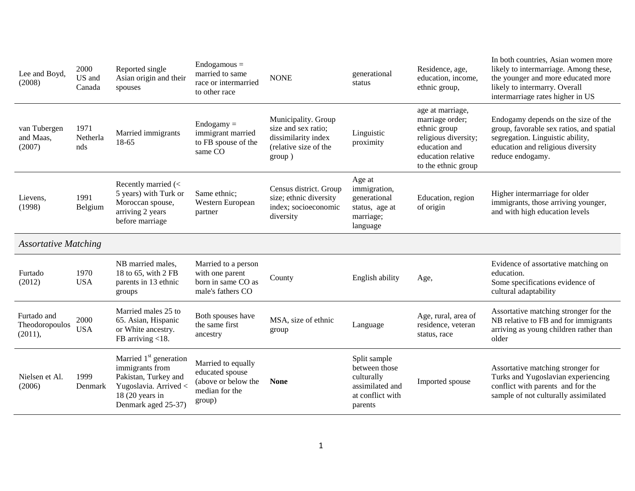| Lee and Boyd,<br>(2008)                  | 2000<br>US and<br>Canada | Reported single<br>Asian origin and their<br>spouses                                                    | $Endogamous =$<br>married to same<br>race or intermarried<br>to other race | <b>NONE</b>                                                                                          | generational<br>status                                                            | Residence, age,<br>education, income,<br>ethnic group,                                                                                    | In both countries, Asian women more<br>likely to intermarriage. Among these,<br>the younger and more educated more<br>likely to intermarry. Overall<br>intermarriage rates higher in US |
|------------------------------------------|--------------------------|---------------------------------------------------------------------------------------------------------|----------------------------------------------------------------------------|------------------------------------------------------------------------------------------------------|-----------------------------------------------------------------------------------|-------------------------------------------------------------------------------------------------------------------------------------------|-----------------------------------------------------------------------------------------------------------------------------------------------------------------------------------------|
| van Tubergen<br>and Maas,<br>(2007)      | 1971<br>Netherla<br>nds  | Married immigrants<br>18-65                                                                             | $Endogamy =$<br>immigrant married<br>to FB spouse of the<br>same CO        | Municipality. Group<br>size and sex ratio;<br>dissimilarity index<br>(relative size of the<br>group) | Linguistic<br>proximity                                                           | age at marriage,<br>marriage order;<br>ethnic group<br>religious diversity;<br>education and<br>education relative<br>to the ethnic group | Endogamy depends on the size of the<br>group, favorable sex ratios, and spatial<br>segregation. Linguistic ability,<br>education and religious diversity<br>reduce endogamy.            |
| Lievens,<br>(1998)                       | 1991<br>Belgium          | Recently married (<<br>5 years) with Turk or<br>Moroccan spouse,<br>arriving 2 years<br>before marriage | Same ethnic;<br>Western European<br>partner                                | Census district. Group<br>size; ethnic diversity<br>index; socioeconomic<br>diversity                | Age at<br>immigration,<br>generational<br>status, age at<br>marriage;<br>language | Education, region<br>of origin                                                                                                            | Higher intermarriage for older<br>immigrants, those arriving younger,<br>and with high education levels                                                                                 |
| <b>Assortative Matching</b>              |                          |                                                                                                         |                                                                            |                                                                                                      |                                                                                   |                                                                                                                                           |                                                                                                                                                                                         |
| Furtado<br>(2012)                        | 1970<br><b>USA</b>       | NB married males,<br>18 to 65, with 2 FB<br>parents in 13 ethnic                                        | Married to a person<br>with one parent<br>born in same CO as               | County                                                                                               | English ability                                                                   | Age,                                                                                                                                      | Evidence of assortative matching on<br>education.                                                                                                                                       |
|                                          |                          | groups                                                                                                  | male's fathers CO                                                          |                                                                                                      |                                                                                   |                                                                                                                                           | Some specifications evidence of<br>cultural adaptability                                                                                                                                |
| Furtado and<br>Theodoropoulos<br>(2011), | 2000<br><b>USA</b>       | Married males 25 to<br>65. Asian, Hispanic<br>or White ancestry.<br>FB arriving <18.                    | Both spouses have<br>the same first<br>ancestry                            | MSA, size of ethnic<br>group                                                                         | Language                                                                          | Age, rural, area of<br>residence, veteran<br>status, race                                                                                 | Assortative matching stronger for the<br>NB relative to FB and for immigrants<br>arriving as young children rather than<br>older                                                        |